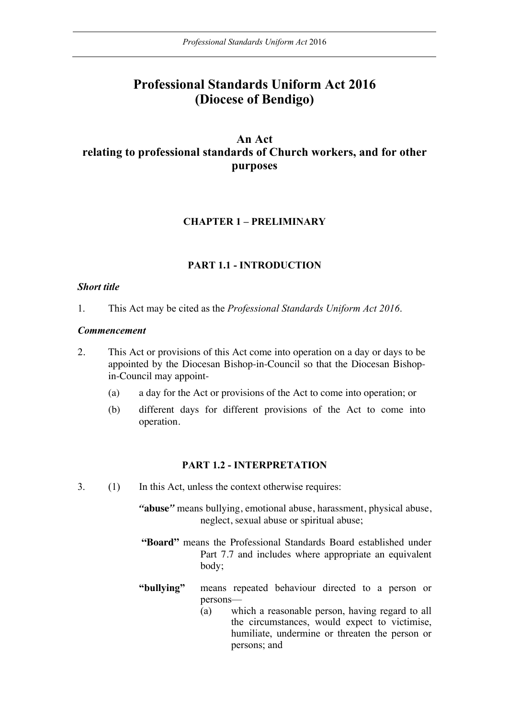# **Professional Standards Uniform Act 2016 (Diocese of Bendigo)**

# **An Act relating to professional standards of Church workers, and for other purposes**

### **CHAPTER 1 – PRELIMINARY**

### **PART 1.1 - INTRODUCTION**

#### *Short title*

1. This Act may be cited as the *Professional Standards Uniform Act 2016*.

#### *Commencement*

- 2. This Act or provisions of this Act come into operation on a day or days to be appointed by the Diocesan Bishop-in-Council so that the Diocesan Bishopin-Council may appoint-
	- (a) a day for the Act or provisions of the Act to come into operation; or
	- (b) different days for different provisions of the Act to come into operation.

#### **PART 1.2 - INTERPRETATION**

3. (1) In this Act, unless the context otherwise requires:

*"***abuse***"* means bullying, emotional abuse, harassment, physical abuse, neglect, sexual abuse or spiritual abuse;

- **"Board"** means the Professional Standards Board established under Part 7.7 and includes where appropriate an equivalent body;
- **"bullying"** means repeated behaviour directed to a person or persons—
	- (a) which a reasonable person, having regard to all the circumstances, would expect to victimise, humiliate, undermine or threaten the person or persons; and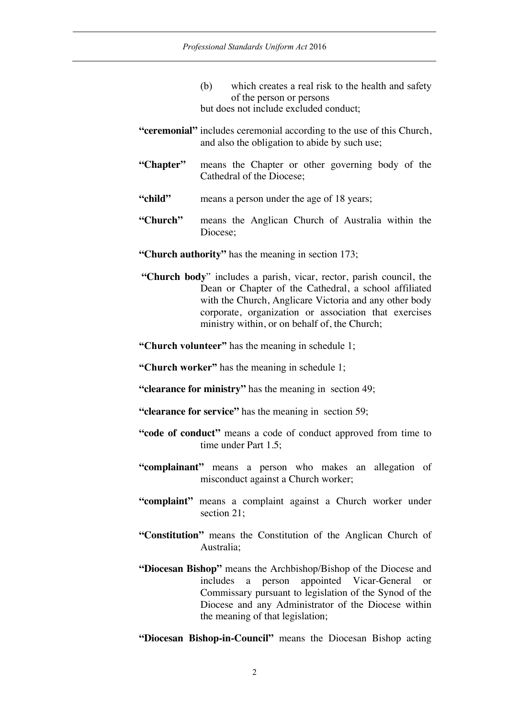- (b) which creates a real risk to the health and safety of the person or persons but does not include excluded conduct;
- **"ceremonial"** includes ceremonial according to the use of this Church, and also the obligation to abide by such use;
- **"Chapter"** means the Chapter or other governing body of the Cathedral of the Diocese;
- "child" means a person under the age of 18 years;
- **"Church"** means the Anglican Church of Australia within the Diocese;
- **"Church authority"** has the meaning in section 173;
- **"Church body**" includes a parish, vicar, rector, parish council, the Dean or Chapter of the Cathedral, a school affiliated with the Church, Anglicare Victoria and any other body corporate, organization or association that exercises ministry within, or on behalf of, the Church;

**"Church volunteer"** has the meaning in schedule 1;

**"Church worker"** has the meaning in schedule 1;

- **"clearance for ministry"** has the meaning in section 49;
- **"clearance for service"** has the meaning in section 59;
- **"code of conduct"** means a code of conduct approved from time to time under Part 1.5;
- **"complainant"** means a person who makes an allegation of misconduct against a Church worker;
- **"complaint"** means a complaint against a Church worker under section 21:
- **"Constitution"** means the Constitution of the Anglican Church of Australia;
- **"Diocesan Bishop"** means the Archbishop/Bishop of the Diocese and includes a person appointed Vicar-General or Commissary pursuant to legislation of the Synod of the Diocese and any Administrator of the Diocese within the meaning of that legislation;
- **"Diocesan Bishop-in-Council"** means the Diocesan Bishop acting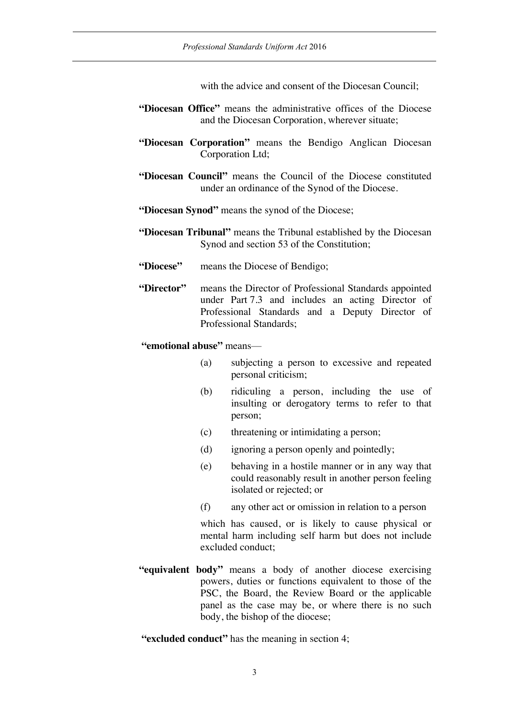with the advice and consent of the Diocesan Council:

- **"Diocesan Office"** means the administrative offices of the Diocese and the Diocesan Corporation, wherever situate;
- **"Diocesan Corporation"** means the Bendigo Anglican Diocesan Corporation Ltd;
- **"Diocesan Council"** means the Council of the Diocese constituted under an ordinance of the Synod of the Diocese.
- **"Diocesan Synod"** means the synod of the Diocese;
- **"Diocesan Tribunal"** means the Tribunal established by the Diocesan Synod and section 53 of the Constitution;
- **"Diocese"** means the Diocese of Bendigo;
- **"Director"** means the Director of Professional Standards appointed under Part 7.3 and includes an acting Director of Professional Standards and a Deputy Director of Professional Standards;

#### **"emotional abuse"** means—

- (a) subjecting a person to excessive and repeated personal criticism;
- (b) ridiculing a person, including the use of insulting or derogatory terms to refer to that person;
- (c) threatening or intimidating a person;
- (d) ignoring a person openly and pointedly;
- (e) behaving in a hostile manner or in any way that could reasonably result in another person feeling isolated or rejected; or
- (f) any other act or omission in relation to a person

which has caused, or is likely to cause physical or mental harm including self harm but does not include excluded conduct;

**"equivalent body"** means a body of another diocese exercising powers, duties or functions equivalent to those of the PSC, the Board, the Review Board or the applicable panel as the case may be, or where there is no such body, the bishop of the diocese;

**"excluded conduct"** has the meaning in section 4;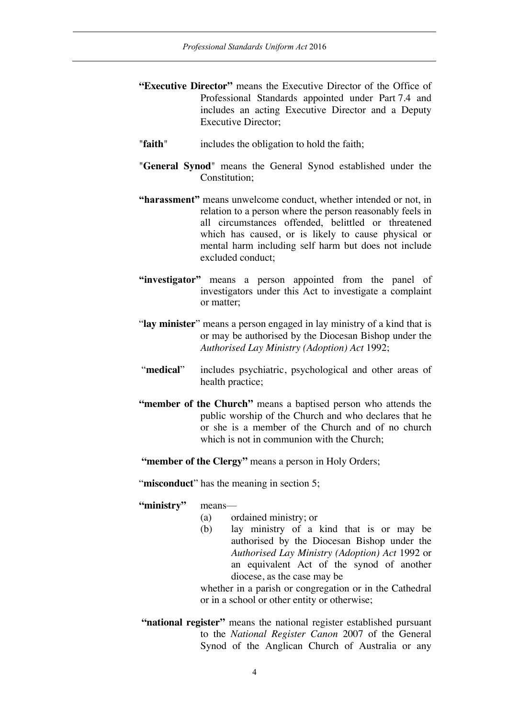- **"Executive Director"** means the Executive Director of the Office of Professional Standards appointed under Part 7.4 and includes an acting Executive Director and a Deputy Executive Director;
- "**faith**" includes the obligation to hold the faith;
- "**General Synod**" means the General Synod established under the Constitution:
- **"harassment"** means unwelcome conduct, whether intended or not, in relation to a person where the person reasonably feels in all circumstances offended, belittled or threatened which has caused, or is likely to cause physical or mental harm including self harm but does not include excluded conduct;
- **"investigator"** means a person appointed from the panel of investigators under this Act to investigate a complaint or matter;
- "**lay minister**" means a person engaged in lay ministry of a kind that is or may be authorised by the Diocesan Bishop under the *Authorised Lay Ministry (Adoption) Act* 1992;
- "**medical**" includes psychiatric, psychological and other areas of health practice;
- **"member of the Church"** means a baptised person who attends the public worship of the Church and who declares that he or she is a member of the Church and of no church which is not in communion with the Church:
- **"member of the Clergy"** means a person in Holy Orders;

"**misconduct**" has the meaning in section 5;

**"ministry"** means—

- (a) ordained ministry; or
- (b) lay ministry of a kind that is or may be authorised by the Diocesan Bishop under the *Authorised Lay Ministry (Adoption) Act* 1992 or an equivalent Act of the synod of another diocese, as the case may be

whether in a parish or congregation or in the Cathedral or in a school or other entity or otherwise;

**"national register"** means the national register established pursuant to the *National Register Canon* 2007 of the General Synod of the Anglican Church of Australia or any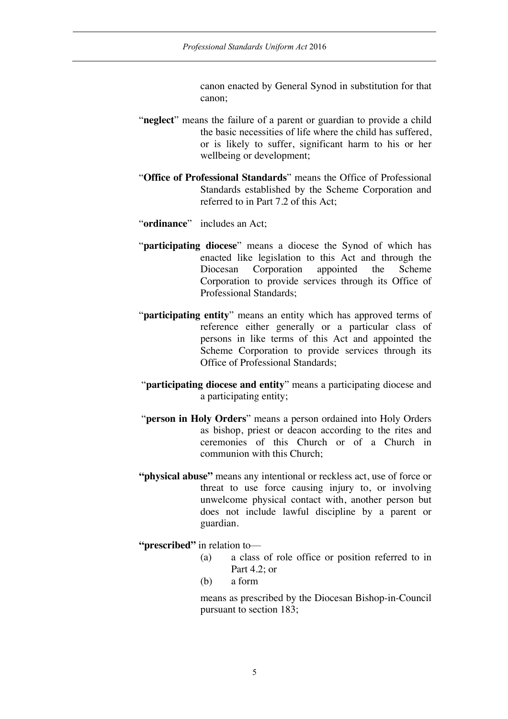canon enacted by General Synod in substitution for that canon;

- "**neglect**" means the failure of a parent or guardian to provide a child the basic necessities of life where the child has suffered, or is likely to suffer, significant harm to his or her wellbeing or development;
- "**Office of Professional Standards**" means the Office of Professional Standards established by the Scheme Corporation and referred to in Part 7.2 of this Act;
- "**ordinance**" includes an Act;
- "**participating diocese**" means a diocese the Synod of which has enacted like legislation to this Act and through the Diocesan Corporation appointed the Scheme Corporation to provide services through its Office of Professional Standards;
- "**participating entity**" means an entity which has approved terms of reference either generally or a particular class of persons in like terms of this Act and appointed the Scheme Corporation to provide services through its Office of Professional Standards;
- "**participating diocese and entity**" means a participating diocese and a participating entity;
- "**person in Holy Orders**" means a person ordained into Holy Orders as bishop, priest or deacon according to the rites and ceremonies of this Church or of a Church in communion with this Church;
- **"physical abuse"** means any intentional or reckless act, use of force or threat to use force causing injury to, or involving unwelcome physical contact with, another person but does not include lawful discipline by a parent or guardian.

**"prescribed"** in relation to—

- (a) a class of role office or position referred to in Part 4.2; or
- (b) a form

means as prescribed by the Diocesan Bishop-in-Council pursuant to section 183;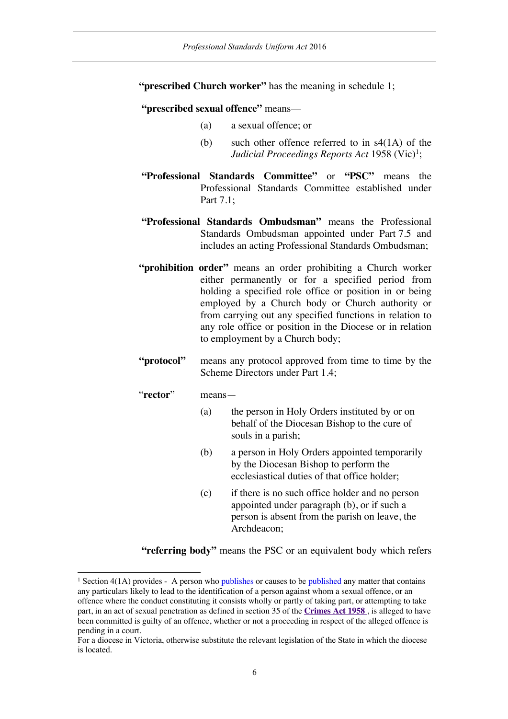**"prescribed Church worker"** has the meaning in schedule 1;

**"prescribed sexual offence"** means—

- (a) a sexual offence; or
- (b) such other offence referred to in s4(1A) of the *Judicial Proceedings Reports Act* 1958 (Vic)<sup>1</sup>;
- **"Professional Standards Committee"** or **"PSC"** means the Professional Standards Committee established under Part 7.1;
- **"Professional Standards Ombudsman"** means the Professional Standards Ombudsman appointed under Part 7.5 and includes an acting Professional Standards Ombudsman;
- **"prohibition order"** means an order prohibiting a Church worker either permanently or for a specified period from holding a specified role office or position in or being employed by a Church body or Church authority or from carrying out any specified functions in relation to any role office or position in the Diocese or in relation to employment by a Church body;
- **"protocol"** means any protocol approved from time to time by the Scheme Directors under Part 1.4;
- "**rector**" means—
	- (a) the person in Holy Orders instituted by or on behalf of the Diocesan Bishop to the cure of souls in a parish;
	- (b) a person in Holy Orders appointed temporarily by the Diocesan Bishop to perform the ecclesiastical duties of that office holder;
	- (c) if there is no such office holder and no person appointed under paragraph (b), or if such a person is absent from the parish on leave, the Archdeacon;

**"referring body"** means the PSC or an equivalent body which refers

<sup>&</sup>lt;sup>1</sup> Section 4(1A) provides - A person who publishes or causes to be published any matter that contains any particulars likely to lead to the identification of a person against whom a sexual offence, or an offence where the conduct constituting it consists wholly or partly of taking part, or attempting to take part, in an act of sexual penetration as defined in section 35 of the **Crimes Act 1958** , is alleged to have been committed is guilty of an offence, whether or not a proceeding in respect of the alleged offence is pending in a court.

For a diocese in Victoria, otherwise substitute the relevant legislation of the State in which the diocese is located.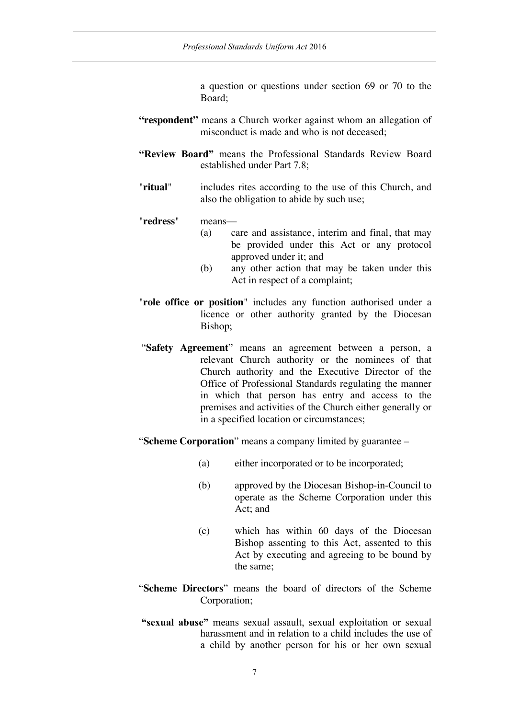a question or questions under section 69 or 70 to the Board;

- "respondent" means a Church worker against whom an allegation of misconduct is made and who is not deceased;
- **"Review Board"** means the Professional Standards Review Board established under Part 7.8;
- "**ritual**" includes rites according to the use of this Church, and also the obligation to abide by such use;

"**redress**" means—

- (a) care and assistance, interim and final, that may be provided under this Act or any protocol approved under it; and
- (b) any other action that may be taken under this Act in respect of a complaint;
- "**role office or position**" includes any function authorised under a licence or other authority granted by the Diocesan Bishop;
- "**Safety Agreement**" means an agreement between a person, a relevant Church authority or the nominees of that Church authority and the Executive Director of the Office of Professional Standards regulating the manner in which that person has entry and access to the premises and activities of the Church either generally or in a specified location or circumstances;
- "**Scheme Corporation**" means a company limited by guarantee
	- (a) either incorporated or to be incorporated;
	- (b) approved by the Diocesan Bishop-in-Council to operate as the Scheme Corporation under this Act; and
	- (c) which has within 60 days of the Diocesan Bishop assenting to this Act, assented to this Act by executing and agreeing to be bound by the same;
- "**Scheme Directors**" means the board of directors of the Scheme Corporation;
- **"sexual abuse"** means sexual assault, sexual exploitation or sexual harassment and in relation to a child includes the use of a child by another person for his or her own sexual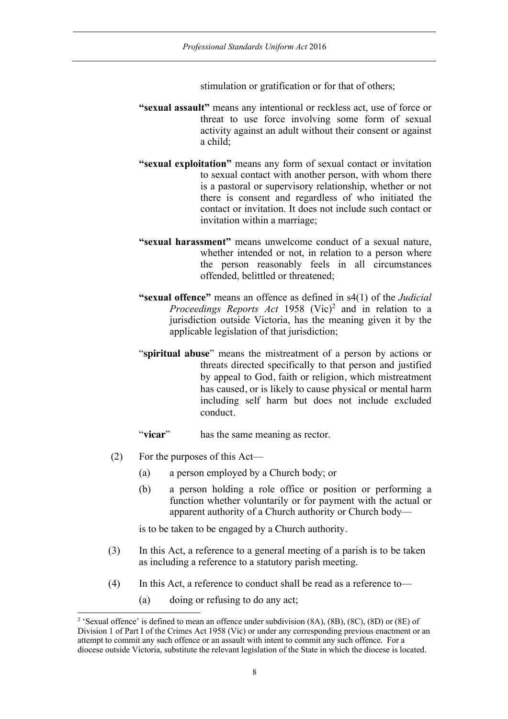stimulation or gratification or for that of others;

- **"sexual assault"** means any intentional or reckless act, use of force or threat to use force involving some form of sexual activity against an adult without their consent or against a child;
- **"sexual exploitation"** means any form of sexual contact or invitation to sexual contact with another person, with whom there is a pastoral or supervisory relationship, whether or not there is consent and regardless of who initiated the contact or invitation. It does not include such contact or invitation within a marriage;
- **"sexual harassment"** means unwelcome conduct of a sexual nature, whether intended or not, in relation to a person where the person reasonably feels in all circumstances offended, belittled or threatened;
- **"sexual offence"** means an offence as defined in s4(1) of the *Judicial Proceedings Reports Act* 1958 (Vic) <sup>2</sup> and in relation to a jurisdiction outside Victoria, has the meaning given it by the applicable legislation of that jurisdiction;
- "**spiritual abuse**" means the mistreatment of a person by actions or threats directed specifically to that person and justified by appeal to God, faith or religion, which mistreatment has caused, or is likely to cause physical or mental harm including self harm but does not include excluded conduct.
- "**vicar**" has the same meaning as rector.
- (2) For the purposes of this Act—
	- (a) a person employed by a Church body; or
	- (b) a person holding a role office or position or performing a function whether voluntarily or for payment with the actual or apparent authority of a Church authority or Church body—

is to be taken to be engaged by a Church authority.

- (3) In this Act, a reference to a general meeting of a parish is to be taken as including a reference to a statutory parish meeting.
- (4) In this Act, a reference to conduct shall be read as a reference to—
	- (a) doing or refusing to do any act;

 <sup>2</sup> 'Sexual offence' is defined to mean an offence under subdivision (8A), (8B), (8C), (8D) or (8E) of Division 1 of Part I of the Crimes Act 1958 (Vic) or under any corresponding previous enactment or an attempt to commit any such offence or an assault with intent to commit any such offence. For a diocese outside Victoria, substitute the relevant legislation of the State in which the diocese is located.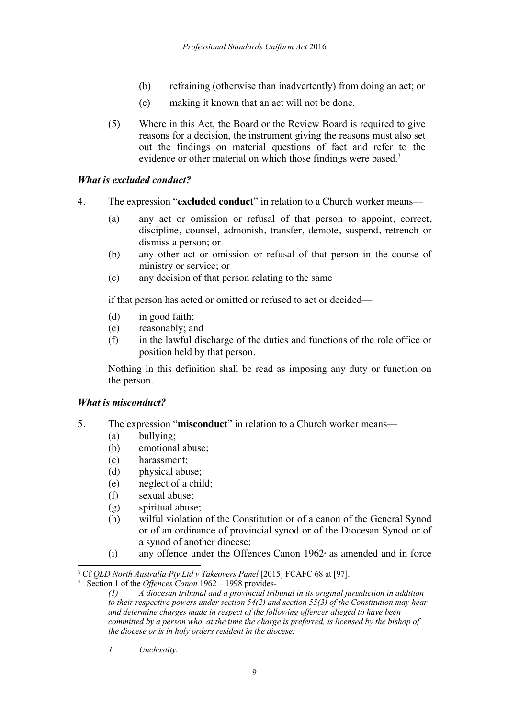- (b) refraining (otherwise than inadvertently) from doing an act; or
- (c) making it known that an act will not be done.
- (5) Where in this Act, the Board or the Review Board is required to give reasons for a decision, the instrument giving the reasons must also set out the findings on material questions of fact and refer to the evidence or other material on which those findings were based.<sup>3</sup>

#### *What is excluded conduct?*

- 4. The expression "**excluded conduct**" in relation to a Church worker means—
	- (a) any act or omission or refusal of that person to appoint, correct, discipline, counsel, admonish, transfer, demote, suspend, retrench or dismiss a person; or
	- (b) any other act or omission or refusal of that person in the course of ministry or service; or
	- (c) any decision of that person relating to the same

if that person has acted or omitted or refused to act or decided—

- (d) in good faith;
- (e) reasonably; and
- (f) in the lawful discharge of the duties and functions of the role office or position held by that person.

Nothing in this definition shall be read as imposing any duty or function on the person.

#### *What is misconduct?*

- 5. The expression "**misconduct**" in relation to a Church worker means—
	- (a) bullying;
	- (b) emotional abuse;
	- (c) harassment;
	- (d) physical abuse;
	- (e) neglect of a child;
	- (f) sexual abuse;
	- (g) spiritual abuse;
	- (h) wilful violation of the Constitution or of a canon of the General Synod or of an ordinance of provincial synod or of the Diocesan Synod or of a synod of another diocese;
	- $(i)$  any offence under the Offences Canon 1962 $\alpha$  as amended and in force

*1. Unchastity.*

 <sup>3</sup> Cf *QLD North Australia Pty Ltd v Takeovers Panel* [2015] FCAFC 68 at [97].

<sup>4</sup> Section 1 of the *Offences Canon* 1962 – 1998 provides-

*<sup>(1)</sup> A diocesan tribunal and a provincial tribunal in its original jurisdiction in addition to their respective powers under section 54(2) and section 55(3) of the Constitution may hear and determine charges made in respect of the following offences alleged to have been committed by a person who, at the time the charge is preferred, is licensed by the bishop of the diocese or is in holy orders resident in the diocese:*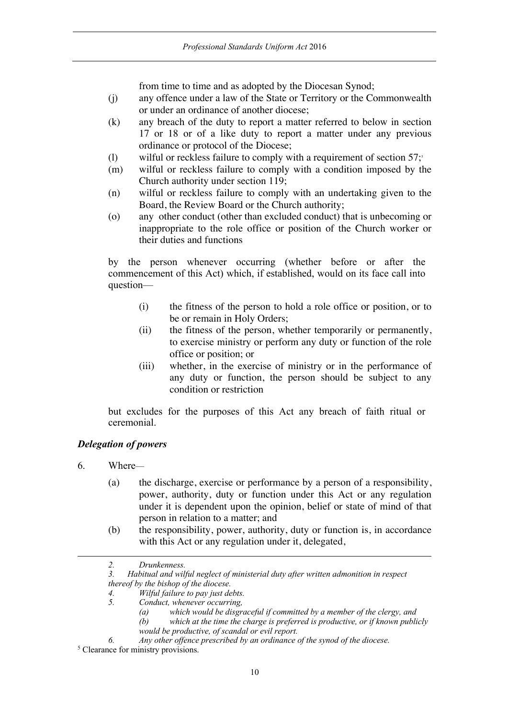from time to time and as adopted by the Diocesan Synod;

- (j) any offence under a law of the State or Territory or the Commonwealth or under an ordinance of another diocese;
- (k) any breach of the duty to report a matter referred to below in section 17 or 18 or of a like duty to report a matter under any previous ordinance or protocol of the Diocese;
- (l) wilful or reckless failure to comply with a requirement of section  $57$ ;
- (m) wilful or reckless failure to comply with a condition imposed by the Church authority under section 119;
- (n) wilful or reckless failure to comply with an undertaking given to the Board, the Review Board or the Church authority;
- (o) any other conduct (other than excluded conduct) that is unbecoming or inappropriate to the role office or position of the Church worker or their duties and functions

by the person whenever occurring (whether before or after the commencement of this Act) which, if established, would on its face call into question—

- (i) the fitness of the person to hold a role office or position, or to be or remain in Holy Orders;
- (ii) the fitness of the person, whether temporarily or permanently, to exercise ministry or perform any duty or function of the role office or position; or
- (iii) whether, in the exercise of ministry or in the performance of any duty or function, the person should be subject to any condition or restriction

but excludes for the purposes of this Act any breach of faith ritual or ceremonial.

# *Delegation of powers*

6. Where—

-

- (a) the discharge, exercise or performance by a person of a responsibility, power, authority, duty or function under this Act or any regulation under it is dependent upon the opinion, belief or state of mind of that person in relation to a matter; and
- (b) the responsibility, power, authority, duty or function is, in accordance with this Act or any regulation under it, delegated,
- *2. Drunkenness.*

*<sup>3.</sup> Habitual and wilful neglect of ministerial duty after written admonition in respect thereof by the bishop of the diocese.*

*<sup>4.</sup> Wilful failure to pay just debts.*

*<sup>5.</sup> Conduct, whenever occurring,* 

*<sup>(</sup>a) which would be disgraceful if committed by a member of the clergy, and*

*<sup>(</sup>b) which at the time the charge is preferred is productive, or if known publicly would be productive, of scandal or evil report.*

*<sup>6.</sup> Any other offence prescribed by an ordinance of the synod of the diocese.*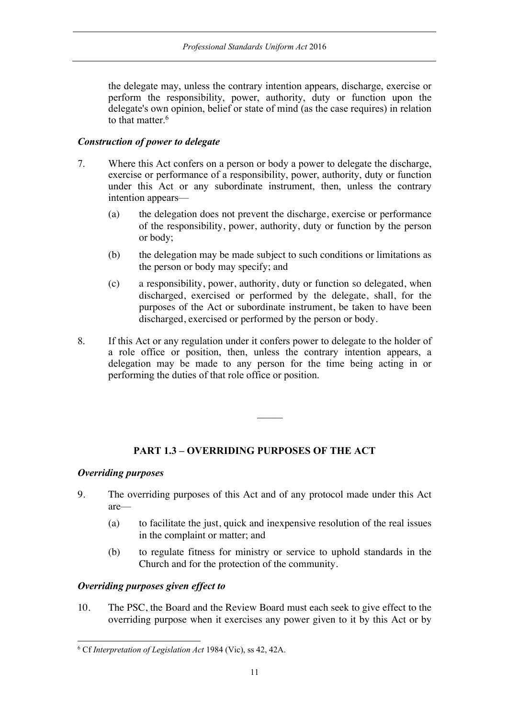the delegate may, unless the contrary intention appears, discharge, exercise or perform the responsibility, power, authority, duty or function upon the delegate's own opinion, belief or state of mind (as the case requires) in relation to that matter.<sup>6</sup>

#### *Construction of power to delegate*

- 7. Where this Act confers on a person or body a power to delegate the discharge, exercise or performance of a responsibility, power, authority, duty or function under this Act or any subordinate instrument, then, unless the contrary intention appears—
	- (a) the delegation does not prevent the discharge, exercise or performance of the responsibility, power, authority, duty or function by the person or body;
	- (b) the delegation may be made subject to such conditions or limitations as the person or body may specify; and
	- (c) a responsibility, power, authority, duty or function so delegated, when discharged, exercised or performed by the delegate, shall, for the purposes of the Act or subordinate instrument, be taken to have been discharged, exercised or performed by the person or body.
- 8. If this Act or any regulation under it confers power to delegate to the holder of a role office or position, then, unless the contrary intention appears, a delegation may be made to any person for the time being acting in or performing the duties of that role office or position.

# **PART 1.3 – OVERRIDING PURPOSES OF THE ACT**

#### *Overriding purposes*

- 9. The overriding purposes of this Act and of any protocol made under this Act are—
	- (a) to facilitate the just, quick and inexpensive resolution of the real issues in the complaint or matter; and
	- (b) to regulate fitness for ministry or service to uphold standards in the Church and for the protection of the community.

### *Overriding purposes given effect to*

10. The PSC, the Board and the Review Board must each seek to give effect to the overriding purpose when it exercises any power given to it by this Act or by

 <sup>6</sup> Cf *Interpretation of Legislation Act* 1984 (Vic), ss 42, 42A.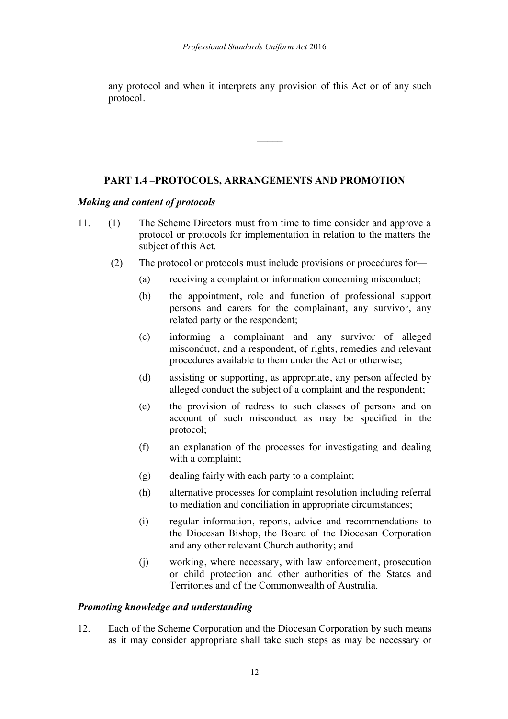any protocol and when it interprets any provision of this Act or of any such protocol.

 $\mathcal{L}$ 

### **PART 1.4 –PROTOCOLS, ARRANGEMENTS AND PROMOTION**

#### *Making and content of protocols*

- 11. (1) The Scheme Directors must from time to time consider and approve a protocol or protocols for implementation in relation to the matters the subject of this Act.
	- (2) The protocol or protocols must include provisions or procedures for—
		- (a) receiving a complaint or information concerning misconduct;
		- (b) the appointment, role and function of professional support persons and carers for the complainant, any survivor, any related party or the respondent;
		- (c) informing a complainant and any survivor of alleged misconduct, and a respondent, of rights, remedies and relevant procedures available to them under the Act or otherwise;
		- (d) assisting or supporting, as appropriate, any person affected by alleged conduct the subject of a complaint and the respondent;
		- (e) the provision of redress to such classes of persons and on account of such misconduct as may be specified in the protocol;
		- (f) an explanation of the processes for investigating and dealing with a complaint;
		- (g) dealing fairly with each party to a complaint;
		- (h) alternative processes for complaint resolution including referral to mediation and conciliation in appropriate circumstances;
		- (i) regular information, reports, advice and recommendations to the Diocesan Bishop, the Board of the Diocesan Corporation and any other relevant Church authority; and
		- (j) working, where necessary, with law enforcement, prosecution or child protection and other authorities of the States and Territories and of the Commonwealth of Australia.

#### *Promoting knowledge and understanding*

12. Each of the Scheme Corporation and the Diocesan Corporation by such means as it may consider appropriate shall take such steps as may be necessary or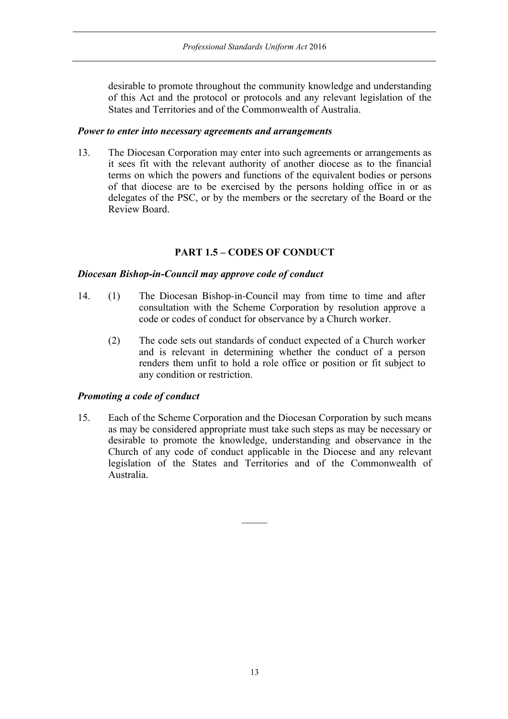desirable to promote throughout the community knowledge and understanding of this Act and the protocol or protocols and any relevant legislation of the States and Territories and of the Commonwealth of Australia.

#### *Power to enter into necessary agreements and arrangements*

13. The Diocesan Corporation may enter into such agreements or arrangements as it sees fit with the relevant authority of another diocese as to the financial terms on which the powers and functions of the equivalent bodies or persons of that diocese are to be exercised by the persons holding office in or as delegates of the PSC, or by the members or the secretary of the Board or the Review Board.

### **PART 1.5 – CODES OF CONDUCT**

#### *Diocesan Bishop-in-Council may approve code of conduct*

- 14. (1) The Diocesan Bishop-in-Council may from time to time and after consultation with the Scheme Corporation by resolution approve a code or codes of conduct for observance by a Church worker.
	- (2) The code sets out standards of conduct expected of a Church worker and is relevant in determining whether the conduct of a person renders them unfit to hold a role office or position or fit subject to any condition or restriction.

#### *Promoting a code of conduct*

15. Each of the Scheme Corporation and the Diocesan Corporation by such means as may be considered appropriate must take such steps as may be necessary or desirable to promote the knowledge, understanding and observance in the Church of any code of conduct applicable in the Diocese and any relevant legislation of the States and Territories and of the Commonwealth of Australia.

 $\mathcal{L}$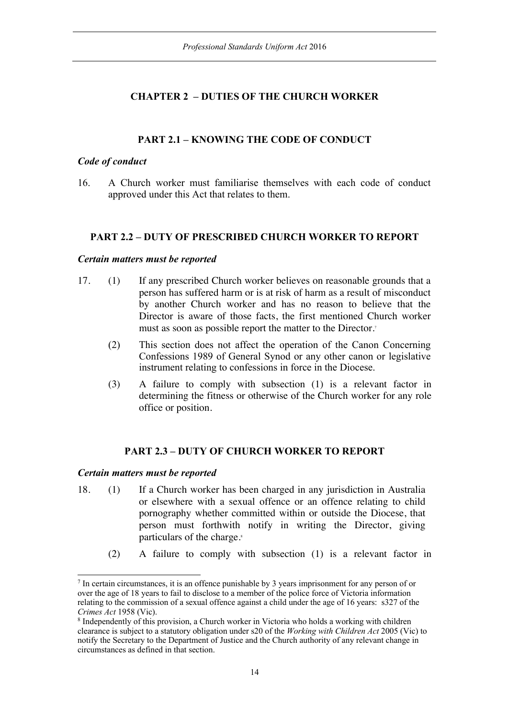# **CHAPTER 2 – DUTIES OF THE CHURCH WORKER**

# **PART 2.1 – KNOWING THE CODE OF CONDUCT**

#### *Code of conduct*

16. A Church worker must familiarise themselves with each code of conduct approved under this Act that relates to them.

#### **PART 2.2 – DUTY OF PRESCRIBED CHURCH WORKER TO REPORT**

#### *Certain matters must be reported*

- 17. (1) If any prescribed Church worker believes on reasonable grounds that a person has suffered harm or is at risk of harm as a result of misconduct by another Church worker and has no reason to believe that the Director is aware of those facts, the first mentioned Church worker must as soon as possible report the matter to the Director.<sup>7</sup>
	- (2) This section does not affect the operation of the Canon Concerning Confessions 1989 of General Synod or any other canon or legislative instrument relating to confessions in force in the Diocese.
	- (3) A failure to comply with subsection (1) is a relevant factor in determining the fitness or otherwise of the Church worker for any role office or position.

#### **PART 2.3 – DUTY OF CHURCH WORKER TO REPORT**

#### *Certain matters must be reported*

- 18. (1) If a Church worker has been charged in any jurisdiction in Australia or elsewhere with a sexual offence or an offence relating to child pornography whether committed within or outside the Diocese, that person must forthwith notify in writing the Director, giving particulars of the charge.<sup>8</sup>
	- (2) A failure to comply with subsection (1) is a relevant factor in

 <sup>7</sup> In certain circumstances, it is an offence punishable by 3 years imprisonment for any person of or over the age of 18 years to fail to disclose to a member of the police force of Victoria information relating to the commission of a sexual offence against a child under the age of 16 years: s327 of the *Crimes Act* 1958 (Vic).

<sup>8</sup> Independently of this provision, a Church worker in Victoria who holds a working with children clearance is subject to a statutory obligation under s20 of the *Working with Children Act* 2005 (Vic) to notify the Secretary to the Department of Justice and the Church authority of any relevant change in circumstances as defined in that section.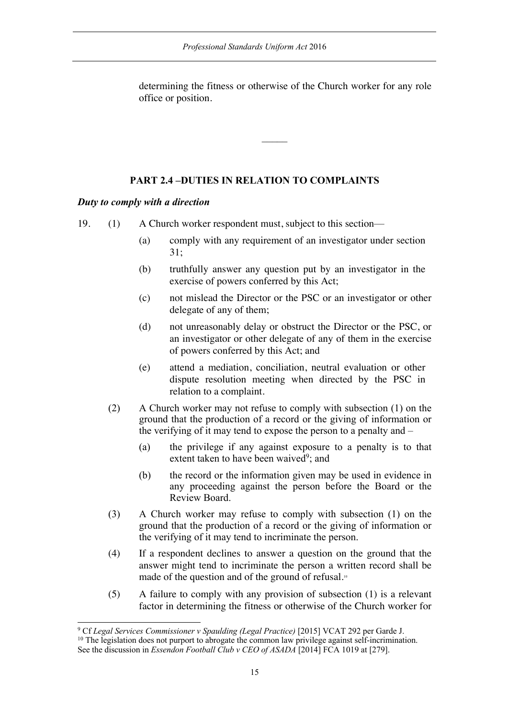determining the fitness or otherwise of the Church worker for any role office or position.

 $\mathcal{L}$ 

### **PART 2.4 –DUTIES IN RELATION TO COMPLAINTS**

#### *Duty to comply with a direction*

19. (1) A Church worker respondent must, subject to this section—

- (a) comply with any requirement of an investigator under section 31;
- (b) truthfully answer any question put by an investigator in the exercise of powers conferred by this Act;
- (c) not mislead the Director or the PSC or an investigator or other delegate of any of them;
- (d) not unreasonably delay or obstruct the Director or the PSC, or an investigator or other delegate of any of them in the exercise of powers conferred by this Act; and
- (e) attend a mediation, conciliation, neutral evaluation or other dispute resolution meeting when directed by the PSC in relation to a complaint.
- (2) A Church worker may not refuse to comply with subsection (1) on the ground that the production of a record or the giving of information or the verifying of it may tend to expose the person to a penalty and –
	- (a) the privilege if any against exposure to a penalty is to that extent taken to have been waived<sup>9</sup>; and
	- (b) the record or the information given may be used in evidence in any proceeding against the person before the Board or the Review Board.
- (3) A Church worker may refuse to comply with subsection (1) on the ground that the production of a record or the giving of information or the verifying of it may tend to incriminate the person.
- (4) If a respondent declines to answer a question on the ground that the answer might tend to incriminate the person a written record shall be made of the question and of the ground of refusal.<sup>10</sup>
- (5) A failure to comply with any provision of subsection (1) is a relevant factor in determining the fitness or otherwise of the Church worker for

 <sup>9</sup> Cf *Legal Services Commissioner v Spaulding (Legal Practice)* [2015] VCAT 292 per Garde J.  $10$  The legislation does not purport to abrogate the common law privilege against self-incrimination.

See the discussion in *Essendon Football Club v CEO of ASADA* [2014] FCA 1019 at [279].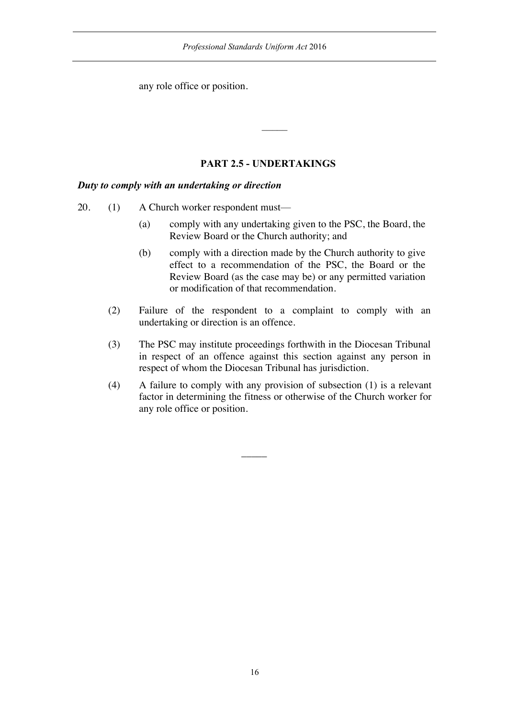any role office or position.

# **PART 2.5 - UNDERTAKINGS**

#### *Duty to comply with an undertaking or direction*

- 20. (1) A Church worker respondent must—
	- (a) comply with any undertaking given to the PSC, the Board, the Review Board or the Church authority; and
	- (b) comply with a direction made by the Church authority to give effect to a recommendation of the PSC, the Board or the Review Board (as the case may be) or any permitted variation or modification of that recommendation.
	- (2) Failure of the respondent to a complaint to comply with an undertaking or direction is an offence.
	- (3) The PSC may institute proceedings forthwith in the Diocesan Tribunal in respect of an offence against this section against any person in respect of whom the Diocesan Tribunal has jurisdiction.
	- (4) A failure to comply with any provision of subsection (1) is a relevant factor in determining the fitness or otherwise of the Church worker for any role office or position.

 $\overline{\phantom{a}}$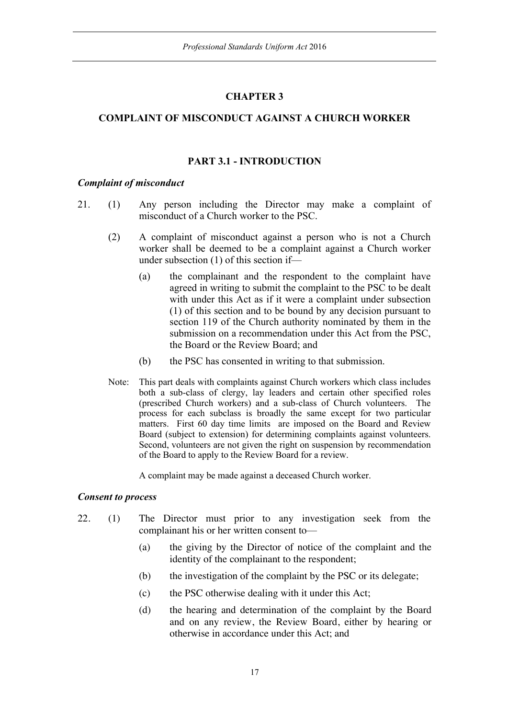### **CHAPTER 3**

### **COMPLAINT OF MISCONDUCT AGAINST A CHURCH WORKER**

#### **PART 3.1 - INTRODUCTION**

#### *Complaint of misconduct*

- 21. (1) Any person including the Director may make a complaint of misconduct of a Church worker to the PSC.
	- (2) A complaint of misconduct against a person who is not a Church worker shall be deemed to be a complaint against a Church worker under subsection (1) of this section if—
		- (a) the complainant and the respondent to the complaint have agreed in writing to submit the complaint to the PSC to be dealt with under this Act as if it were a complaint under subsection (1) of this section and to be bound by any decision pursuant to section 119 of the Church authority nominated by them in the submission on a recommendation under this Act from the PSC, the Board or the Review Board; and
		- (b) the PSC has consented in writing to that submission.
	- Note: This part deals with complaints against Church workers which class includes both a sub-class of clergy, lay leaders and certain other specified roles (prescribed Church workers) and a sub-class of Church volunteers. The process for each subclass is broadly the same except for two particular matters. First 60 day time limits are imposed on the Board and Review Board (subject to extension) for determining complaints against volunteers. Second, volunteers are not given the right on suspension by recommendation of the Board to apply to the Review Board for a review.

A complaint may be made against a deceased Church worker.

#### *Consent to process*

- 22. (1) The Director must prior to any investigation seek from the complainant his or her written consent to—
	- (a) the giving by the Director of notice of the complaint and the identity of the complainant to the respondent;
	- (b) the investigation of the complaint by the PSC or its delegate;
	- (c) the PSC otherwise dealing with it under this Act;
	- (d) the hearing and determination of the complaint by the Board and on any review, the Review Board, either by hearing or otherwise in accordance under this Act; and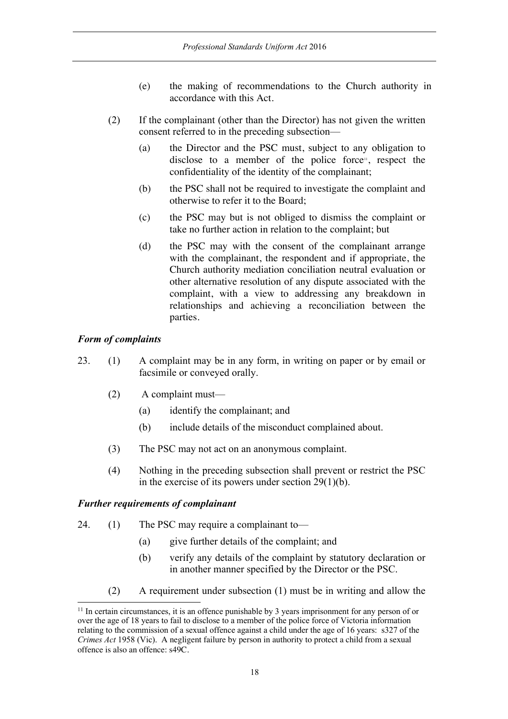- (e) the making of recommendations to the Church authority in accordance with this Act.
- (2) If the complainant (other than the Director) has not given the written consent referred to in the preceding subsection—
	- (a) the Director and the PSC must, subject to any obligation to disclose to a member of the police force<sup> $n$ </sup>, respect the confidentiality of the identity of the complainant;
	- (b) the PSC shall not be required to investigate the complaint and otherwise to refer it to the Board;
	- (c) the PSC may but is not obliged to dismiss the complaint or take no further action in relation to the complaint; but
	- (d) the PSC may with the consent of the complainant arrange with the complainant, the respondent and if appropriate, the Church authority mediation conciliation neutral evaluation or other alternative resolution of any dispute associated with the complaint, with a view to addressing any breakdown in relationships and achieving a reconciliation between the parties.

#### *Form of complaints*

- 23. (1) A complaint may be in any form, in writing on paper or by email or facsimile or conveyed orally.
	- (2) A complaint must—
		- (a) identify the complainant; and
		- (b) include details of the misconduct complained about.
	- (3) The PSC may not act on an anonymous complaint.
	- (4) Nothing in the preceding subsection shall prevent or restrict the PSC in the exercise of its powers under section 29(1)(b).

#### *Further requirements of complainant*

- 24. (1) The PSC may require a complainant to—
	- (a) give further details of the complaint; and
	- (b) verify any details of the complaint by statutory declaration or in another manner specified by the Director or the PSC.
	- (2) A requirement under subsection (1) must be in writing and allow the

<sup>&</sup>lt;sup>11</sup> In certain circumstances, it is an offence punishable by 3 years imprisonment for any person of or over the age of 18 years to fail to disclose to a member of the police force of Victoria information relating to the commission of a sexual offence against a child under the age of 16 years: s327 of the *Crimes Act* 1958 (Vic). A negligent failure by person in authority to protect a child from a sexual offence is also an offence: s49C.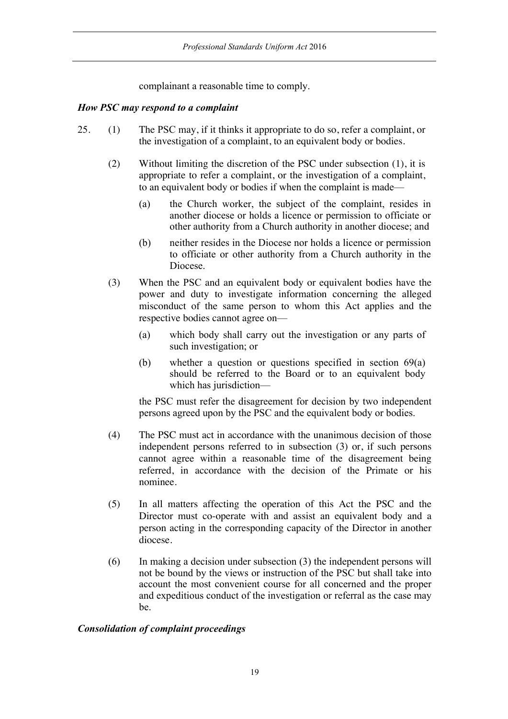complainant a reasonable time to comply.

#### *How PSC may respond to a complaint*

- 25. (1) The PSC may, if it thinks it appropriate to do so, refer a complaint, or the investigation of a complaint, to an equivalent body or bodies.
	- (2) Without limiting the discretion of the PSC under subsection (1), it is appropriate to refer a complaint, or the investigation of a complaint, to an equivalent body or bodies if when the complaint is made—
		- (a) the Church worker, the subject of the complaint, resides in another diocese or holds a licence or permission to officiate or other authority from a Church authority in another diocese; and
		- (b) neither resides in the Diocese nor holds a licence or permission to officiate or other authority from a Church authority in the Diocese.
	- (3) When the PSC and an equivalent body or equivalent bodies have the power and duty to investigate information concerning the alleged misconduct of the same person to whom this Act applies and the respective bodies cannot agree on—
		- (a) which body shall carry out the investigation or any parts of such investigation; or
		- (b) whether a question or questions specified in section 69(a) should be referred to the Board or to an equivalent body which has jurisdiction—

the PSC must refer the disagreement for decision by two independent persons agreed upon by the PSC and the equivalent body or bodies.

- (4) The PSC must act in accordance with the unanimous decision of those independent persons referred to in subsection (3) or, if such persons cannot agree within a reasonable time of the disagreement being referred, in accordance with the decision of the Primate or his nominee.
- (5) In all matters affecting the operation of this Act the PSC and the Director must co-operate with and assist an equivalent body and a person acting in the corresponding capacity of the Director in another diocese.
- (6) In making a decision under subsection (3) the independent persons will not be bound by the views or instruction of the PSC but shall take into account the most convenient course for all concerned and the proper and expeditious conduct of the investigation or referral as the case may be.

#### *Consolidation of complaint proceedings*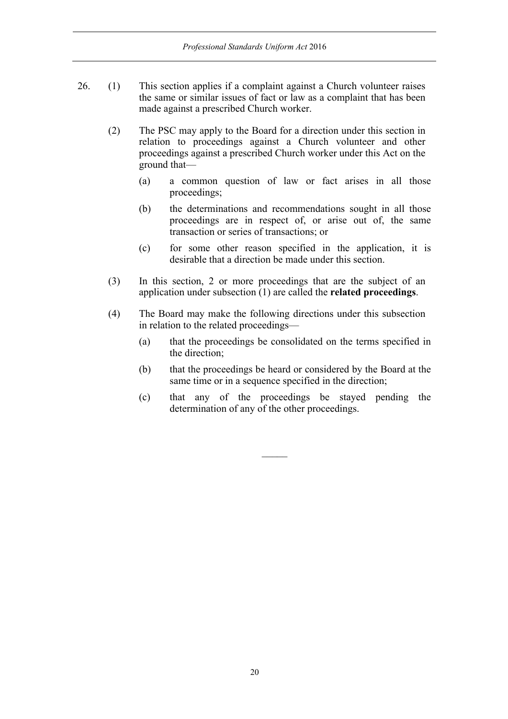- 26. (1) This section applies if a complaint against a Church volunteer raises the same or similar issues of fact or law as a complaint that has been made against a prescribed Church worker.
	- (2) The PSC may apply to the Board for a direction under this section in relation to proceedings against a Church volunteer and other proceedings against a prescribed Church worker under this Act on the ground that—
		- (a) a common question of law or fact arises in all those proceedings;
		- (b) the determinations and recommendations sought in all those proceedings are in respect of, or arise out of, the same transaction or series of transactions; or
		- (c) for some other reason specified in the application, it is desirable that a direction be made under this section.
	- (3) In this section, 2 or more proceedings that are the subject of an application under subsection (1) are called the **related proceedings**.
	- (4) The Board may make the following directions under this subsection in relation to the related proceedings—
		- (a) that the proceedings be consolidated on the terms specified in the direction;
		- (b) that the proceedings be heard or considered by the Board at the same time or in a sequence specified in the direction;
		- (c) that any of the proceedings be stayed pending the determination of any of the other proceedings.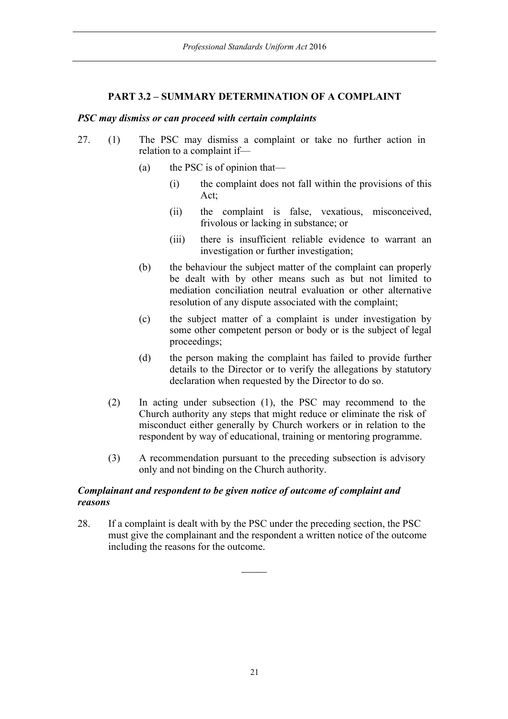### **PART 3.2 – SUMMARY DETERMINATION OF A COMPLAINT**

#### *PSC may dismiss or can proceed with certain complaints*

- 27. (1) The PSC may dismiss a complaint or take no further action in relation to a complaint if—
	- (a) the PSC is of opinion that—
		- (i) the complaint does not fall within the provisions of this Act;
		- (ii) the complaint is false, vexatious, misconceived, frivolous or lacking in substance; or
		- (iii) there is insufficient reliable evidence to warrant an investigation or further investigation;
	- (b) the behaviour the subject matter of the complaint can properly be dealt with by other means such as but not limited to mediation conciliation neutral evaluation or other alternative resolution of any dispute associated with the complaint;
	- (c) the subject matter of a complaint is under investigation by some other competent person or body or is the subject of legal proceedings;
	- (d) the person making the complaint has failed to provide further details to the Director or to verify the allegations by statutory declaration when requested by the Director to do so.
	- (2) In acting under subsection (1), the PSC may recommend to the Church authority any steps that might reduce or eliminate the risk of misconduct either generally by Church workers or in relation to the respondent by way of educational, training or mentoring programme.
	- (3) A recommendation pursuant to the preceding subsection is advisory only and not binding on the Church authority.

### *Complainant and respondent to be given notice of outcome of complaint and reasons*

28. If a complaint is dealt with by the PSC under the preceding section, the PSC must give the complainant and the respondent a written notice of the outcome including the reasons for the outcome.

 $\overline{\phantom{a}}$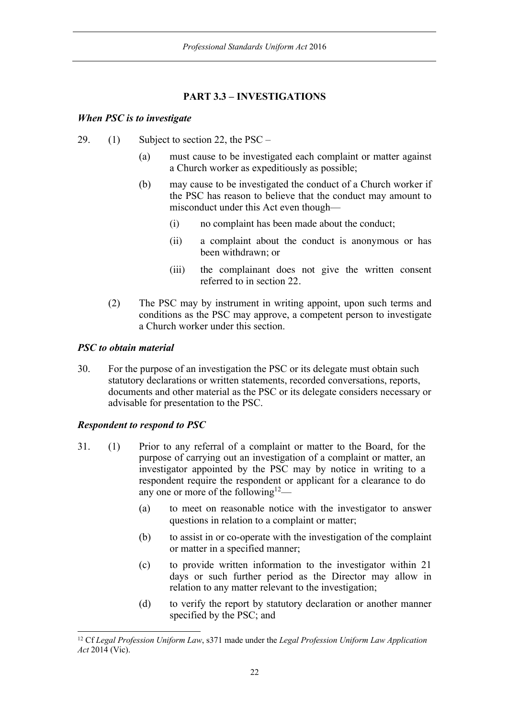# **PART 3.3 – INVESTIGATIONS**

#### *When PSC is to investigate*

- 29. (1) Subject to section 22, the PSC
	- (a) must cause to be investigated each complaint or matter against a Church worker as expeditiously as possible;
	- (b) may cause to be investigated the conduct of a Church worker if the PSC has reason to believe that the conduct may amount to misconduct under this Act even though—
		- (i) no complaint has been made about the conduct;
		- (ii) a complaint about the conduct is anonymous or has been withdrawn; or
		- (iii) the complainant does not give the written consent referred to in section 22.
	- (2) The PSC may by instrument in writing appoint, upon such terms and conditions as the PSC may approve, a competent person to investigate a Church worker under this section.

### *PSC to obtain material*

30. For the purpose of an investigation the PSC or its delegate must obtain such statutory declarations or written statements, recorded conversations, reports, documents and other material as the PSC or its delegate considers necessary or advisable for presentation to the PSC.

# *Respondent to respond to PSC*

- 31. (1) Prior to any referral of a complaint or matter to the Board, for the purpose of carrying out an investigation of a complaint or matter, an investigator appointed by the PSC may by notice in writing to a respondent require the respondent or applicant for a clearance to do any one or more of the following<sup>12</sup>—
	- (a) to meet on reasonable notice with the investigator to answer questions in relation to a complaint or matter;
	- (b) to assist in or co-operate with the investigation of the complaint or matter in a specified manner;
	- (c) to provide written information to the investigator within 21 days or such further period as the Director may allow in relation to any matter relevant to the investigation;
	- (d) to verify the report by statutory declaration or another manner specified by the PSC; and

 <sup>12</sup> Cf *Legal Profession Uniform Law*, s371 made under the *Legal Profession Uniform Law Application Act* 2014 (Vic).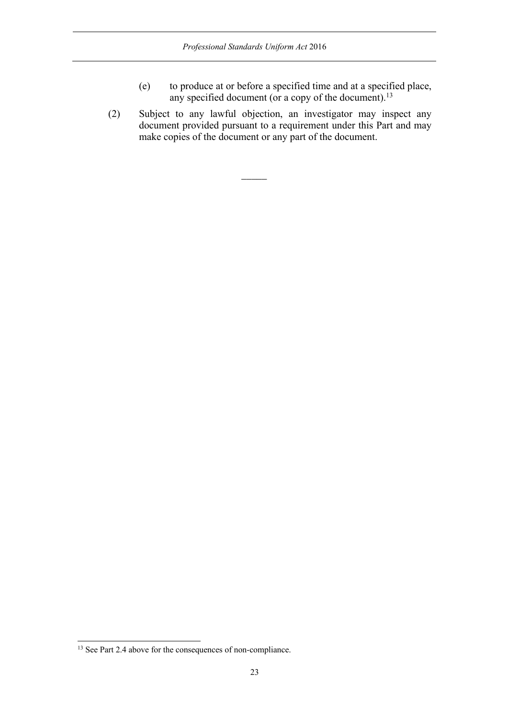- (e) to produce at or before a specified time and at a specified place, any specified document (or a copy of the document).<sup>13</sup>
- (2) Subject to any lawful objection, an investigator may inspect any document provided pursuant to a requirement under this Part and may make copies of the document or any part of the document.

 $\overline{\phantom{a}}$ 

<sup>&</sup>lt;sup>13</sup> See Part 2.4 above for the consequences of non-compliance.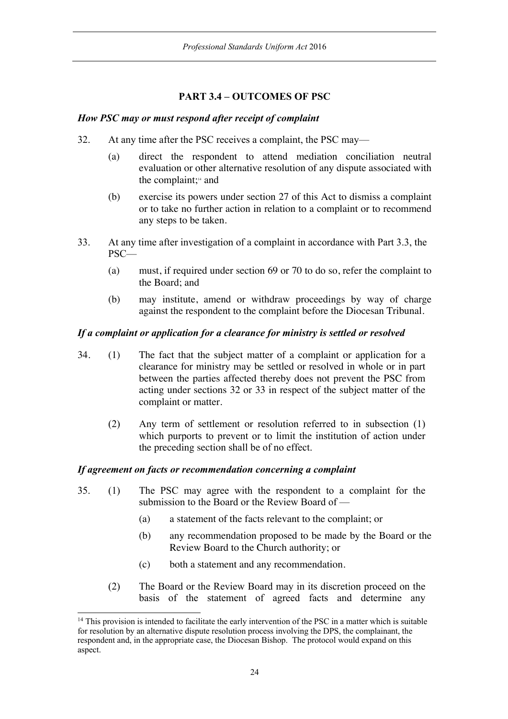# **PART 3.4 – OUTCOMES OF PSC**

#### *How PSC may or must respond after receipt of complaint*

- 32. At any time after the PSC receives a complaint, the PSC may—
	- (a) direct the respondent to attend mediation conciliation neutral evaluation or other alternative resolution of any dispute associated with the complaint;14 and
	- (b) exercise its powers under section 27 of this Act to dismiss a complaint or to take no further action in relation to a complaint or to recommend any steps to be taken.
- 33. At any time after investigation of a complaint in accordance with Part 3.3, the PSC—
	- (a) must, if required under section 69 or 70 to do so, refer the complaint to the Board; and
	- (b) may institute, amend or withdraw proceedings by way of charge against the respondent to the complaint before the Diocesan Tribunal.

#### *If a complaint or application for a clearance for ministry is settled or resolved*

- 34. (1) The fact that the subject matter of a complaint or application for a clearance for ministry may be settled or resolved in whole or in part between the parties affected thereby does not prevent the PSC from acting under sections 32 or 33 in respect of the subject matter of the complaint or matter.
	- (2) Any term of settlement or resolution referred to in subsection (1) which purports to prevent or to limit the institution of action under the preceding section shall be of no effect.

#### *If agreement on facts or recommendation concerning a complaint*

- 35. (1) The PSC may agree with the respondent to a complaint for the submission to the Board or the Review Board of —
	- (a) a statement of the facts relevant to the complaint; or
	- (b) any recommendation proposed to be made by the Board or the Review Board to the Church authority; or
	- (c) both a statement and any recommendation.
	- (2) The Board or the Review Board may in its discretion proceed on the basis of the statement of agreed facts and determine any

<sup>&</sup>lt;sup>14</sup> This provision is intended to facilitate the early intervention of the PSC in a matter which is suitable for resolution by an alternative dispute resolution process involving the DPS, the complainant, the respondent and, in the appropriate case, the Diocesan Bishop. The protocol would expand on this aspect.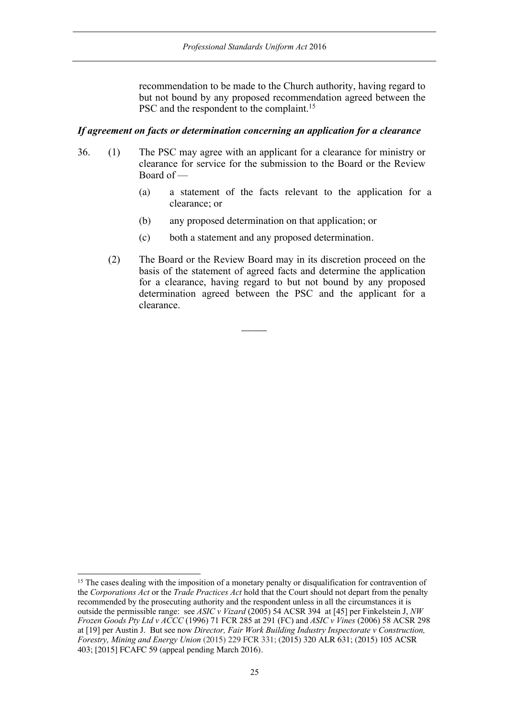recommendation to be made to the Church authority, having regard to but not bound by any proposed recommendation agreed between the PSC and the respondent to the complaint.<sup>15</sup>

#### *If agreement on facts or determination concerning an application for a clearance*

- 36. (1) The PSC may agree with an applicant for a clearance for ministry or clearance for service for the submission to the Board or the Review Board of —
	- (a) a statement of the facts relevant to the application for a clearance; or
	- (b) any proposed determination on that application; or
	- (c) both a statement and any proposed determination.

 $\overline{\phantom{a}}$ 

(2) The Board or the Review Board may in its discretion proceed on the basis of the statement of agreed facts and determine the application for a clearance, having regard to but not bound by any proposed determination agreed between the PSC and the applicant for a clearance.

<sup>&</sup>lt;sup>15</sup> The cases dealing with the imposition of a monetary penalty or disqualification for contravention of the *Corporations Act* or the *Trade Practices Act* hold that the Court should not depart from the penalty recommended by the prosecuting authority and the respondent unless in all the circumstances it is outside the permissible range: see *ASIC v Vizard* (2005) 54 ACSR 394 at [45] per Finkelstein J, *NW Frozen Goods Pty Ltd v ACCC* (1996) 71 FCR 285 at 291 (FC) and *ASIC v Vines* (2006) 58 ACSR 298 at [19] per Austin J. But see now *Director, Fair Work Building Industry Inspectorate v Construction, Forestry, Mining and Energy Union* (2015) 229 FCR 331; (2015) 320 ALR 631; (2015) 105 ACSR 403; [2015] FCAFC 59 (appeal pending March 2016).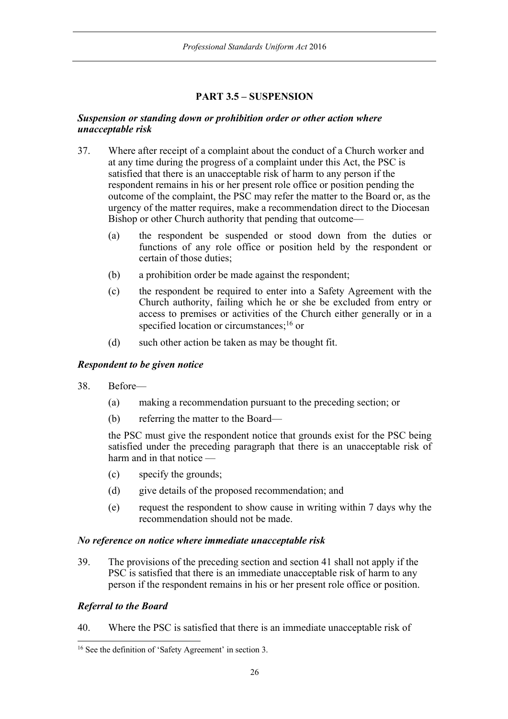# **PART 3.5 – SUSPENSION**

#### *Suspension or standing down or prohibition order or other action where unacceptable risk*

- 37. Where after receipt of a complaint about the conduct of a Church worker and at any time during the progress of a complaint under this Act, the PSC is satisfied that there is an unacceptable risk of harm to any person if the respondent remains in his or her present role office or position pending the outcome of the complaint, the PSC may refer the matter to the Board or, as the urgency of the matter requires, make a recommendation direct to the Diocesan Bishop or other Church authority that pending that outcome—
	- (a) the respondent be suspended or stood down from the duties or functions of any role office or position held by the respondent or certain of those duties;
	- (b) a prohibition order be made against the respondent;
	- (c) the respondent be required to enter into a Safety Agreement with the Church authority, failing which he or she be excluded from entry or access to premises or activities of the Church either generally or in a specified location or circumstances;<sup>16</sup> or
	- (d) such other action be taken as may be thought fit.

#### *Respondent to be given notice*

- 38. Before—
	- (a) making a recommendation pursuant to the preceding section; or
	- (b) referring the matter to the Board—

the PSC must give the respondent notice that grounds exist for the PSC being satisfied under the preceding paragraph that there is an unacceptable risk of harm and in that notice —

- (c) specify the grounds;
- (d) give details of the proposed recommendation; and
- (e) request the respondent to show cause in writing within 7 days why the recommendation should not be made.

#### *No reference on notice where immediate unacceptable risk*

39. The provisions of the preceding section and section 41 shall not apply if the PSC is satisfied that there is an immediate unacceptable risk of harm to any person if the respondent remains in his or her present role office or position.

#### *Referral to the Board*

40. Where the PSC is satisfied that there is an immediate unacceptable risk of

 <sup>16</sup> See the definition of 'Safety Agreement' in section 3.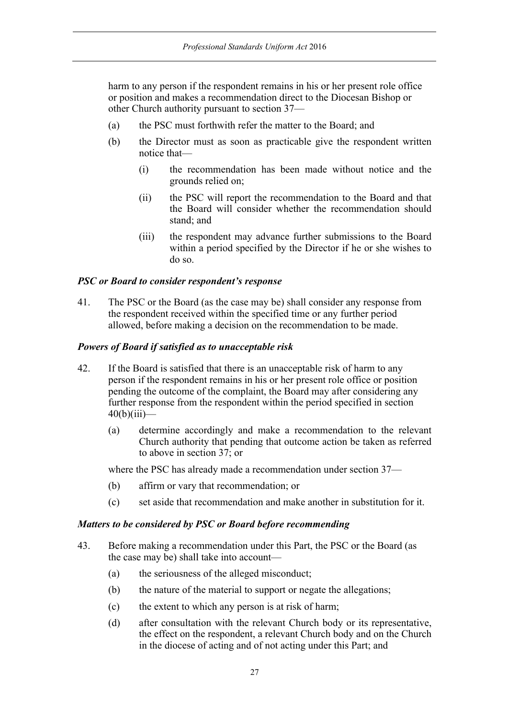harm to any person if the respondent remains in his or her present role office or position and makes a recommendation direct to the Diocesan Bishop or other Church authority pursuant to section 37—

- (a) the PSC must forthwith refer the matter to the Board; and
- (b) the Director must as soon as practicable give the respondent written notice that—
	- (i) the recommendation has been made without notice and the grounds relied on;
	- (ii) the PSC will report the recommendation to the Board and that the Board will consider whether the recommendation should stand; and
	- (iii) the respondent may advance further submissions to the Board within a period specified by the Director if he or she wishes to do so.

#### *PSC or Board to consider respondent's response*

41. The PSC or the Board (as the case may be) shall consider any response from the respondent received within the specified time or any further period allowed, before making a decision on the recommendation to be made.

#### *Powers of Board if satisfied as to unacceptable risk*

- 42. If the Board is satisfied that there is an unacceptable risk of harm to any person if the respondent remains in his or her present role office or position pending the outcome of the complaint, the Board may after considering any further response from the respondent within the period specified in section  $40(b)(iii)$ —
	- (a) determine accordingly and make a recommendation to the relevant Church authority that pending that outcome action be taken as referred to above in section 37; or

where the PSC has already made a recommendation under section 37—

- (b) affirm or vary that recommendation; or
- (c) set aside that recommendation and make another in substitution for it.

#### *Matters to be considered by PSC or Board before recommending*

- 43. Before making a recommendation under this Part, the PSC or the Board (as the case may be) shall take into account—
	- (a) the seriousness of the alleged misconduct;
	- (b) the nature of the material to support or negate the allegations;
	- (c) the extent to which any person is at risk of harm;
	- (d) after consultation with the relevant Church body or its representative, the effect on the respondent, a relevant Church body and on the Church in the diocese of acting and of not acting under this Part; and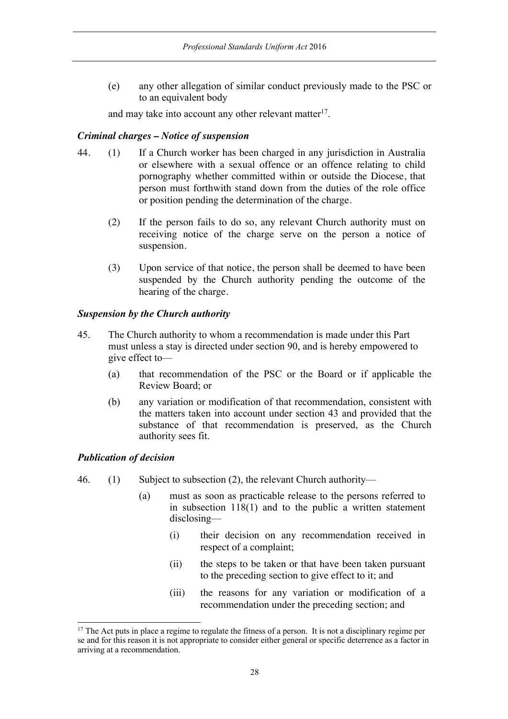(e) any other allegation of similar conduct previously made to the PSC or to an equivalent body

and may take into account any other relevant matter<sup>17</sup>.

### *Criminal charges – Notice of suspension*

- 44. (1) If a Church worker has been charged in any jurisdiction in Australia or elsewhere with a sexual offence or an offence relating to child pornography whether committed within or outside the Diocese, that person must forthwith stand down from the duties of the role office or position pending the determination of the charge.
	- (2) If the person fails to do so, any relevant Church authority must on receiving notice of the charge serve on the person a notice of suspension.
	- (3) Upon service of that notice, the person shall be deemed to have been suspended by the Church authority pending the outcome of the hearing of the charge.

### *Suspension by the Church authority*

- 45. The Church authority to whom a recommendation is made under this Part must unless a stay is directed under section 90, and is hereby empowered to give effect to—
	- (a) that recommendation of the PSC or the Board or if applicable the Review Board; or
	- (b) any variation or modification of that recommendation, consistent with the matters taken into account under section 43 and provided that the substance of that recommendation is preserved, as the Church authority sees fit.

# *Publication of decision*

- 46. (1) Subject to subsection (2), the relevant Church authority—
	- (a) must as soon as practicable release to the persons referred to in subsection 118(1) and to the public a written statement disclosing—
		- (i) their decision on any recommendation received in respect of a complaint;
		- (ii) the steps to be taken or that have been taken pursuant to the preceding section to give effect to it; and
		- (iii) the reasons for any variation or modification of a recommendation under the preceding section; and

 $17$  The Act puts in place a regime to regulate the fitness of a person. It is not a disciplinary regime per se and for this reason it is not appropriate to consider either general or specific deterrence as a factor in arriving at a recommendation.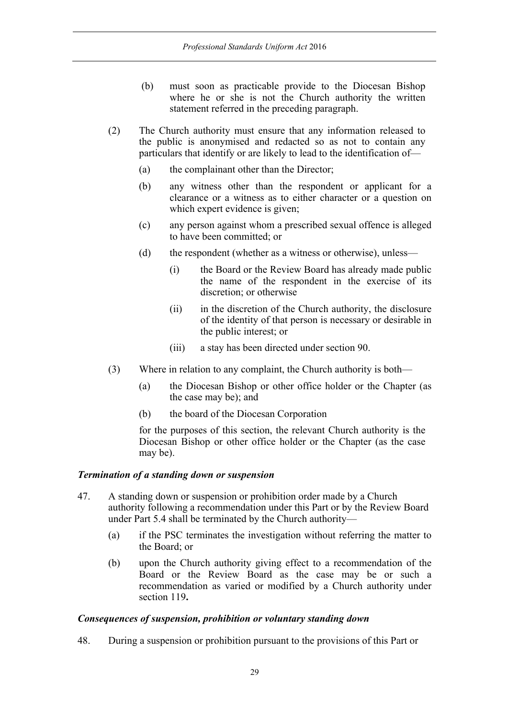- (b) must soon as practicable provide to the Diocesan Bishop where he or she is not the Church authority the written statement referred in the preceding paragraph.
- (2) The Church authority must ensure that any information released to the public is anonymised and redacted so as not to contain any particulars that identify or are likely to lead to the identification of—
	- (a) the complainant other than the Director;
	- (b) any witness other than the respondent or applicant for a clearance or a witness as to either character or a question on which expert evidence is given;
	- (c) any person against whom a prescribed sexual offence is alleged to have been committed; or
	- (d) the respondent (whether as a witness or otherwise), unless—
		- (i) the Board or the Review Board has already made public the name of the respondent in the exercise of its discretion; or otherwise
		- (ii) in the discretion of the Church authority, the disclosure of the identity of that person is necessary or desirable in the public interest; or
		- (iii) a stay has been directed under section 90.
- (3) Where in relation to any complaint, the Church authority is both—
	- (a) the Diocesan Bishop or other office holder or the Chapter (as the case may be); and
	- (b) the board of the Diocesan Corporation

for the purposes of this section, the relevant Church authority is the Diocesan Bishop or other office holder or the Chapter (as the case may be).

#### *Termination of a standing down or suspension*

- 47. A standing down or suspension or prohibition order made by a Church authority following a recommendation under this Part or by the Review Board under Part 5.4 shall be terminated by the Church authority—
	- (a) if the PSC terminates the investigation without referring the matter to the Board; or
	- (b) upon the Church authority giving effect to a recommendation of the Board or the Review Board as the case may be or such a recommendation as varied or modified by a Church authority under section 119**.**

#### *Consequences of suspension, prohibition or voluntary standing down*

48. During a suspension or prohibition pursuant to the provisions of this Part or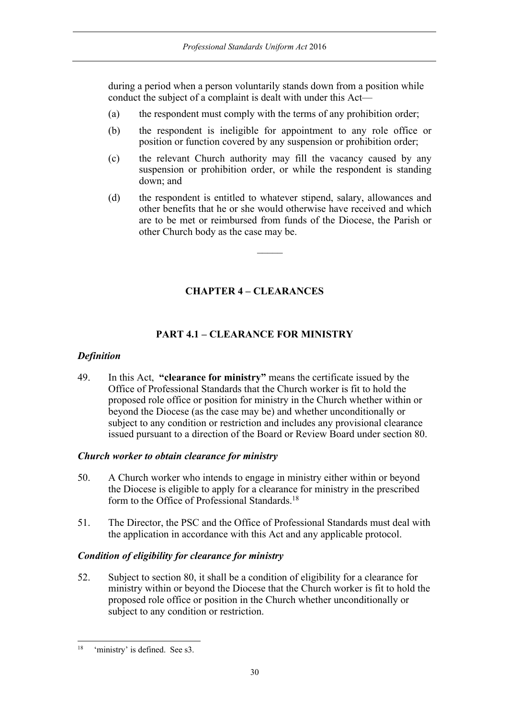during a period when a person voluntarily stands down from a position while conduct the subject of a complaint is dealt with under this Act—

- (a) the respondent must comply with the terms of any prohibition order;
- (b) the respondent is ineligible for appointment to any role office or position or function covered by any suspension or prohibition order;
- (c) the relevant Church authority may fill the vacancy caused by any suspension or prohibition order, or while the respondent is standing down; and
- (d) the respondent is entitled to whatever stipend, salary, allowances and other benefits that he or she would otherwise have received and which are to be met or reimbursed from funds of the Diocese, the Parish or other Church body as the case may be.

 $\mathcal{L}$ 

# **CHAPTER 4 – CLEARANCES**

### **PART 4.1 – CLEARANCE FOR MINISTRY**

#### *Definition*

49. In this Act, **"clearance for ministry"** means the certificate issued by the Office of Professional Standards that the Church worker is fit to hold the proposed role office or position for ministry in the Church whether within or beyond the Diocese (as the case may be) and whether unconditionally or subject to any condition or restriction and includes any provisional clearance issued pursuant to a direction of the Board or Review Board under section 80.

#### *Church worker to obtain clearance for ministry*

- 50. A Church worker who intends to engage in ministry either within or beyond the Diocese is eligible to apply for a clearance for ministry in the prescribed form to the Office of Professional Standards.18
- 51. The Director, the PSC and the Office of Professional Standards must deal with the application in accordance with this Act and any applicable protocol.

#### *Condition of eligibility for clearance for ministry*

52. Subject to section 80, it shall be a condition of eligibility for a clearance for ministry within or beyond the Diocese that the Church worker is fit to hold the proposed role office or position in the Church whether unconditionally or subject to any condition or restriction.

 <sup>18 &#</sup>x27;ministry' is defined. See s3.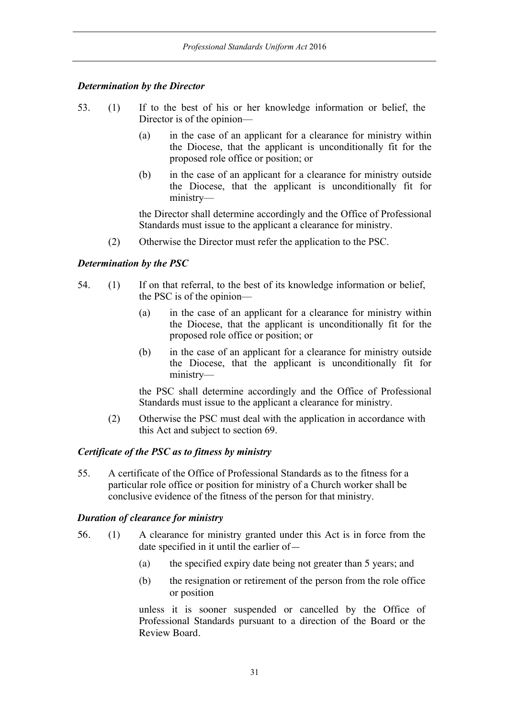#### *Determination by the Director*

- 53. (1) If to the best of his or her knowledge information or belief, the Director is of the opinion—
	- (a) in the case of an applicant for a clearance for ministry within the Diocese, that the applicant is unconditionally fit for the proposed role office or position; or
	- (b) in the case of an applicant for a clearance for ministry outside the Diocese, that the applicant is unconditionally fit for ministry—

the Director shall determine accordingly and the Office of Professional Standards must issue to the applicant a clearance for ministry.

(2) Otherwise the Director must refer the application to the PSC.

### *Determination by the PSC*

- 54. (1) If on that referral, to the best of its knowledge information or belief, the PSC is of the opinion—
	- (a) in the case of an applicant for a clearance for ministry within the Diocese, that the applicant is unconditionally fit for the proposed role office or position; or
	- (b) in the case of an applicant for a clearance for ministry outside the Diocese, that the applicant is unconditionally fit for ministry—

the PSC shall determine accordingly and the Office of Professional Standards must issue to the applicant a clearance for ministry.

(2) Otherwise the PSC must deal with the application in accordance with this Act and subject to section 69.

#### *Certificate of the PSC as to fitness by ministry*

55. A certificate of the Office of Professional Standards as to the fitness for a particular role office or position for ministry of a Church worker shall be conclusive evidence of the fitness of the person for that ministry.

#### *Duration of clearance for ministry*

- 56. (1) A clearance for ministry granted under this Act is in force from the date specified in it until the earlier of—
	- (a) the specified expiry date being not greater than 5 years; and
	- (b) the resignation or retirement of the person from the role office or position

unless it is sooner suspended or cancelled by the Office of Professional Standards pursuant to a direction of the Board or the Review Board.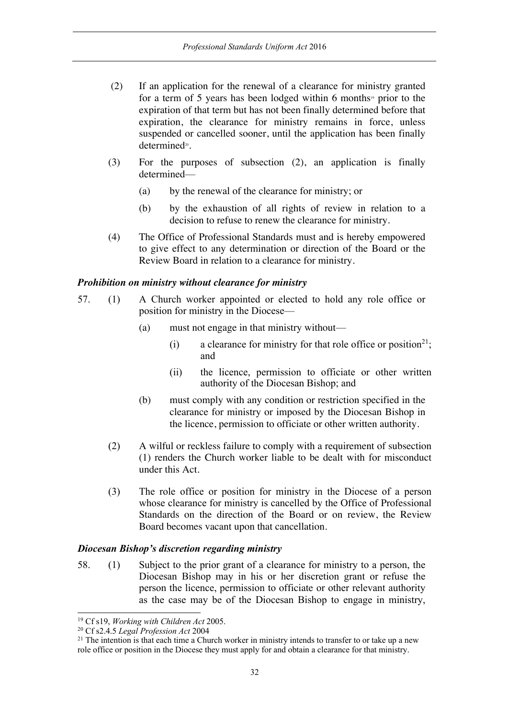- (2) If an application for the renewal of a clearance for ministry granted for a term of 5 years has been lodged within 6 months<sup>19</sup> prior to the expiration of that term but has not been finally determined before that expiration, the clearance for ministry remains in force, unless suspended or cancelled sooner, until the application has been finally determined<sup>20</sup>.
- (3) For the purposes of subsection (2), an application is finally determined—
	- (a) by the renewal of the clearance for ministry; or
	- (b) by the exhaustion of all rights of review in relation to a decision to refuse to renew the clearance for ministry.
- (4) The Office of Professional Standards must and is hereby empowered to give effect to any determination or direction of the Board or the Review Board in relation to a clearance for ministry.

#### *Prohibition on ministry without clearance for ministry*

- 57. (1) A Church worker appointed or elected to hold any role office or position for ministry in the Diocese—
	- (a) must not engage in that ministry without—
		- (i) a clearance for ministry for that role office or position<sup>21</sup>; and
		- (ii) the licence, permission to officiate or other written authority of the Diocesan Bishop; and
	- (b) must comply with any condition or restriction specified in the clearance for ministry or imposed by the Diocesan Bishop in the licence, permission to officiate or other written authority.
	- (2) A wilful or reckless failure to comply with a requirement of subsection (1) renders the Church worker liable to be dealt with for misconduct under this Act.
	- (3) The role office or position for ministry in the Diocese of a person whose clearance for ministry is cancelled by the Office of Professional Standards on the direction of the Board or on review, the Review Board becomes vacant upon that cancellation.

#### *Diocesan Bishop's discretion regarding ministry*

58. (1) Subject to the prior grant of a clearance for ministry to a person, the Diocesan Bishop may in his or her discretion grant or refuse the person the licence, permission to officiate or other relevant authority as the case may be of the Diocesan Bishop to engage in ministry,

 <sup>19</sup> Cf s19, *Working with Children Act* 2005.

<sup>20</sup> Cf s2.4.5 *Legal Profession Act* 2004

<sup>&</sup>lt;sup>21</sup> The intention is that each time a Church worker in ministry intends to transfer to or take up a new role office or position in the Diocese they must apply for and obtain a clearance for that ministry.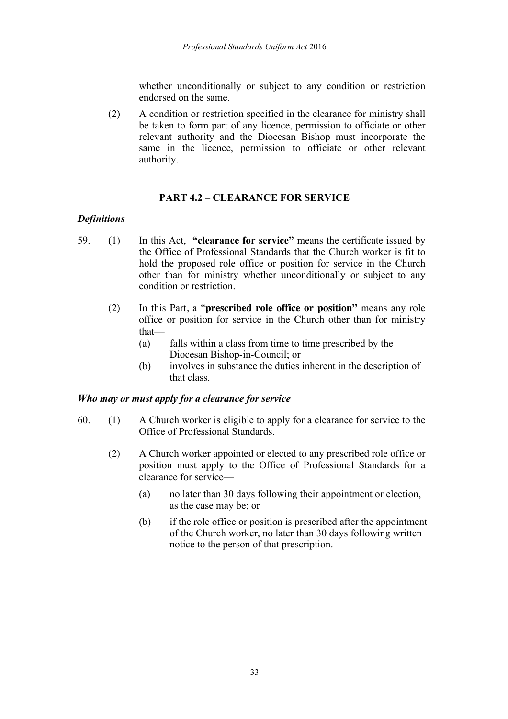whether unconditionally or subject to any condition or restriction endorsed on the same.

(2) A condition or restriction specified in the clearance for ministry shall be taken to form part of any licence, permission to officiate or other relevant authority and the Diocesan Bishop must incorporate the same in the licence, permission to officiate or other relevant authority.

### **PART 4.2 – CLEARANCE FOR SERVICE**

#### *Definitions*

- 59. (1) In this Act, **"clearance for service"** means the certificate issued by the Office of Professional Standards that the Church worker is fit to hold the proposed role office or position for service in the Church other than for ministry whether unconditionally or subject to any condition or restriction.
	- (2) In this Part, a "**prescribed role office or position"** means any role office or position for service in the Church other than for ministry that—
		- (a) falls within a class from time to time prescribed by the Diocesan Bishop-in-Council; or
		- (b) involves in substance the duties inherent in the description of that class.

#### *Who may or must apply for a clearance for service*

- 60. (1) A Church worker is eligible to apply for a clearance for service to the Office of Professional Standards.
	- (2) A Church worker appointed or elected to any prescribed role office or position must apply to the Office of Professional Standards for a clearance for service—
		- (a) no later than 30 days following their appointment or election, as the case may be; or
		- (b) if the role office or position is prescribed after the appointment of the Church worker, no later than 30 days following written notice to the person of that prescription.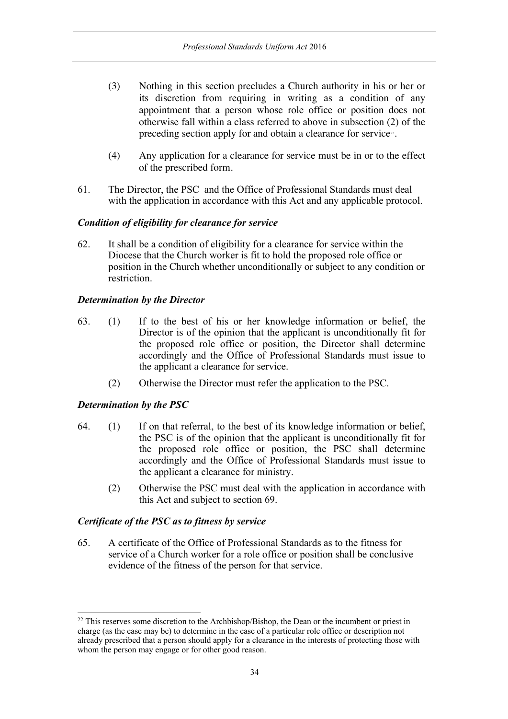- (3) Nothing in this section precludes a Church authority in his or her or its discretion from requiring in writing as a condition of any appointment that a person whose role office or position does not otherwise fall within a class referred to above in subsection (2) of the preceding section apply for and obtain a clearance for service<sup>22</sup>.
- (4) Any application for a clearance for service must be in or to the effect of the prescribed form.
- 61. The Director, the PSC and the Office of Professional Standards must deal with the application in accordance with this Act and any applicable protocol.

#### *Condition of eligibility for clearance for service*

62. It shall be a condition of eligibility for a clearance for service within the Diocese that the Church worker is fit to hold the proposed role office or position in the Church whether unconditionally or subject to any condition or restriction.

### *Determination by the Director*

- 63. (1) If to the best of his or her knowledge information or belief, the Director is of the opinion that the applicant is unconditionally fit for the proposed role office or position, the Director shall determine accordingly and the Office of Professional Standards must issue to the applicant a clearance for service.
	- (2) Otherwise the Director must refer the application to the PSC.

# *Determination by the PSC*

- 64. (1) If on that referral, to the best of its knowledge information or belief, the PSC is of the opinion that the applicant is unconditionally fit for the proposed role office or position, the PSC shall determine accordingly and the Office of Professional Standards must issue to the applicant a clearance for ministry.
	- (2) Otherwise the PSC must deal with the application in accordance with this Act and subject to section 69.

### *Certificate of the PSC as to fitness by service*

65. A certificate of the Office of Professional Standards as to the fitness for service of a Church worker for a role office or position shall be conclusive evidence of the fitness of the person for that service.

<sup>&</sup>lt;sup>22</sup> This reserves some discretion to the Archbishop/Bishop, the Dean or the incumbent or priest in charge (as the case may be) to determine in the case of a particular role office or description not already prescribed that a person should apply for a clearance in the interests of protecting those with whom the person may engage or for other good reason.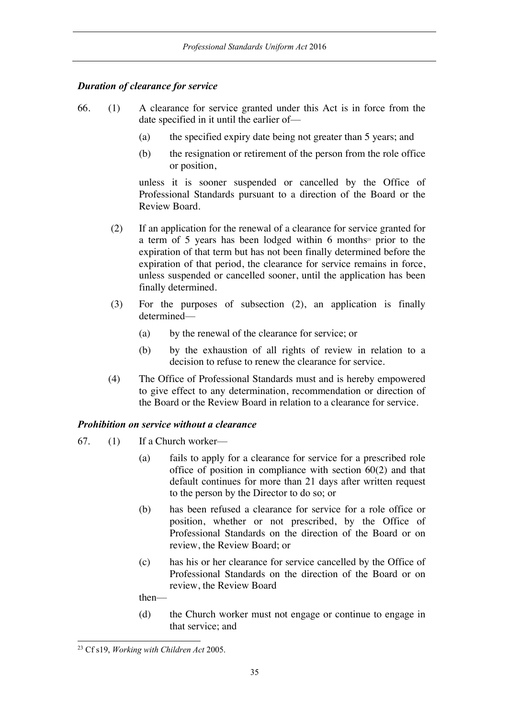### *Duration of clearance for service*

- 66. (1) A clearance for service granted under this Act is in force from the date specified in it until the earlier of—
	- (a) the specified expiry date being not greater than 5 years; and
	- (b) the resignation or retirement of the person from the role office or position,

unless it is sooner suspended or cancelled by the Office of Professional Standards pursuant to a direction of the Board or the Review Board.

- (2) If an application for the renewal of a clearance for service granted for a term of 5 years has been lodged within 6 months<sup>23</sup> prior to the expiration of that term but has not been finally determined before the expiration of that period, the clearance for service remains in force, unless suspended or cancelled sooner, until the application has been finally determined.
- (3) For the purposes of subsection (2), an application is finally determined—
	- (a) by the renewal of the clearance for service; or
	- (b) by the exhaustion of all rights of review in relation to a decision to refuse to renew the clearance for service.
- (4) The Office of Professional Standards must and is hereby empowered to give effect to any determination, recommendation or direction of the Board or the Review Board in relation to a clearance for service.

# *Prohibition on service without a clearance*

- 67. (1) If a Church worker—
	- (a) fails to apply for a clearance for service for a prescribed role office of position in compliance with section 60(2) and that default continues for more than 21 days after written request to the person by the Director to do so; or
	- (b) has been refused a clearance for service for a role office or position, whether or not prescribed, by the Office of Professional Standards on the direction of the Board or on review, the Review Board; or
	- (c) has his or her clearance for service cancelled by the Office of Professional Standards on the direction of the Board or on review, the Review Board

then—

(d) the Church worker must not engage or continue to engage in that service; and

 <sup>23</sup> Cf s19, *Working with Children Act* 2005.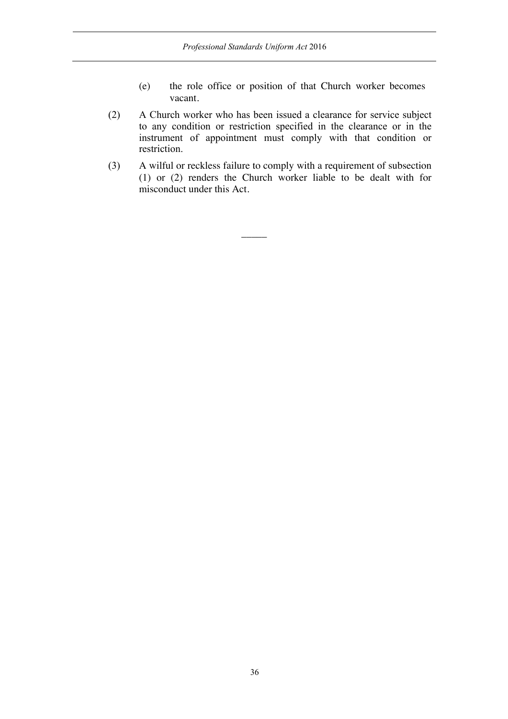- (e) the role office or position of that Church worker becomes vacant.
- (2) A Church worker who has been issued a clearance for service subject to any condition or restriction specified in the clearance or in the instrument of appointment must comply with that condition or restriction.
- (3) A wilful or reckless failure to comply with a requirement of subsection (1) or (2) renders the Church worker liable to be dealt with for misconduct under this Act.

 $\overline{\phantom{a}}$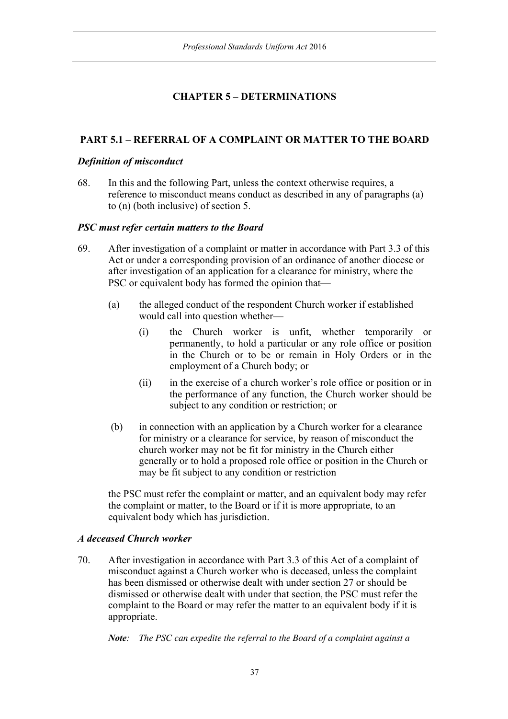# **CHAPTER 5 – DETERMINATIONS**

# **PART 5.1 – REFERRAL OF A COMPLAINT OR MATTER TO THE BOARD**

# *Definition of misconduct*

68. In this and the following Part, unless the context otherwise requires, a reference to misconduct means conduct as described in any of paragraphs (a) to (n) (both inclusive) of section 5.

## *PSC must refer certain matters to the Board*

- 69. After investigation of a complaint or matter in accordance with Part 3.3 of this Act or under a corresponding provision of an ordinance of another diocese or after investigation of an application for a clearance for ministry, where the PSC or equivalent body has formed the opinion that—
	- (a) the alleged conduct of the respondent Church worker if established would call into question whether—
		- (i) the Church worker is unfit, whether temporarily or permanently, to hold a particular or any role office or position in the Church or to be or remain in Holy Orders or in the employment of a Church body; or
		- (ii) in the exercise of a church worker's role office or position or in the performance of any function, the Church worker should be subject to any condition or restriction; or
	- (b) in connection with an application by a Church worker for a clearance for ministry or a clearance for service, by reason of misconduct the church worker may not be fit for ministry in the Church either generally or to hold a proposed role office or position in the Church or may be fit subject to any condition or restriction

the PSC must refer the complaint or matter, and an equivalent body may refer the complaint or matter, to the Board or if it is more appropriate, to an equivalent body which has jurisdiction.

# *A deceased Church worker*

70. After investigation in accordance with Part 3.3 of this Act of a complaint of misconduct against a Church worker who is deceased, unless the complaint has been dismissed or otherwise dealt with under section 27 or should be dismissed or otherwise dealt with under that section, the PSC must refer the complaint to the Board or may refer the matter to an equivalent body if it is appropriate.

*Note: The PSC can expedite the referral to the Board of a complaint against a*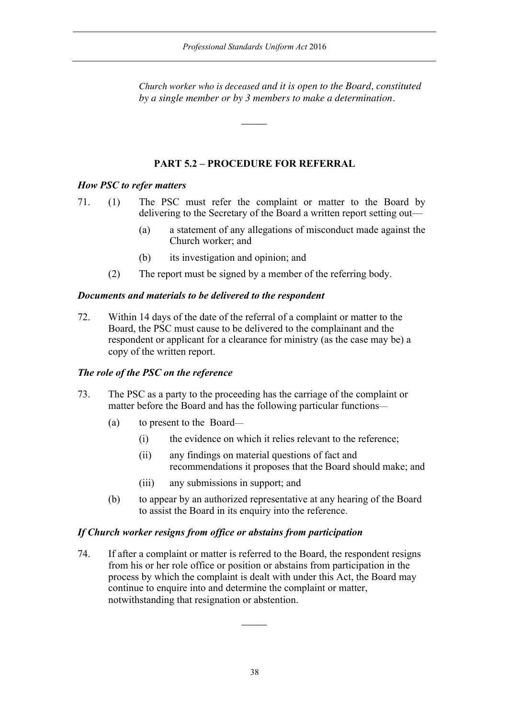*Church worker who is deceased and it is open to the Board, constituted by a single member or by 3 members to make a determination.*

# **PART 5.2 – PROCEDURE FOR REFERRAL**

 $\overline{\phantom{a}}$ 

# *How PSC to refer matters*

71. (1) The PSC must refer the complaint or matter to the Board by delivering to the Secretary of the Board a written report setting out—

- (a) a statement of any allegations of misconduct made against the Church worker; and
- (b) its investigation and opinion; and
- (2) The report must be signed by a member of the referring body.

## *Documents and materials to be delivered to the respondent*

72. Within 14 days of the date of the referral of a complaint or matter to the Board, the PSC must cause to be delivered to the complainant and the respondent or applicant for a clearance for ministry (as the case may be) a copy of the written report.

## *The role of the PSC on the reference*

- 73. The PSC as a party to the proceeding has the carriage of the complaint or matter before the Board and has the following particular functions—
	- (a) to present to the Board—
		- (i) the evidence on which it relies relevant to the reference;
		- (ii) any findings on material questions of fact and recommendations it proposes that the Board should make; and
		- (iii) any submissions in support; and
	- (b) to appear by an authorized representative at any hearing of the Board to assist the Board in its enquiry into the reference.

## *If Church worker resigns from office or abstains from participation*

74. If after a complaint or matter is referred to the Board, the respondent resigns from his or her role office or position or abstains from participation in the process by which the complaint is dealt with under this Act, the Board may continue to enquire into and determine the complaint or matter, notwithstanding that resignation or abstention.

 $\overline{\phantom{a}}$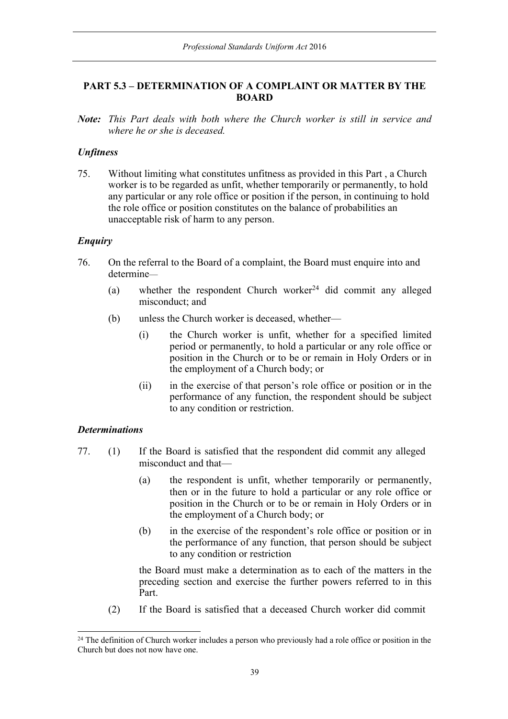# **PART 5.3 – DETERMINATION OF A COMPLAINT OR MATTER BY THE BOARD**

*Note: This Part deals with both where the Church worker is still in service and where he or she is deceased.*

## *Unfitness*

75. Without limiting what constitutes unfitness as provided in this Part , a Church worker is to be regarded as unfit, whether temporarily or permanently, to hold any particular or any role office or position if the person, in continuing to hold the role office or position constitutes on the balance of probabilities an unacceptable risk of harm to any person.

## *Enquiry*

- 76. On the referral to the Board of a complaint, the Board must enquire into and determine—
	- (a) whether the respondent Church worker<sup>24</sup> did commit any alleged misconduct; and
	- (b) unless the Church worker is deceased, whether—
		- (i) the Church worker is unfit, whether for a specified limited period or permanently, to hold a particular or any role office or position in the Church or to be or remain in Holy Orders or in the employment of a Church body; or
		- (ii) in the exercise of that person's role office or position or in the performance of any function, the respondent should be subject to any condition or restriction.

### *Determinations*

- 77. (1) If the Board is satisfied that the respondent did commit any alleged misconduct and that—
	- (a) the respondent is unfit, whether temporarily or permanently, then or in the future to hold a particular or any role office or position in the Church or to be or remain in Holy Orders or in the employment of a Church body; or
	- (b) in the exercise of the respondent's role office or position or in the performance of any function, that person should be subject to any condition or restriction

the Board must make a determination as to each of the matters in the preceding section and exercise the further powers referred to in this Part.

(2) If the Board is satisfied that a deceased Church worker did commit

<sup>&</sup>lt;sup>24</sup> The definition of Church worker includes a person who previously had a role office or position in the Church but does not now have one.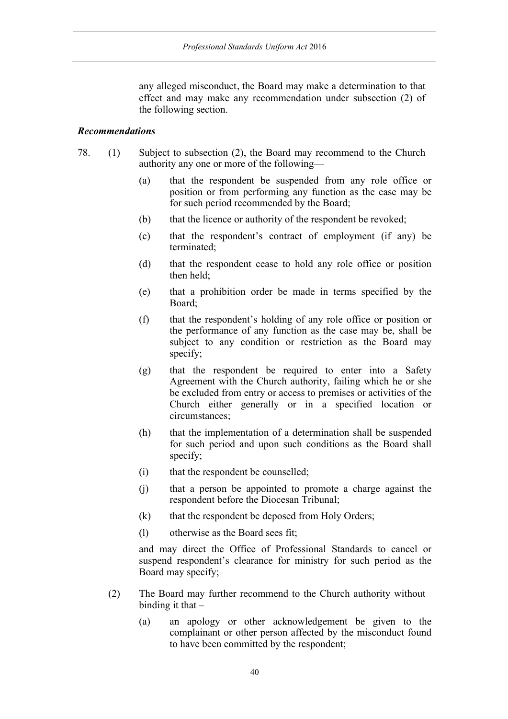any alleged misconduct, the Board may make a determination to that effect and may make any recommendation under subsection (2) of the following section.

## *Recommendations*

- 78. (1) Subject to subsection (2), the Board may recommend to the Church authority any one or more of the following—
	- (a) that the respondent be suspended from any role office or position or from performing any function as the case may be for such period recommended by the Board;
	- (b) that the licence or authority of the respondent be revoked;
	- (c) that the respondent's contract of employment (if any) be terminated;
	- (d) that the respondent cease to hold any role office or position then held;
	- (e) that a prohibition order be made in terms specified by the Board;
	- (f) that the respondent's holding of any role office or position or the performance of any function as the case may be, shall be subject to any condition or restriction as the Board may specify;
	- (g) that the respondent be required to enter into a Safety Agreement with the Church authority, failing which he or she be excluded from entry or access to premises or activities of the Church either generally or in a specified location or circumstances;
	- (h) that the implementation of a determination shall be suspended for such period and upon such conditions as the Board shall specify;
	- (i) that the respondent be counselled;
	- (j) that a person be appointed to promote a charge against the respondent before the Diocesan Tribunal;
	- (k) that the respondent be deposed from Holy Orders;
	- (l) otherwise as the Board sees fit;

and may direct the Office of Professional Standards to cancel or suspend respondent's clearance for ministry for such period as the Board may specify;

- (2) The Board may further recommend to the Church authority without binding it that  $-$ 
	- (a) an apology or other acknowledgement be given to the complainant or other person affected by the misconduct found to have been committed by the respondent;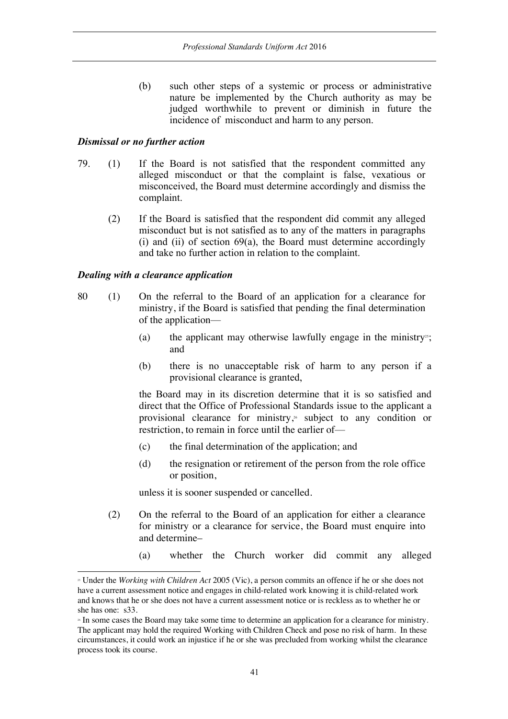(b) such other steps of a systemic or process or administrative nature be implemented by the Church authority as may be judged worthwhile to prevent or diminish in future the incidence of misconduct and harm to any person.

## *Dismissal or no further action*

- 79. (1) If the Board is not satisfied that the respondent committed any alleged misconduct or that the complaint is false, vexatious or misconceived, the Board must determine accordingly and dismiss the complaint.
	- (2) If the Board is satisfied that the respondent did commit any alleged misconduct but is not satisfied as to any of the matters in paragraphs (i) and (ii) of section 69(a), the Board must determine accordingly and take no further action in relation to the complaint.

## *Dealing with a clearance application*

l

- 80 (1) On the referral to the Board of an application for a clearance for ministry, if the Board is satisfied that pending the final determination of the application—
	- (a) the applicant may otherwise lawfully engage in the ministry<sup>25</sup>; and
	- (b) there is no unacceptable risk of harm to any person if a provisional clearance is granted,

the Board may in its discretion determine that it is so satisfied and direct that the Office of Professional Standards issue to the applicant a provisional clearance for ministry, <sup>26</sup> subject to any condition or restriction, to remain in force until the earlier of—

- (c) the final determination of the application; and
- (d) the resignation or retirement of the person from the role office or position,

unless it is sooner suspended or cancelled.

- (2) On the referral to the Board of an application for either a clearance for ministry or a clearance for service, the Board must enquire into and determine–
	- (a) whether the Church worker did commit any alleged

<sup>25</sup> Under the *Working with Children Act* 2005 (Vic), a person commits an offence if he or she does not have a current assessment notice and engages in child-related work knowing it is child-related work and knows that he or she does not have a current assessment notice or is reckless as to whether he or she has one: s33.<br>
<sup>26</sup> In some cases the Board may take some time to determine an application for a clearance for ministry.

The applicant may hold the required Working with Children Check and pose no risk of harm. In these circumstances, it could work an injustice if he or she was precluded from working whilst the clearance process took its course.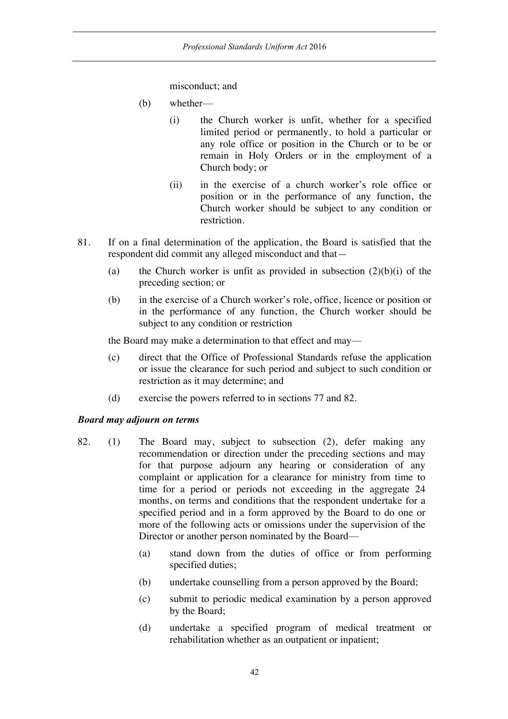misconduct; and

- (b) whether—
	- (i) the Church worker is unfit, whether for a specified limited period or permanently, to hold a particular or any role office or position in the Church or to be or remain in Holy Orders or in the employment of a Church body; or
	- (ii) in the exercise of a church worker's role office or position or in the performance of any function, the Church worker should be subject to any condition or restriction.
- 81. If on a final determination of the application, the Board is satisfied that the respondent did commit any alleged misconduct and that—
	- (a) the Church worker is unfit as provided in subsection  $(2)(b)(i)$  of the preceding section; or
	- (b) in the exercise of a Church worker's role, office, licence or position or in the performance of any function, the Church worker should be subject to any condition or restriction

the Board may make a determination to that effect and may—

- (c) direct that the Office of Professional Standards refuse the application or issue the clearance for such period and subject to such condition or restriction as it may determine; and
- (d) exercise the powers referred to in sections 77 and 82.

## *Board may adjourn on terms*

- 82. (1) The Board may, subject to subsection (2), defer making any recommendation or direction under the preceding sections and may for that purpose adjourn any hearing or consideration of any complaint or application for a clearance for ministry from time to time for a period or periods not exceeding in the aggregate 24 months, on terms and conditions that the respondent undertake for a specified period and in a form approved by the Board to do one or more of the following acts or omissions under the supervision of the Director or another person nominated by the Board—
	- (a) stand down from the duties of office or from performing specified duties;
	- (b) undertake counselling from a person approved by the Board;
	- (c) submit to periodic medical examination by a person approved by the Board;
	- (d) undertake a specified program of medical treatment or rehabilitation whether as an outpatient or inpatient;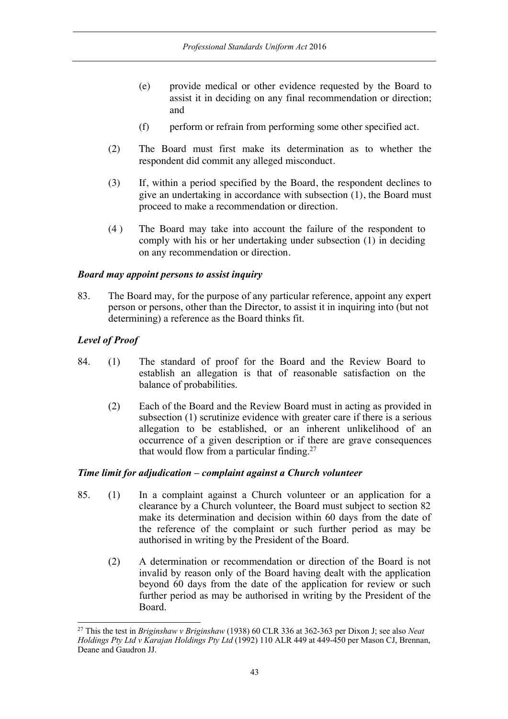- (e) provide medical or other evidence requested by the Board to assist it in deciding on any final recommendation or direction; and
- (f) perform or refrain from performing some other specified act.
- (2) The Board must first make its determination as to whether the respondent did commit any alleged misconduct.
- (3) If, within a period specified by the Board, the respondent declines to give an undertaking in accordance with subsection (1), the Board must proceed to make a recommendation or direction.
- (4 ) The Board may take into account the failure of the respondent to comply with his or her undertaking under subsection (1) in deciding on any recommendation or direction.

## *Board may appoint persons to assist inquiry*

83. The Board may, for the purpose of any particular reference, appoint any expert person or persons, other than the Director, to assist it in inquiring into (but not determining) a reference as the Board thinks fit.

## *Level of Proof*

- 84. (1) The standard of proof for the Board and the Review Board to establish an allegation is that of reasonable satisfaction on the balance of probabilities.
	- (2) Each of the Board and the Review Board must in acting as provided in subsection (1) scrutinize evidence with greater care if there is a serious allegation to be established, or an inherent unlikelihood of an occurrence of a given description or if there are grave consequences that would flow from a particular finding.<sup>27</sup>

# *Time limit for adjudication – complaint against a Church volunteer*

- 85. (1) In a complaint against a Church volunteer or an application for a clearance by a Church volunteer, the Board must subject to section 82 make its determination and decision within 60 days from the date of the reference of the complaint or such further period as may be authorised in writing by the President of the Board.
	- (2) A determination or recommendation or direction of the Board is not invalid by reason only of the Board having dealt with the application beyond 60 days from the date of the application for review or such further period as may be authorised in writing by the President of the Board.

 <sup>27</sup> This the test in *Briginshaw v Briginshaw* (1938) 60 CLR 336 at 362-363 per Dixon J; see also *Neat Holdings Pty Ltd v Karajan Holdings Pty Ltd* (1992) 110 ALR 449 at 449-450 per Mason CJ, Brennan, Deane and Gaudron JJ.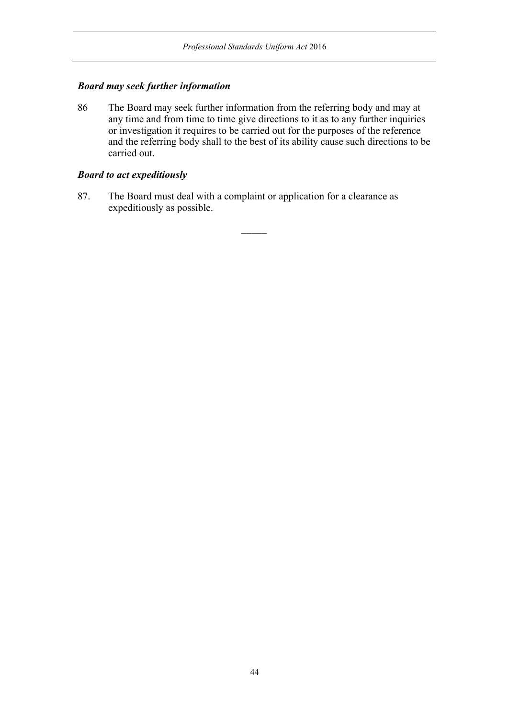## *Board may seek further information*

86 The Board may seek further information from the referring body and may at any time and from time to time give directions to it as to any further inquiries or investigation it requires to be carried out for the purposes of the reference and the referring body shall to the best of its ability cause such directions to be carried out.

## *Board to act expeditiously*

87. The Board must deal with a complaint or application for a clearance as expeditiously as possible.

 $\overline{\phantom{a}}$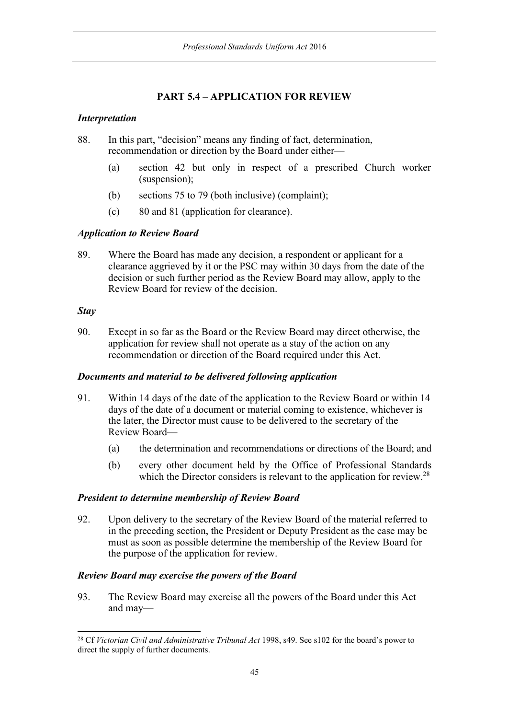# **PART 5.4 – APPLICATION FOR REVIEW**

## *Interpretation*

88. In this part, "decision" means any finding of fact, determination, recommendation or direction by the Board under either—

- (a) section 42 but only in respect of a prescribed Church worker (suspension);
- (b) sections 75 to 79 (both inclusive) (complaint);
- (c) 80 and 81 (application for clearance).

# *Application to Review Board*

89. Where the Board has made any decision, a respondent or applicant for a clearance aggrieved by it or the PSC may within 30 days from the date of the decision or such further period as the Review Board may allow, apply to the Review Board for review of the decision.

## *Stay*

90. Except in so far as the Board or the Review Board may direct otherwise, the application for review shall not operate as a stay of the action on any recommendation or direction of the Board required under this Act.

## *Documents and material to be delivered following application*

- 91. Within 14 days of the date of the application to the Review Board or within 14 days of the date of a document or material coming to existence, whichever is the later, the Director must cause to be delivered to the secretary of the Review Board—
	- (a) the determination and recommendations or directions of the Board; and
	- (b) every other document held by the Office of Professional Standards which the Director considers is relevant to the application for review.<sup>28</sup>

## *President to determine membership of Review Board*

92. Upon delivery to the secretary of the Review Board of the material referred to in the preceding section, the President or Deputy President as the case may be must as soon as possible determine the membership of the Review Board for the purpose of the application for review.

## *Review Board may exercise the powers of the Board*

93. The Review Board may exercise all the powers of the Board under this Act and may—

 <sup>28</sup> Cf *Victorian Civil and Administrative Tribunal Act* 1998, s49. See s102 for the board's power to direct the supply of further documents.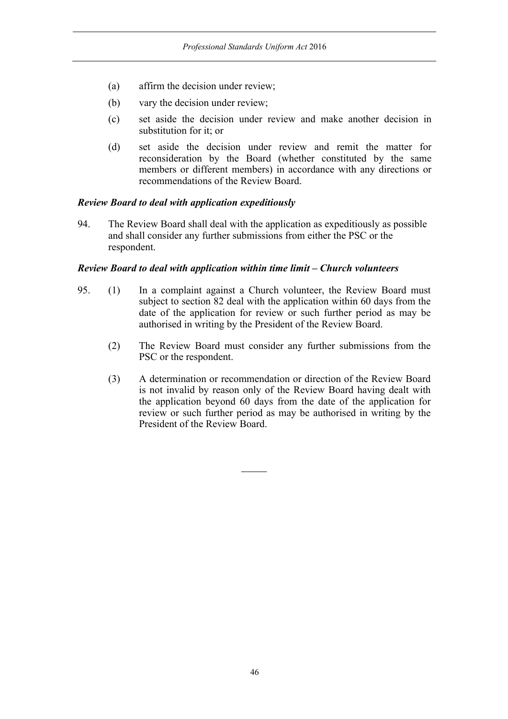- (a) affirm the decision under review;
- (b) vary the decision under review;
- (c) set aside the decision under review and make another decision in substitution for it; or
- (d) set aside the decision under review and remit the matter for reconsideration by the Board (whether constituted by the same members or different members) in accordance with any directions or recommendations of the Review Board.

## *Review Board to deal with application expeditiously*

94. The Review Board shall deal with the application as expeditiously as possible and shall consider any further submissions from either the PSC or the respondent.

## *Review Board to deal with application within time limit – Church volunteers*

- 95. (1) In a complaint against a Church volunteer, the Review Board must subject to section 82 deal with the application within 60 days from the date of the application for review or such further period as may be authorised in writing by the President of the Review Board.
	- (2) The Review Board must consider any further submissions from the PSC or the respondent.
	- (3) A determination or recommendation or direction of the Review Board is not invalid by reason only of the Review Board having dealt with the application beyond 60 days from the date of the application for review or such further period as may be authorised in writing by the President of the Review Board.

 $\overline{\phantom{a}}$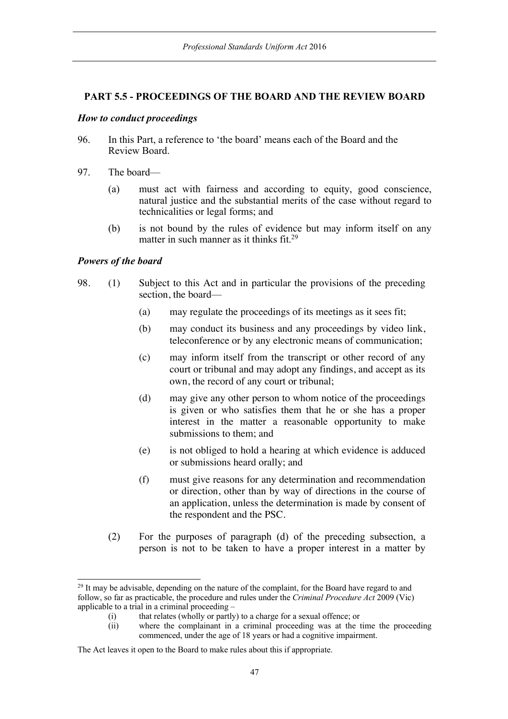## **PART 5.5 - PROCEEDINGS OF THE BOARD AND THE REVIEW BOARD**

### *How to conduct proceedings*

- 96. In this Part, a reference to 'the board' means each of the Board and the Review Board.
- 97. The board—
	- (a) must act with fairness and according to equity, good conscience, natural justice and the substantial merits of the case without regard to technicalities or legal forms; and
	- (b) is not bound by the rules of evidence but may inform itself on any matter in such manner as it thinks fit.<sup>29</sup>

## *Powers of the board*

- 98. (1) Subject to this Act and in particular the provisions of the preceding section, the board—
	- (a) may regulate the proceedings of its meetings as it sees fit;
	- (b) may conduct its business and any proceedings by video link, teleconference or by any electronic means of communication;
	- (c) may inform itself from the transcript or other record of any court or tribunal and may adopt any findings, and accept as its own, the record of any court or tribunal;
	- (d) may give any other person to whom notice of the proceedings is given or who satisfies them that he or she has a proper interest in the matter a reasonable opportunity to make submissions to them; and
	- (e) is not obliged to hold a hearing at which evidence is adduced or submissions heard orally; and
	- (f) must give reasons for any determination and recommendation or direction, other than by way of directions in the course of an application, unless the determination is made by consent of the respondent and the PSC.
	- (2) For the purposes of paragraph (d) of the preceding subsection, a person is not to be taken to have a proper interest in a matter by

<sup>&</sup>lt;sup>29</sup> It may be advisable, depending on the nature of the complaint, for the Board have regard to and follow, so far as practicable, the procedure and rules under the *Criminal Procedure Act* 2009 (Vic) applicable to a trial in a criminal proceeding –

<sup>(</sup>i) that relates (wholly or partly) to a charge for a sexual offence; or

<sup>(</sup>ii) where the complainant in a criminal proceeding was at the time the proceeding commenced, under the age of 18 years or had a cognitive impairment.

The Act leaves it open to the Board to make rules about this if appropriate.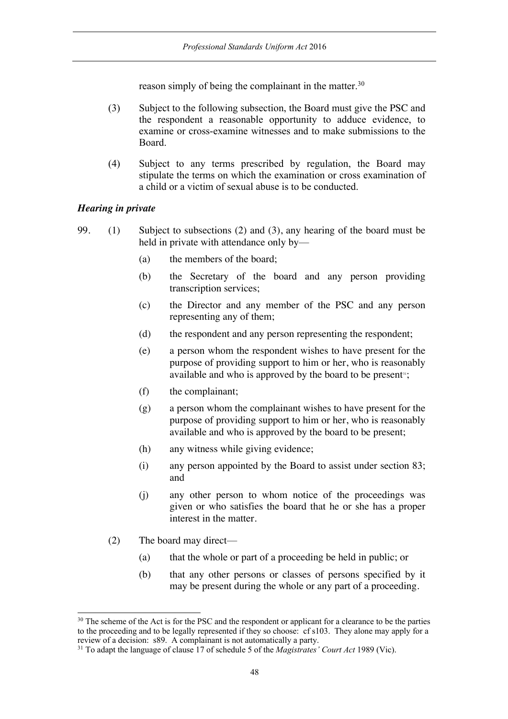reason simply of being the complainant in the matter.<sup>30</sup>

- (3) Subject to the following subsection, the Board must give the PSC and the respondent a reasonable opportunity to adduce evidence, to examine or cross-examine witnesses and to make submissions to the Board.
- (4) Subject to any terms prescribed by regulation, the Board may stipulate the terms on which the examination or cross examination of a child or a victim of sexual abuse is to be conducted.

## *Hearing in private*

- 99. (1) Subject to subsections (2) and (3), any hearing of the board must be held in private with attendance only by—
	- (a) the members of the board;
	- (b) the Secretary of the board and any person providing transcription services;
	- (c) the Director and any member of the PSC and any person representing any of them;
	- (d) the respondent and any person representing the respondent;
	- (e) a person whom the respondent wishes to have present for the purpose of providing support to him or her, who is reasonably available and who is approved by the board to be present $\mathfrak{m}$ ;
	- (f) the complainant;
	- (g) a person whom the complainant wishes to have present for the purpose of providing support to him or her, who is reasonably available and who is approved by the board to be present;
	- (h) any witness while giving evidence;
	- (i) any person appointed by the Board to assist under section 83; and
	- (j) any other person to whom notice of the proceedings was given or who satisfies the board that he or she has a proper interest in the matter.
	- (2) The board may direct—
		- (a) that the whole or part of a proceeding be held in public; or
		- (b) that any other persons or classes of persons specified by it may be present during the whole or any part of a proceeding.

<sup>&</sup>lt;sup>30</sup> The scheme of the Act is for the PSC and the respondent or applicant for a clearance to be the parties to the proceeding and to be legally represented if they so choose: cf s103. They alone may apply for a review of a decision: s89. A complainant is not automatically a party.

<sup>31</sup> To adapt the language of clause 17 of schedule 5 of the *Magistrates' Court Act* 1989 (Vic).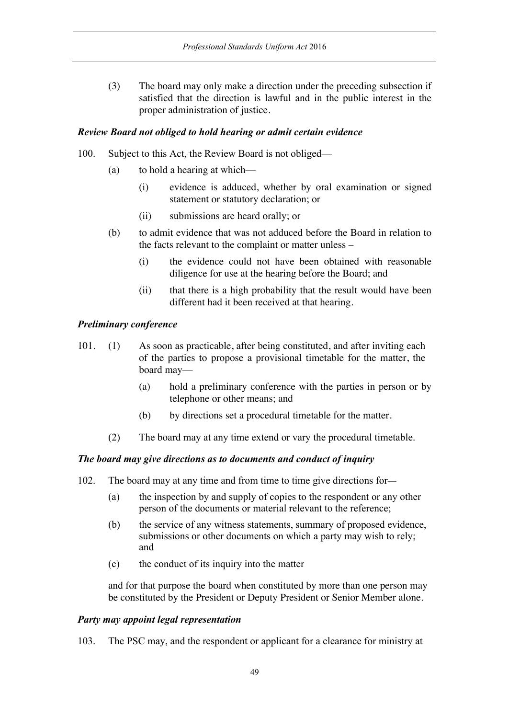(3) The board may only make a direction under the preceding subsection if satisfied that the direction is lawful and in the public interest in the proper administration of justice.

## *Review Board not obliged to hold hearing or admit certain evidence*

- 100. Subject to this Act, the Review Board is not obliged—
	- (a) to hold a hearing at which—
		- (i) evidence is adduced, whether by oral examination or signed statement or statutory declaration; or
		- (ii) submissions are heard orally; or
	- (b) to admit evidence that was not adduced before the Board in relation to the facts relevant to the complaint or matter unless –
		- (i) the evidence could not have been obtained with reasonable diligence for use at the hearing before the Board; and
		- (ii) that there is a high probability that the result would have been different had it been received at that hearing.

## *Preliminary conference*

- 101. (1) As soon as practicable, after being constituted, and after inviting each of the parties to propose a provisional timetable for the matter, the board may—
	- (a) hold a preliminary conference with the parties in person or by telephone or other means; and
	- (b) by directions set a procedural timetable for the matter.
	- (2) The board may at any time extend or vary the procedural timetable.

# *The board may give directions as to documents and conduct of inquiry*

- 102. The board may at any time and from time to time give directions for—
	- (a) the inspection by and supply of copies to the respondent or any other person of the documents or material relevant to the reference;
	- (b) the service of any witness statements, summary of proposed evidence, submissions or other documents on which a party may wish to rely; and
	- (c) the conduct of its inquiry into the matter

and for that purpose the board when constituted by more than one person may be constituted by the President or Deputy President or Senior Member alone.

## *Party may appoint legal representation*

103. The PSC may, and the respondent or applicant for a clearance for ministry at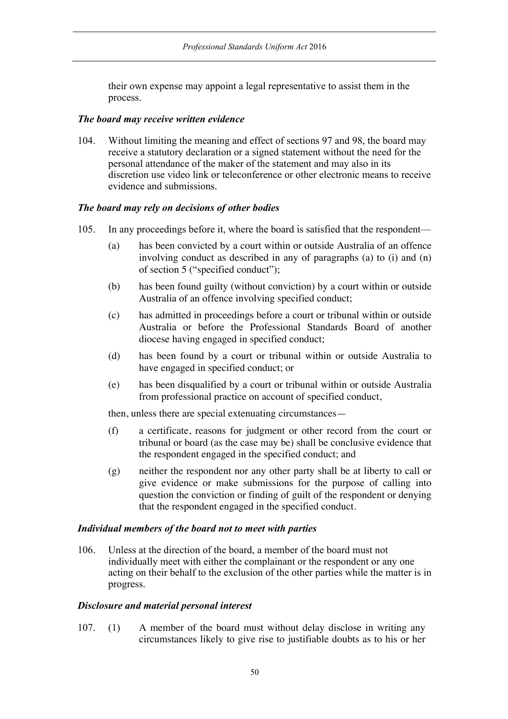their own expense may appoint a legal representative to assist them in the process.

## *The board may receive written evidence*

104. Without limiting the meaning and effect of sections 97 and 98, the board may receive a statutory declaration or a signed statement without the need for the personal attendance of the maker of the statement and may also in its discretion use video link or teleconference or other electronic means to receive evidence and submissions.

## *The board may rely on decisions of other bodies*

- 105. In any proceedings before it, where the board is satisfied that the respondent—
	- (a) has been convicted by a court within or outside Australia of an offence involving conduct as described in any of paragraphs (a) to (i) and (n) of section 5 ("specified conduct");
	- (b) has been found guilty (without conviction) by a court within or outside Australia of an offence involving specified conduct;
	- (c) has admitted in proceedings before a court or tribunal within or outside Australia or before the Professional Standards Board of another diocese having engaged in specified conduct;
	- (d) has been found by a court or tribunal within or outside Australia to have engaged in specified conduct; or
	- (e) has been disqualified by a court or tribunal within or outside Australia from professional practice on account of specified conduct,

then, unless there are special extenuating circumstances—

- (f) a certificate, reasons for judgment or other record from the court or tribunal or board (as the case may be) shall be conclusive evidence that the respondent engaged in the specified conduct; and
- (g) neither the respondent nor any other party shall be at liberty to call or give evidence or make submissions for the purpose of calling into question the conviction or finding of guilt of the respondent or denying that the respondent engaged in the specified conduct.

# *Individual members of the board not to meet with parties*

106. Unless at the direction of the board, a member of the board must not individually meet with either the complainant or the respondent or any one acting on their behalf to the exclusion of the other parties while the matter is in progress.

### *Disclosure and material personal interest*

107. (1) A member of the board must without delay disclose in writing any circumstances likely to give rise to justifiable doubts as to his or her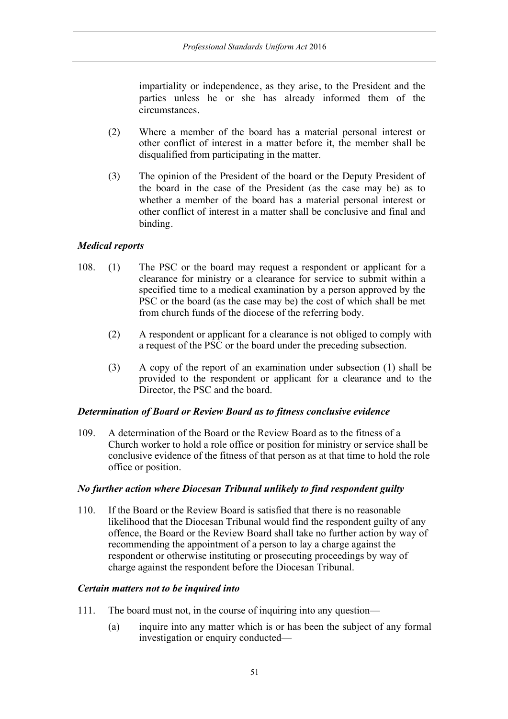impartiality or independence, as they arise, to the President and the parties unless he or she has already informed them of the circumstances.

- (2) Where a member of the board has a material personal interest or other conflict of interest in a matter before it, the member shall be disqualified from participating in the matter.
- (3) The opinion of the President of the board or the Deputy President of the board in the case of the President (as the case may be) as to whether a member of the board has a material personal interest or other conflict of interest in a matter shall be conclusive and final and binding.

## *Medical reports*

- 108. (1) The PSC or the board may request a respondent or applicant for a clearance for ministry or a clearance for service to submit within a specified time to a medical examination by a person approved by the PSC or the board (as the case may be) the cost of which shall be met from church funds of the diocese of the referring body.
	- (2) A respondent or applicant for a clearance is not obliged to comply with a request of the PSC or the board under the preceding subsection.
	- (3) A copy of the report of an examination under subsection (1) shall be provided to the respondent or applicant for a clearance and to the Director, the PSC and the board.

### *Determination of Board or Review Board as to fitness conclusive evidence*

109. A determination of the Board or the Review Board as to the fitness of a Church worker to hold a role office or position for ministry or service shall be conclusive evidence of the fitness of that person as at that time to hold the role office or position.

### *No further action where Diocesan Tribunal unlikely to find respondent guilty*

110. If the Board or the Review Board is satisfied that there is no reasonable likelihood that the Diocesan Tribunal would find the respondent guilty of any offence, the Board or the Review Board shall take no further action by way of recommending the appointment of a person to lay a charge against the respondent or otherwise instituting or prosecuting proceedings by way of charge against the respondent before the Diocesan Tribunal.

### *Certain matters not to be inquired into*

- 111. The board must not, in the course of inquiring into any question—
	- (a) inquire into any matter which is or has been the subject of any formal investigation or enquiry conducted—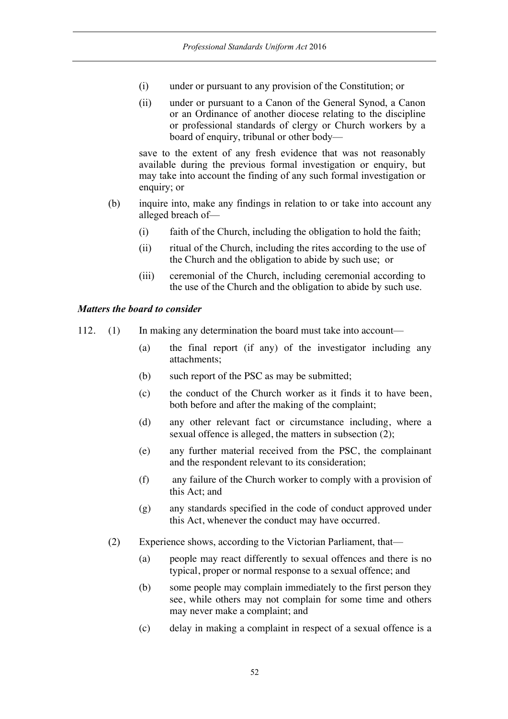- (i) under or pursuant to any provision of the Constitution; or
- (ii) under or pursuant to a Canon of the General Synod, a Canon or an Ordinance of another diocese relating to the discipline or professional standards of clergy or Church workers by a board of enquiry, tribunal or other body—

save to the extent of any fresh evidence that was not reasonably available during the previous formal investigation or enquiry, but may take into account the finding of any such formal investigation or enquiry; or

- (b) inquire into, make any findings in relation to or take into account any alleged breach of—
	- (i) faith of the Church, including the obligation to hold the faith;
	- (ii) ritual of the Church, including the rites according to the use of the Church and the obligation to abide by such use; or
	- (iii) ceremonial of the Church, including ceremonial according to the use of the Church and the obligation to abide by such use.

# *Matters the board to consider*

- 112. (1) In making any determination the board must take into account—
	- (a) the final report (if any) of the investigator including any attachments;
	- (b) such report of the PSC as may be submitted;
	- (c) the conduct of the Church worker as it finds it to have been, both before and after the making of the complaint;
	- (d) any other relevant fact or circumstance including, where a sexual offence is alleged, the matters in subsection (2);
	- (e) any further material received from the PSC, the complainant and the respondent relevant to its consideration;
	- (f) any failure of the Church worker to comply with a provision of this Act; and
	- (g) any standards specified in the code of conduct approved under this Act, whenever the conduct may have occurred.
	- (2) Experience shows, according to the Victorian Parliament, that—
		- (a) people may react differently to sexual offences and there is no typical, proper or normal response to a sexual offence; and
		- (b) some people may complain immediately to the first person they see, while others may not complain for some time and others may never make a complaint; and
		- (c) delay in making a complaint in respect of a sexual offence is a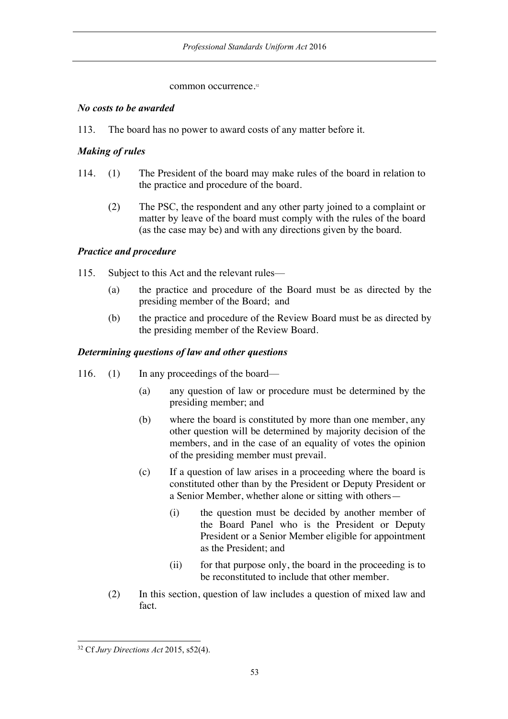## common occurrence.<sup>32</sup>

## *No costs to be awarded*

113. The board has no power to award costs of any matter before it.

# *Making of rules*

- 114. (1) The President of the board may make rules of the board in relation to the practice and procedure of the board.
	- (2) The PSC, the respondent and any other party joined to a complaint or matter by leave of the board must comply with the rules of the board (as the case may be) and with any directions given by the board.

# *Practice and procedure*

- 115. Subject to this Act and the relevant rules—
	- (a) the practice and procedure of the Board must be as directed by the presiding member of the Board; and
	- (b) the practice and procedure of the Review Board must be as directed by the presiding member of the Review Board.

# *Determining questions of law and other questions*

- 116. (1) In any proceedings of the board—
	- (a) any question of law or procedure must be determined by the presiding member; and
	- (b) where the board is constituted by more than one member, any other question will be determined by majority decision of the members, and in the case of an equality of votes the opinion of the presiding member must prevail.
	- (c) If a question of law arises in a proceeding where the board is constituted other than by the President or Deputy President or a Senior Member, whether alone or sitting with others—
		- (i) the question must be decided by another member of the Board Panel who is the President or Deputy President or a Senior Member eligible for appointment as the President; and
		- (ii) for that purpose only, the board in the proceeding is to be reconstituted to include that other member.
	- (2) In this section, question of law includes a question of mixed law and fact.

 <sup>32</sup> Cf *Jury Directions Act* 2015, s52(4).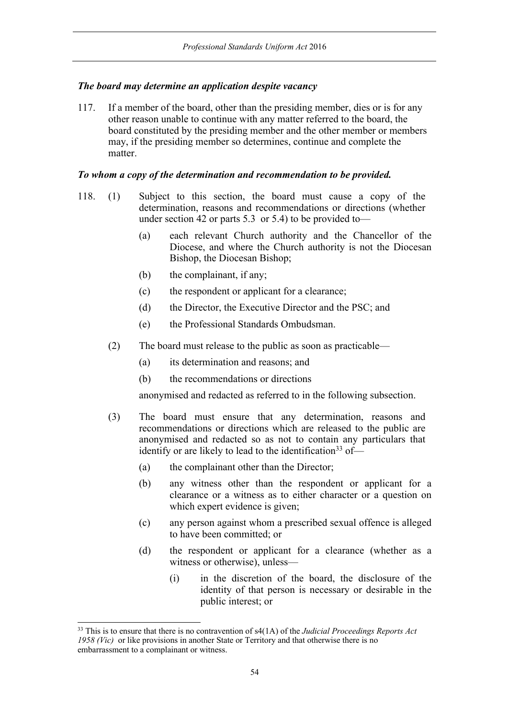# *The board may determine an application despite vacancy*

117. If a member of the board, other than the presiding member, dies or is for any other reason unable to continue with any matter referred to the board, the board constituted by the presiding member and the other member or members may, if the presiding member so determines, continue and complete the matter.

## *To whom a copy of the determination and recommendation to be provided.*

- 118. (1) Subject to this section, the board must cause a copy of the determination, reasons and recommendations or directions (whether under section 42 or parts 5.3 or 5.4) to be provided to—
	- (a) each relevant Church authority and the Chancellor of the Diocese, and where the Church authority is not the Diocesan Bishop, the Diocesan Bishop;
	- (b) the complainant, if any;
	- (c) the respondent or applicant for a clearance;
	- (d) the Director, the Executive Director and the PSC; and
	- (e) the Professional Standards Ombudsman.
	- (2) The board must release to the public as soon as practicable—
		- (a) its determination and reasons; and
		- (b) the recommendations or directions

anonymised and redacted as referred to in the following subsection.

- (3) The board must ensure that any determination, reasons and recommendations or directions which are released to the public are anonymised and redacted so as not to contain any particulars that identify or are likely to lead to the identification<sup>33</sup> of—
	- (a) the complainant other than the Director;
	- (b) any witness other than the respondent or applicant for a clearance or a witness as to either character or a question on which expert evidence is given;
	- (c) any person against whom a prescribed sexual offence is alleged to have been committed; or
	- (d) the respondent or applicant for a clearance (whether as a witness or otherwise), unless—
		- (i) in the discretion of the board, the disclosure of the identity of that person is necessary or desirable in the public interest; or

 <sup>33</sup> This is to ensure that there is no contravention of s4(1A) of the *Judicial Proceedings Reports Act 1958 (Vic)* or like provisions in another State or Territory and that otherwise there is no embarrassment to a complainant or witness.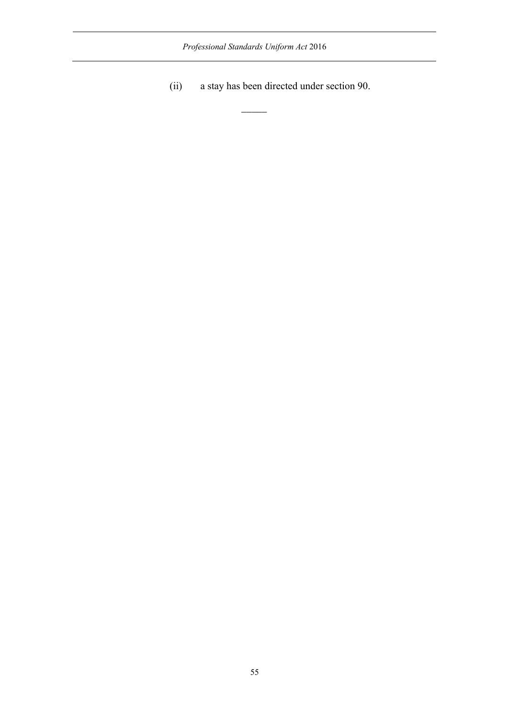*Professional Standards Uniform Act* 2016

 $\overline{\phantom{a}}$ 

(ii) a stay has been directed under section 90.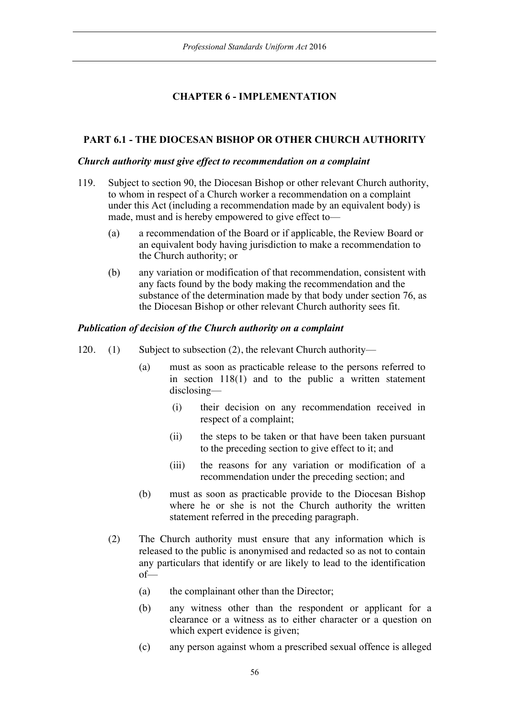# **CHAPTER 6 - IMPLEMENTATION**

# **PART 6.1 - THE DIOCESAN BISHOP OR OTHER CHURCH AUTHORITY**

## *Church authority must give effect to recommendation on a complaint*

- 119. Subject to section 90, the Diocesan Bishop or other relevant Church authority, to whom in respect of a Church worker a recommendation on a complaint under this Act (including a recommendation made by an equivalent body) is made, must and is hereby empowered to give effect to—
	- (a) a recommendation of the Board or if applicable, the Review Board or an equivalent body having jurisdiction to make a recommendation to the Church authority; or
	- (b) any variation or modification of that recommendation, consistent with any facts found by the body making the recommendation and the substance of the determination made by that body under section 76, as the Diocesan Bishop or other relevant Church authority sees fit.

## *Publication of decision of the Church authority on a complaint*

- 120. (1) Subject to subsection (2), the relevant Church authority—
	- (a) must as soon as practicable release to the persons referred to in section 118(1) and to the public a written statement disclosing—
		- (i) their decision on any recommendation received in respect of a complaint;
		- (ii) the steps to be taken or that have been taken pursuant to the preceding section to give effect to it; and
		- (iii) the reasons for any variation or modification of a recommendation under the preceding section; and
	- (b) must as soon as practicable provide to the Diocesan Bishop where he or she is not the Church authority the written statement referred in the preceding paragraph.
	- (2) The Church authority must ensure that any information which is released to the public is anonymised and redacted so as not to contain any particulars that identify or are likely to lead to the identification of—
		- (a) the complainant other than the Director;
		- (b) any witness other than the respondent or applicant for a clearance or a witness as to either character or a question on which expert evidence is given;
		- (c) any person against whom a prescribed sexual offence is alleged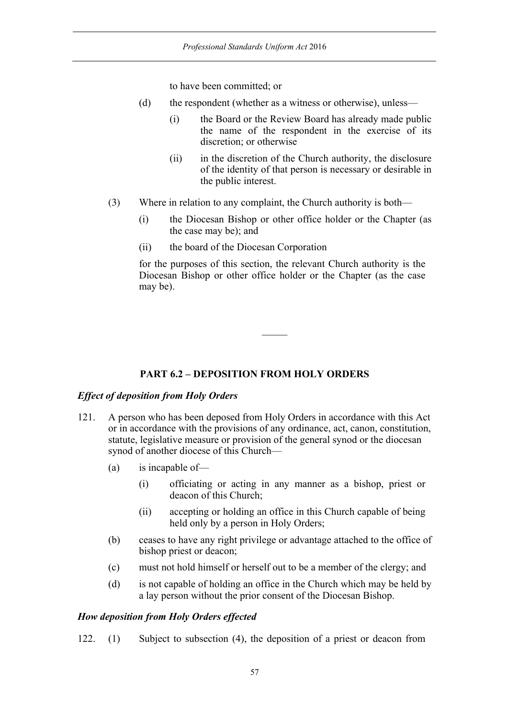to have been committed; or

- (d) the respondent (whether as a witness or otherwise), unless—
	- (i) the Board or the Review Board has already made public the name of the respondent in the exercise of its discretion; or otherwise
	- (ii) in the discretion of the Church authority, the disclosure of the identity of that person is necessary or desirable in the public interest.
- (3) Where in relation to any complaint, the Church authority is both—
	- (i) the Diocesan Bishop or other office holder or the Chapter (as the case may be); and
	- (ii) the board of the Diocesan Corporation

for the purposes of this section, the relevant Church authority is the Diocesan Bishop or other office holder or the Chapter (as the case may be).

## **PART 6.2 – DEPOSITION FROM HOLY ORDERS**

### *Effect of deposition from Holy Orders*

- 121. A person who has been deposed from Holy Orders in accordance with this Act or in accordance with the provisions of any ordinance, act, canon, constitution, statute, legislative measure or provision of the general synod or the diocesan synod of another diocese of this Church—
	- (a) is incapable of—
		- (i) officiating or acting in any manner as a bishop, priest or deacon of this Church;
		- (ii) accepting or holding an office in this Church capable of being held only by a person in Holy Orders;
	- (b) ceases to have any right privilege or advantage attached to the office of bishop priest or deacon;
	- (c) must not hold himself or herself out to be a member of the clergy; and
	- (d) is not capable of holding an office in the Church which may be held by a lay person without the prior consent of the Diocesan Bishop.

### *How deposition from Holy Orders effected*

122. (1) Subject to subsection (4), the deposition of a priest or deacon from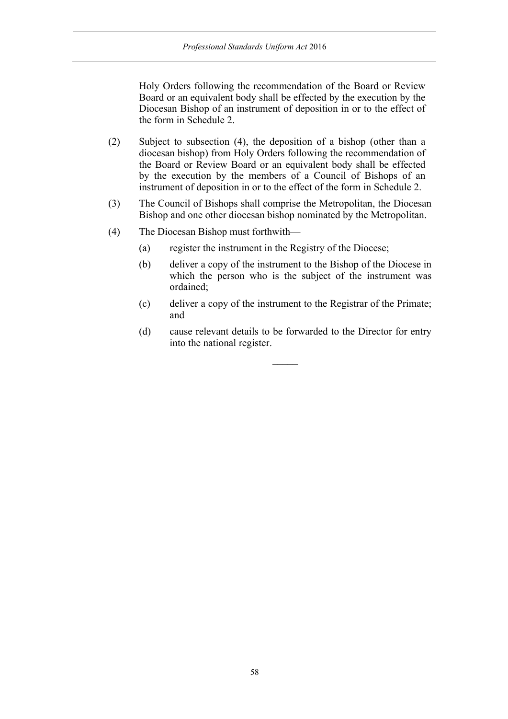Holy Orders following the recommendation of the Board or Review Board or an equivalent body shall be effected by the execution by the Diocesan Bishop of an instrument of deposition in or to the effect of the form in Schedule 2.

- (2) Subject to subsection (4), the deposition of a bishop (other than a diocesan bishop) from Holy Orders following the recommendation of the Board or Review Board or an equivalent body shall be effected by the execution by the members of a Council of Bishops of an instrument of deposition in or to the effect of the form in Schedule 2.
- (3) The Council of Bishops shall comprise the Metropolitan, the Diocesan Bishop and one other diocesan bishop nominated by the Metropolitan.
- (4) The Diocesan Bishop must forthwith—
	- (a) register the instrument in the Registry of the Diocese;
	- (b) deliver a copy of the instrument to the Bishop of the Diocese in which the person who is the subject of the instrument was ordained;
	- (c) deliver a copy of the instrument to the Registrar of the Primate; and
	- (d) cause relevant details to be forwarded to the Director for entry into the national register.

 $\mathcal{L}$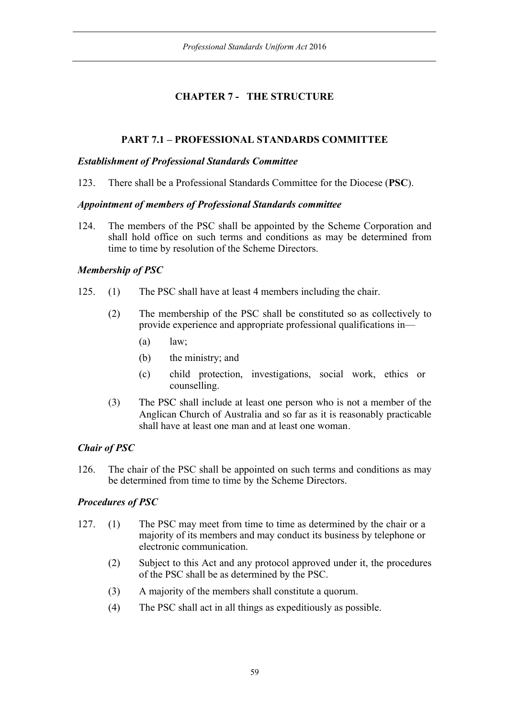# **CHAPTER 7 - THE STRUCTURE**

# **PART 7.1 – PROFESSIONAL STANDARDS COMMITTEE**

## *Establishment of Professional Standards Committee*

123. There shall be a Professional Standards Committee for the Diocese (**PSC**).

## *Appointment of members of Professional Standards committee*

124. The members of the PSC shall be appointed by the Scheme Corporation and shall hold office on such terms and conditions as may be determined from time to time by resolution of the Scheme Directors.

# *Membership of PSC*

- 125. (1) The PSC shall have at least 4 members including the chair.
	- (2) The membership of the PSC shall be constituted so as collectively to provide experience and appropriate professional qualifications in—
		- $(a)$  law;
		- (b) the ministry; and
		- (c) child protection, investigations, social work, ethics or counselling.
	- (3) The PSC shall include at least one person who is not a member of the Anglican Church of Australia and so far as it is reasonably practicable shall have at least one man and at least one woman.

# *Chair of PSC*

126. The chair of the PSC shall be appointed on such terms and conditions as may be determined from time to time by the Scheme Directors.

# *Procedures of PSC*

- 127. (1) The PSC may meet from time to time as determined by the chair or a majority of its members and may conduct its business by telephone or electronic communication.
	- (2) Subject to this Act and any protocol approved under it, the procedures of the PSC shall be as determined by the PSC.
	- (3) A majority of the members shall constitute a quorum.
	- (4) The PSC shall act in all things as expeditiously as possible.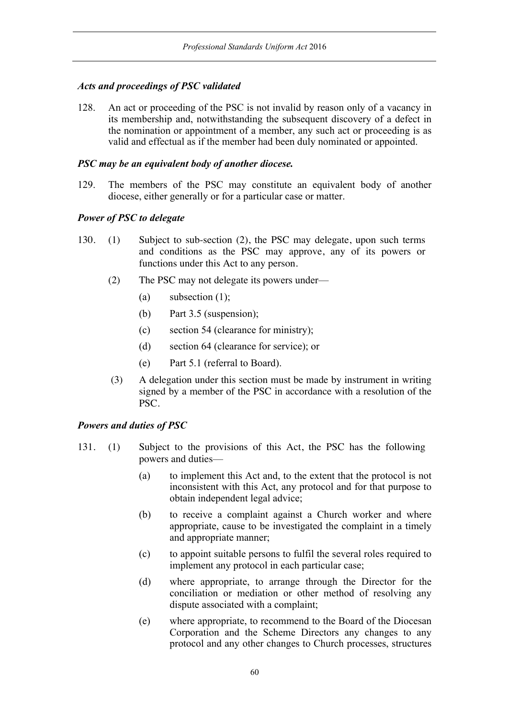# *Acts and proceedings of PSC validated*

128. An act or proceeding of the PSC is not invalid by reason only of a vacancy in its membership and, notwithstanding the subsequent discovery of a defect in the nomination or appointment of a member, any such act or proceeding is as valid and effectual as if the member had been duly nominated or appointed.

## *PSC may be an equivalent body of another diocese.*

129. The members of the PSC may constitute an equivalent body of another diocese, either generally or for a particular case or matter.

## *Power of PSC to delegate*

- 130. (1) Subject to sub-section (2), the PSC may delegate, upon such terms and conditions as the PSC may approve, any of its powers or functions under this Act to any person.
	- (2) The PSC may not delegate its powers under—
		- (a) subsection  $(1)$ ;
		- (b) Part 3.5 (suspension);
		- (c) section 54 (clearance for ministry);
		- (d) section 64 (clearance for service); or
		- (e) Part 5.1 (referral to Board).
	- (3) A delegation under this section must be made by instrument in writing signed by a member of the PSC in accordance with a resolution of the PSC.

### *Powers and duties of PSC*

- 131. (1) Subject to the provisions of this Act, the PSC has the following powers and duties—
	- (a) to implement this Act and, to the extent that the protocol is not inconsistent with this Act, any protocol and for that purpose to obtain independent legal advice;
	- (b) to receive a complaint against a Church worker and where appropriate, cause to be investigated the complaint in a timely and appropriate manner;
	- (c) to appoint suitable persons to fulfil the several roles required to implement any protocol in each particular case;
	- (d) where appropriate, to arrange through the Director for the conciliation or mediation or other method of resolving any dispute associated with a complaint;
	- (e) where appropriate, to recommend to the Board of the Diocesan Corporation and the Scheme Directors any changes to any protocol and any other changes to Church processes, structures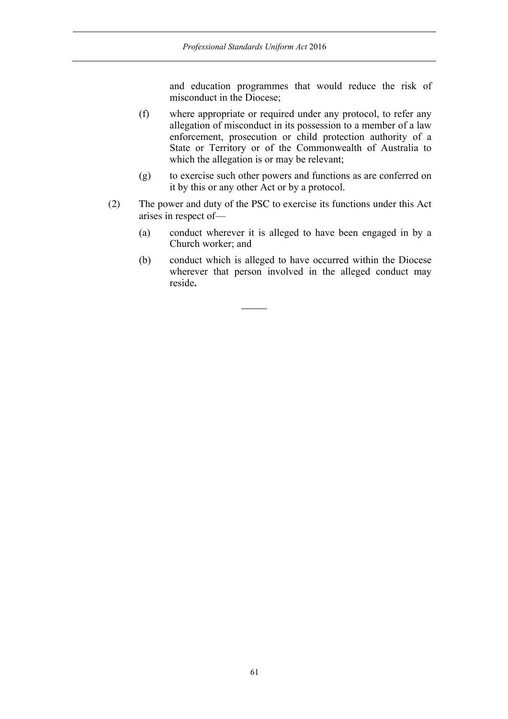and education programmes that would reduce the risk of misconduct in the Diocese;

- (f) where appropriate or required under any protocol, to refer any allegation of misconduct in its possession to a member of a law enforcement, prosecution or child protection authority of a State or Territory or of the Commonwealth of Australia to which the allegation is or may be relevant;
- (g) to exercise such other powers and functions as are conferred on it by this or any other Act or by a protocol.
- (2) The power and duty of the PSC to exercise its functions under this Act arises in respect of—

 $\overline{\phantom{a}}$ 

- (a) conduct wherever it is alleged to have been engaged in by a Church worker; and
- (b) conduct which is alleged to have occurred within the Diocese wherever that person involved in the alleged conduct may reside**.**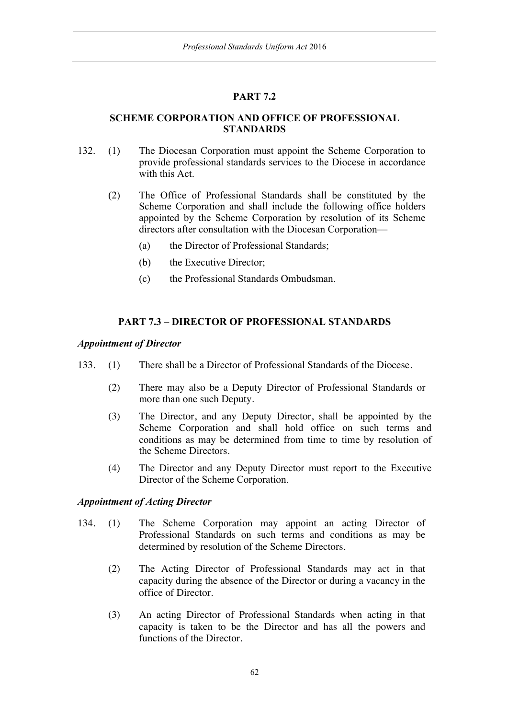# **PART 7.2**

## **SCHEME CORPORATION AND OFFICE OF PROFESSIONAL STANDARDS**

- 132. (1) The Diocesan Corporation must appoint the Scheme Corporation to provide professional standards services to the Diocese in accordance with this Act.
	- (2) The Office of Professional Standards shall be constituted by the Scheme Corporation and shall include the following office holders appointed by the Scheme Corporation by resolution of its Scheme directors after consultation with the Diocesan Corporation—
		- (a) the Director of Professional Standards;
		- (b) the Executive Director;
		- (c) the Professional Standards Ombudsman.

# **PART 7.3 – DIRECTOR OF PROFESSIONAL STANDARDS**

## *Appointment of Director*

- 133. (1) There shall be a Director of Professional Standards of the Diocese.
	- (2) There may also be a Deputy Director of Professional Standards or more than one such Deputy.
	- (3) The Director, and any Deputy Director, shall be appointed by the Scheme Corporation and shall hold office on such terms and conditions as may be determined from time to time by resolution of the Scheme Directors.
	- (4) The Director and any Deputy Director must report to the Executive Director of the Scheme Corporation.

## *Appointment of Acting Director*

- 134. (1) The Scheme Corporation may appoint an acting Director of Professional Standards on such terms and conditions as may be determined by resolution of the Scheme Directors.
	- (2) The Acting Director of Professional Standards may act in that capacity during the absence of the Director or during a vacancy in the office of Director.
	- (3) An acting Director of Professional Standards when acting in that capacity is taken to be the Director and has all the powers and functions of the Director.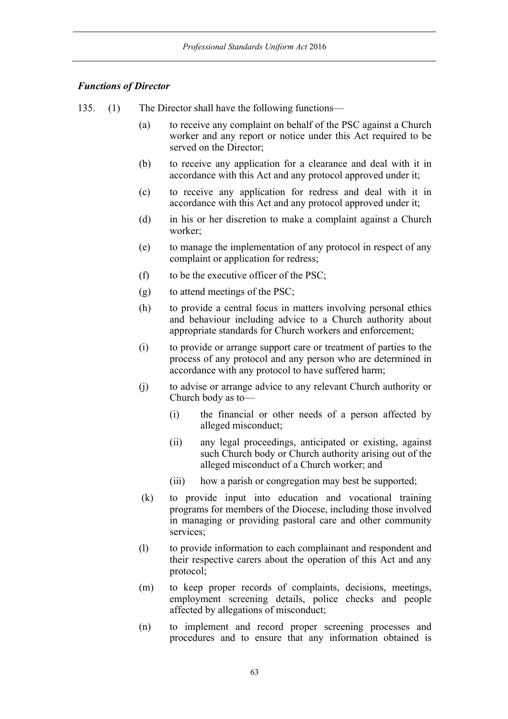# *Functions of Director*

- 135. (1) The Director shall have the following functions—
	- (a) to receive any complaint on behalf of the PSC against a Church worker and any report or notice under this Act required to be served on the Director;
	- (b) to receive any application for a clearance and deal with it in accordance with this Act and any protocol approved under it;
	- (c) to receive any application for redress and deal with it in accordance with this Act and any protocol approved under it;
	- (d) in his or her discretion to make a complaint against a Church worker;
	- (e) to manage the implementation of any protocol in respect of any complaint or application for redress;
	- (f) to be the executive officer of the PSC;
	- (g) to attend meetings of the PSC;
	- (h) to provide a central focus in matters involving personal ethics and behaviour including advice to a Church authority about appropriate standards for Church workers and enforcement;
	- (i) to provide or arrange support care or treatment of parties to the process of any protocol and any person who are determined in accordance with any protocol to have suffered harm;
	- (j) to advise or arrange advice to any relevant Church authority or Church body as to—
		- (i) the financial or other needs of a person affected by alleged misconduct;
		- (ii) any legal proceedings, anticipated or existing, against such Church body or Church authority arising out of the alleged misconduct of a Church worker; and
		- (iii) how a parish or congregation may best be supported;
	- (k) to provide input into education and vocational training programs for members of the Diocese, including those involved in managing or providing pastoral care and other community services;
	- (l) to provide information to each complainant and respondent and their respective carers about the operation of this Act and any protocol;
	- (m) to keep proper records of complaints, decisions, meetings, employment screening details, police checks and people affected by allegations of misconduct;
	- (n) to implement and record proper screening processes and procedures and to ensure that any information obtained is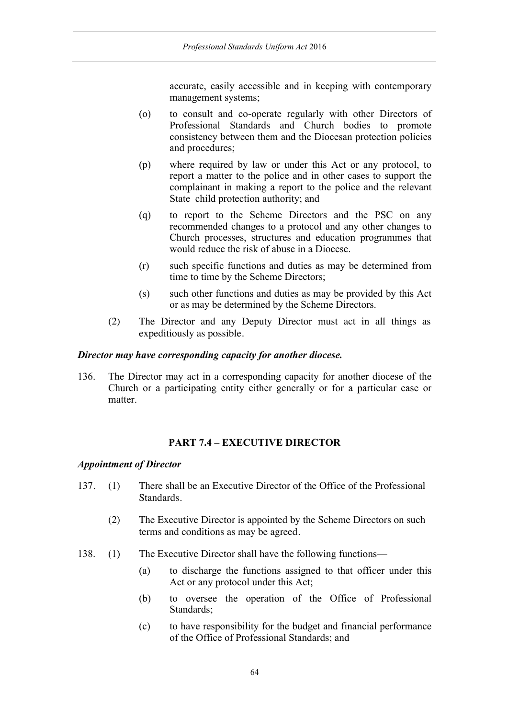accurate, easily accessible and in keeping with contemporary management systems;

- (o) to consult and co-operate regularly with other Directors of Professional Standards and Church bodies to promote consistency between them and the Diocesan protection policies and procedures;
- (p) where required by law or under this Act or any protocol, to report a matter to the police and in other cases to support the complainant in making a report to the police and the relevant State child protection authority; and
- (q) to report to the Scheme Directors and the PSC on any recommended changes to a protocol and any other changes to Church processes, structures and education programmes that would reduce the risk of abuse in a Diocese.
- (r) such specific functions and duties as may be determined from time to time by the Scheme Directors;
- (s) such other functions and duties as may be provided by this Act or as may be determined by the Scheme Directors.
- (2) The Director and any Deputy Director must act in all things as expeditiously as possible.

## *Director may have corresponding capacity for another diocese.*

136. The Director may act in a corresponding capacity for another diocese of the Church or a participating entity either generally or for a particular case or matter.

## **PART 7.4 – EXECUTIVE DIRECTOR**

### *Appointment of Director*

- 137. (1) There shall be an Executive Director of the Office of the Professional Standards.
	- (2) The Executive Director is appointed by the Scheme Directors on such terms and conditions as may be agreed.
- 138. (1) The Executive Director shall have the following functions—
	- (a) to discharge the functions assigned to that officer under this Act or any protocol under this Act;
	- (b) to oversee the operation of the Office of Professional Standards;
	- (c) to have responsibility for the budget and financial performance of the Office of Professional Standards; and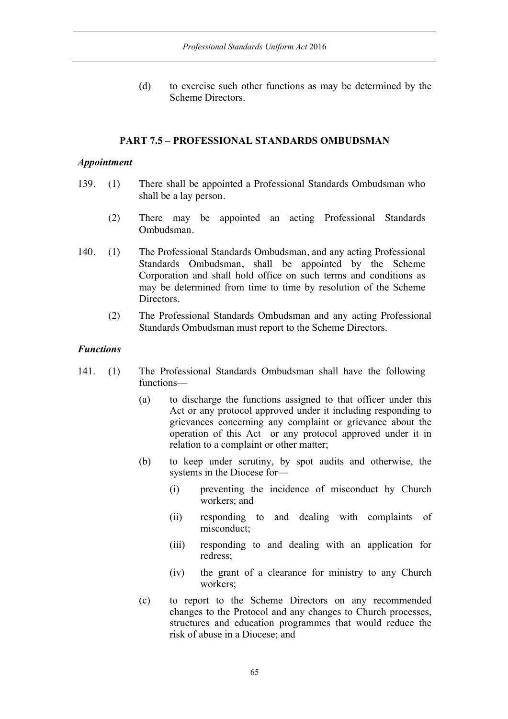(d) to exercise such other functions as may be determined by the Scheme Directors.

## **PART 7.5 – PROFESSIONAL STANDARDS OMBUDSMAN**

## *Appointment*

- 139. (1) There shall be appointed a Professional Standards Ombudsman who shall be a lay person.
	- (2) There may be appointed an acting Professional Standards Ombudsman.
- 140. (1) The Professional Standards Ombudsman, and any acting Professional Standards Ombudsman, shall be appointed by the Scheme Corporation and shall hold office on such terms and conditions as may be determined from time to time by resolution of the Scheme Directors.
	- (2) The Professional Standards Ombudsman and any acting Professional Standards Ombudsman must report to the Scheme Directors.

## *Functions*

- 141. (1) The Professional Standards Ombudsman shall have the following functions—
	- (a) to discharge the functions assigned to that officer under this Act or any protocol approved under it including responding to grievances concerning any complaint or grievance about the operation of this Act or any protocol approved under it in relation to a complaint or other matter;
	- (b) to keep under scrutiny, by spot audits and otherwise, the systems in the Diocese for—
		- (i) preventing the incidence of misconduct by Church workers; and
		- (ii) responding to and dealing with complaints of misconduct;
		- (iii) responding to and dealing with an application for redress;
		- (iv) the grant of a clearance for ministry to any Church workers;
	- (c) to report to the Scheme Directors on any recommended changes to the Protocol and any changes to Church processes, structures and education programmes that would reduce the risk of abuse in a Diocese; and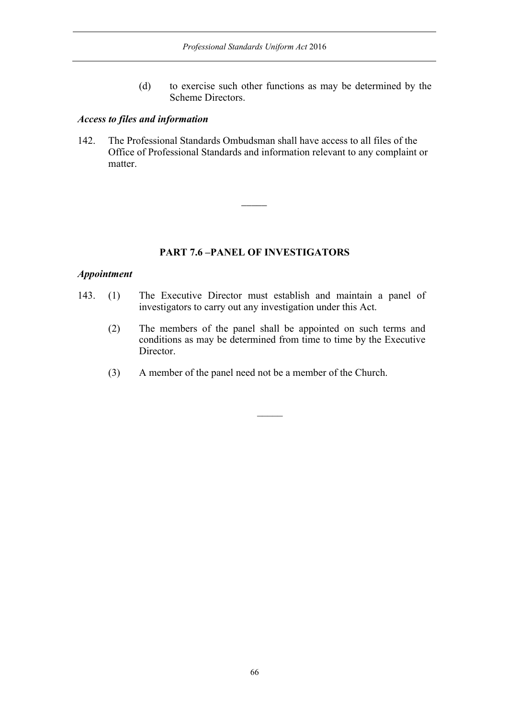(d) to exercise such other functions as may be determined by the Scheme Directors.

## *Access to files and information*

142. The Professional Standards Ombudsman shall have access to all files of the Office of Professional Standards and information relevant to any complaint or matter.

 $\overline{\phantom{a}}$ 

# **PART 7.6 –PANEL OF INVESTIGATORS**

## *Appointment*

- 143. (1) The Executive Director must establish and maintain a panel of investigators to carry out any investigation under this Act.
	- (2) The members of the panel shall be appointed on such terms and conditions as may be determined from time to time by the Executive Director.
	- (3) A member of the panel need not be a member of the Church.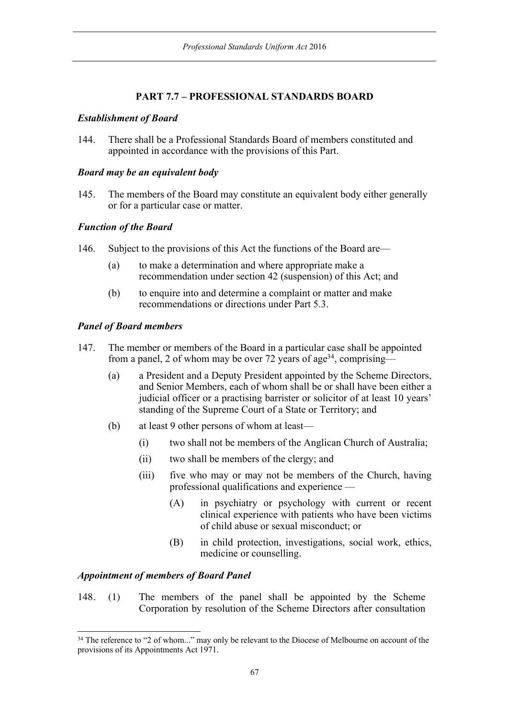# **PART 7.7 – PROFESSIONAL STANDARDS BOARD**

## *Establishment of Board*

144. There shall be a Professional Standards Board of members constituted and appointed in accordance with the provisions of this Part.

## *Board may be an equivalent body*

145. The members of the Board may constitute an equivalent body either generally or for a particular case or matter.

# *Function of the Board*

- 146. Subject to the provisions of this Act the functions of the Board are—
	- (a) to make a determination and where appropriate make a recommendation under section 42 (suspension) of this Act; and
	- (b) to enquire into and determine a complaint or matter and make recommendations or directions under Part 5.3.

# *Panel of Board members*

- 147. The member or members of the Board in a particular case shall be appointed from a panel, 2 of whom may be over 72 years of age<sup>34</sup>, comprising—
	- (a) a President and a Deputy President appointed by the Scheme Directors, and Senior Members, each of whom shall be or shall have been either a judicial officer or a practising barrister or solicitor of at least 10 years' standing of the Supreme Court of a State or Territory; and
	- (b) at least 9 other persons of whom at least—
		- (i) two shall not be members of the Anglican Church of Australia;
		- (ii) two shall be members of the clergy; and
		- (iii) five who may or may not be members of the Church, having professional qualifications and experience —
			- (A) in psychiatry or psychology with current or recent clinical experience with patients who have been victims of child abuse or sexual misconduct; or
			- (B) in child protection, investigations, social work, ethics, medicine or counselling.

# *Appointment of members of Board Panel*

148. (1) The members of the panel shall be appointed by the Scheme Corporation by resolution of the Scheme Directors after consultation

<sup>&</sup>lt;sup>34</sup> The reference to "2 of whom..." may only be relevant to the Diocese of Melbourne on account of the provisions of its Appointments Act 1971.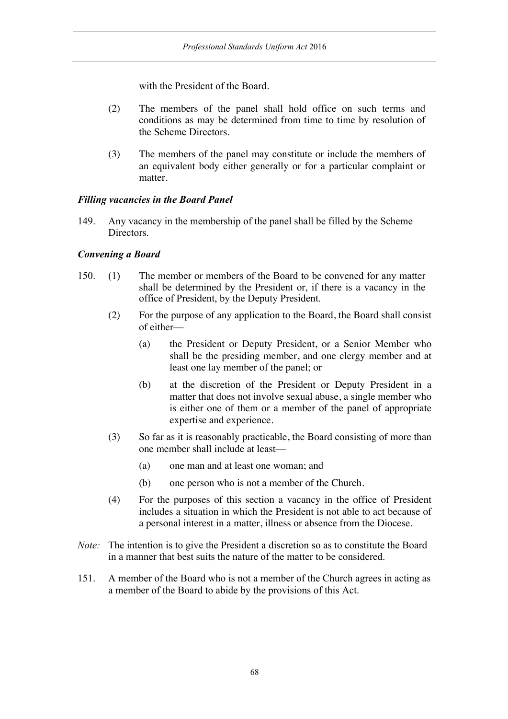with the President of the Board.

- (2) The members of the panel shall hold office on such terms and conditions as may be determined from time to time by resolution of the Scheme Directors.
- (3) The members of the panel may constitute or include the members of an equivalent body either generally or for a particular complaint or matter.

## *Filling vacancies in the Board Panel*

149. Any vacancy in the membership of the panel shall be filled by the Scheme Directors.

# *Convening a Board*

- 150. (1) The member or members of the Board to be convened for any matter shall be determined by the President or, if there is a vacancy in the office of President, by the Deputy President.
	- (2) For the purpose of any application to the Board, the Board shall consist of either—
		- (a) the President or Deputy President, or a Senior Member who shall be the presiding member, and one clergy member and at least one lay member of the panel; or
		- (b) at the discretion of the President or Deputy President in a matter that does not involve sexual abuse, a single member who is either one of them or a member of the panel of appropriate expertise and experience.
	- (3) So far as it is reasonably practicable, the Board consisting of more than one member shall include at least—
		- (a) one man and at least one woman; and
		- (b) one person who is not a member of the Church.
	- (4) For the purposes of this section a vacancy in the office of President includes a situation in which the President is not able to act because of a personal interest in a matter, illness or absence from the Diocese.
- *Note:* The intention is to give the President a discretion so as to constitute the Board in a manner that best suits the nature of the matter to be considered.
- 151. A member of the Board who is not a member of the Church agrees in acting as a member of the Board to abide by the provisions of this Act.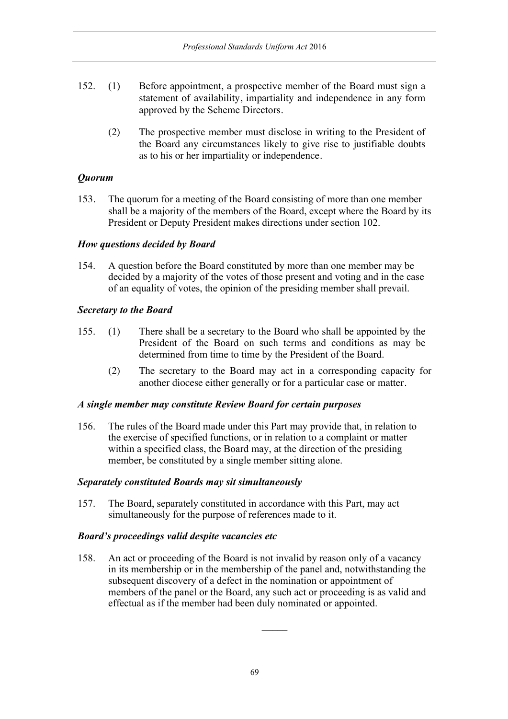- 152. (1) Before appointment, a prospective member of the Board must sign a statement of availability, impartiality and independence in any form approved by the Scheme Directors.
	- (2) The prospective member must disclose in writing to the President of the Board any circumstances likely to give rise to justifiable doubts as to his or her impartiality or independence.

# *Quorum*

153. The quorum for a meeting of the Board consisting of more than one member shall be a majority of the members of the Board, except where the Board by its President or Deputy President makes directions under section 102.

## *How questions decided by Board*

154. A question before the Board constituted by more than one member may be decided by a majority of the votes of those present and voting and in the case of an equality of votes, the opinion of the presiding member shall prevail.

# *Secretary to the Board*

- 155. (1) There shall be a secretary to the Board who shall be appointed by the President of the Board on such terms and conditions as may be determined from time to time by the President of the Board.
	- (2) The secretary to the Board may act in a corresponding capacity for another diocese either generally or for a particular case or matter.

## *A single member may constitute Review Board for certain purposes*

156. The rules of the Board made under this Part may provide that, in relation to the exercise of specified functions, or in relation to a complaint or matter within a specified class, the Board may, at the direction of the presiding member, be constituted by a single member sitting alone.

## *Separately constituted Boards may sit simultaneously*

157. The Board, separately constituted in accordance with this Part, may act simultaneously for the purpose of references made to it.

## *Board's proceedings valid despite vacancies etc*

158. An act or proceeding of the Board is not invalid by reason only of a vacancy in its membership or in the membership of the panel and, notwithstanding the subsequent discovery of a defect in the nomination or appointment of members of the panel or the Board, any such act or proceeding is as valid and effectual as if the member had been duly nominated or appointed.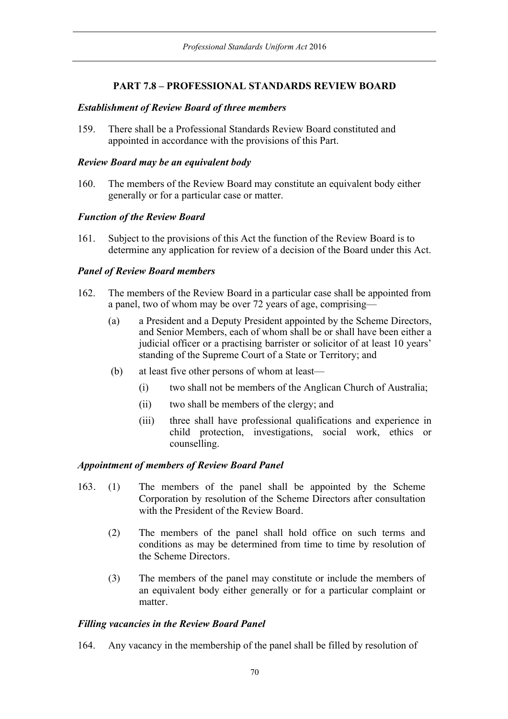# **PART 7.8 – PROFESSIONAL STANDARDS REVIEW BOARD**

## *Establishment of Review Board of three members*

159. There shall be a Professional Standards Review Board constituted and appointed in accordance with the provisions of this Part.

## *Review Board may be an equivalent body*

160. The members of the Review Board may constitute an equivalent body either generally or for a particular case or matter.

## *Function of the Review Board*

161. Subject to the provisions of this Act the function of the Review Board is to determine any application for review of a decision of the Board under this Act.

## *Panel of Review Board members*

- 162. The members of the Review Board in a particular case shall be appointed from a panel, two of whom may be over 72 years of age, comprising—
	- (a) a President and a Deputy President appointed by the Scheme Directors, and Senior Members, each of whom shall be or shall have been either a judicial officer or a practising barrister or solicitor of at least 10 years' standing of the Supreme Court of a State or Territory; and
	- (b) at least five other persons of whom at least—
		- (i) two shall not be members of the Anglican Church of Australia;
		- (ii) two shall be members of the clergy; and
		- (iii) three shall have professional qualifications and experience in child protection, investigations, social work, ethics or counselling.

## *Appointment of members of Review Board Panel*

- 163. (1) The members of the panel shall be appointed by the Scheme Corporation by resolution of the Scheme Directors after consultation with the President of the Review Board.
	- (2) The members of the panel shall hold office on such terms and conditions as may be determined from time to time by resolution of the Scheme Directors.
	- (3) The members of the panel may constitute or include the members of an equivalent body either generally or for a particular complaint or matter.

## *Filling vacancies in the Review Board Panel*

164. Any vacancy in the membership of the panel shall be filled by resolution of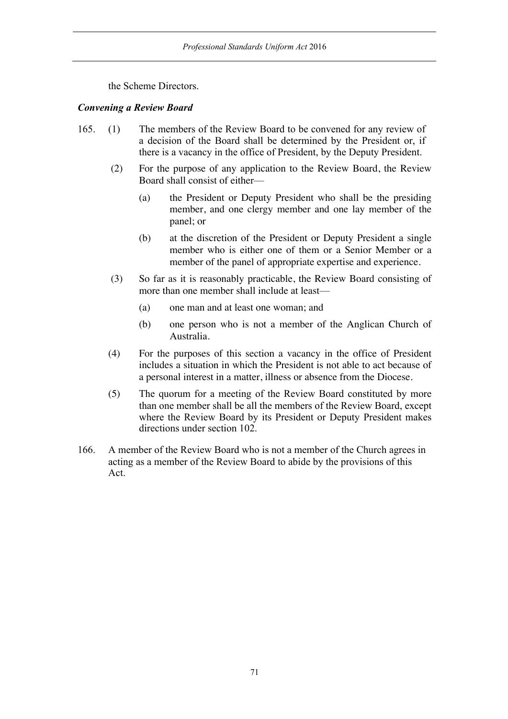the Scheme Directors.

## *Convening a Review Board*

- 165. (1) The members of the Review Board to be convened for any review of a decision of the Board shall be determined by the President or, if there is a vacancy in the office of President, by the Deputy President.
	- (2) For the purpose of any application to the Review Board, the Review Board shall consist of either—
		- (a) the President or Deputy President who shall be the presiding member, and one clergy member and one lay member of the panel; or
		- (b) at the discretion of the President or Deputy President a single member who is either one of them or a Senior Member or a member of the panel of appropriate expertise and experience.
	- (3) So far as it is reasonably practicable, the Review Board consisting of more than one member shall include at least—
		- (a) one man and at least one woman; and
		- (b) one person who is not a member of the Anglican Church of Australia.
	- (4) For the purposes of this section a vacancy in the office of President includes a situation in which the President is not able to act because of a personal interest in a matter, illness or absence from the Diocese.
	- (5) The quorum for a meeting of the Review Board constituted by more than one member shall be all the members of the Review Board, except where the Review Board by its President or Deputy President makes directions under section 102.
- 166. A member of the Review Board who is not a member of the Church agrees in acting as a member of the Review Board to abide by the provisions of this Act.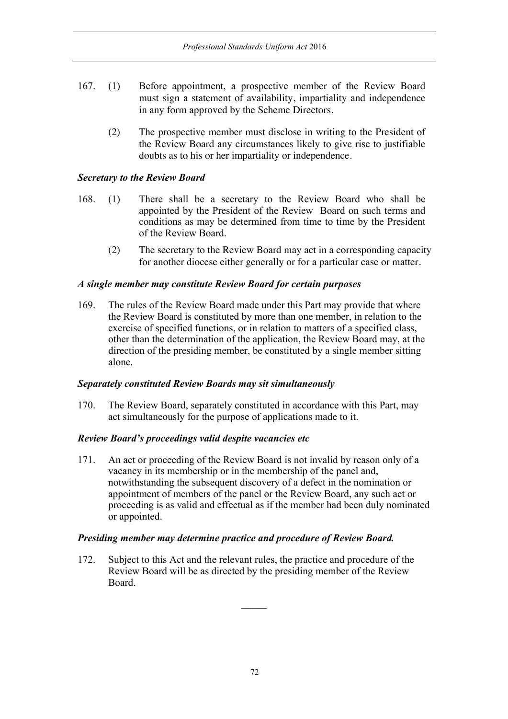- 167. (1) Before appointment, a prospective member of the Review Board must sign a statement of availability, impartiality and independence in any form approved by the Scheme Directors.
	- (2) The prospective member must disclose in writing to the President of the Review Board any circumstances likely to give rise to justifiable doubts as to his or her impartiality or independence.

## *Secretary to the Review Board*

- 168. (1) There shall be a secretary to the Review Board who shall be appointed by the President of the Review Board on such terms and conditions as may be determined from time to time by the President of the Review Board.
	- (2) The secretary to the Review Board may act in a corresponding capacity for another diocese either generally or for a particular case or matter.

## *A single member may constitute Review Board for certain purposes*

169. The rules of the Review Board made under this Part may provide that where the Review Board is constituted by more than one member, in relation to the exercise of specified functions, or in relation to matters of a specified class, other than the determination of the application, the Review Board may, at the direction of the presiding member, be constituted by a single member sitting alone.

## *Separately constituted Review Boards may sit simultaneously*

170. The Review Board, separately constituted in accordance with this Part, may act simultaneously for the purpose of applications made to it.

## *Review Board's proceedings valid despite vacancies etc*

171. An act or proceeding of the Review Board is not invalid by reason only of a vacancy in its membership or in the membership of the panel and, notwithstanding the subsequent discovery of a defect in the nomination or appointment of members of the panel or the Review Board, any such act or proceeding is as valid and effectual as if the member had been duly nominated or appointed.

## *Presiding member may determine practice and procedure of Review Board.*

172. Subject to this Act and the relevant rules, the practice and procedure of the Review Board will be as directed by the presiding member of the Review Board.

 $\overline{\phantom{a}}$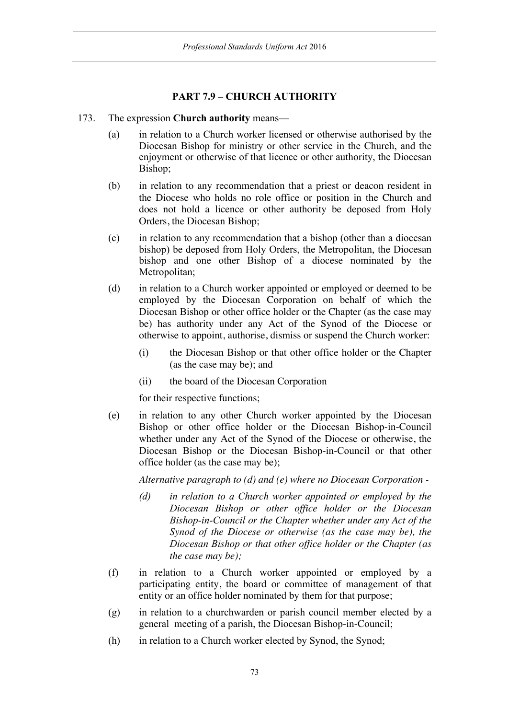# **PART 7.9 – CHURCH AUTHORITY**

#### 173. The expression **Church authority** means—

- (a) in relation to a Church worker licensed or otherwise authorised by the Diocesan Bishop for ministry or other service in the Church, and the enjoyment or otherwise of that licence or other authority, the Diocesan Bishop;
- (b) in relation to any recommendation that a priest or deacon resident in the Diocese who holds no role office or position in the Church and does not hold a licence or other authority be deposed from Holy Orders, the Diocesan Bishop;
- (c) in relation to any recommendation that a bishop (other than a diocesan bishop) be deposed from Holy Orders, the Metropolitan, the Diocesan bishop and one other Bishop of a diocese nominated by the Metropolitan;
- (d) in relation to a Church worker appointed or employed or deemed to be employed by the Diocesan Corporation on behalf of which the Diocesan Bishop or other office holder or the Chapter (as the case may be) has authority under any Act of the Synod of the Diocese or otherwise to appoint, authorise, dismiss or suspend the Church worker:
	- (i) the Diocesan Bishop or that other office holder or the Chapter (as the case may be); and
	- (ii) the board of the Diocesan Corporation

for their respective functions;

(e) in relation to any other Church worker appointed by the Diocesan Bishop or other office holder or the Diocesan Bishop-in-Council whether under any Act of the Synod of the Diocese or otherwise, the Diocesan Bishop or the Diocesan Bishop-in-Council or that other office holder (as the case may be);

*Alternative paragraph to (d) and (e) where no Diocesan Corporation -*

- *(d) in relation to a Church worker appointed or employed by the Diocesan Bishop or other office holder or the Diocesan Bishop-in-Council or the Chapter whether under any Act of the Synod of the Diocese or otherwise (as the case may be), the Diocesan Bishop or that other office holder or the Chapter (as the case may be);*
- (f) in relation to a Church worker appointed or employed by a participating entity, the board or committee of management of that entity or an office holder nominated by them for that purpose;
- (g) in relation to a churchwarden or parish council member elected by a general meeting of a parish, the Diocesan Bishop-in-Council;
- (h) in relation to a Church worker elected by Synod, the Synod;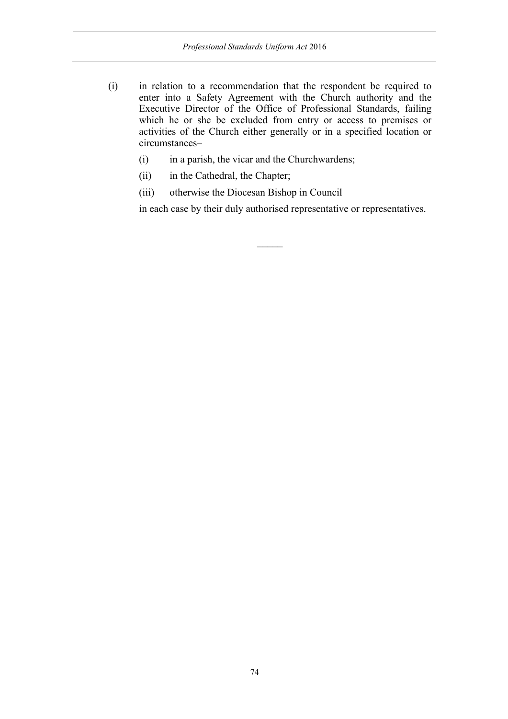- (i) in relation to a recommendation that the respondent be required to enter into a Safety Agreement with the Church authority and the Executive Director of the Office of Professional Standards, failing which he or she be excluded from entry or access to premises or activities of the Church either generally or in a specified location or circumstances–
	- (i) in a parish, the vicar and the Churchwardens;
	- (ii) in the Cathedral, the Chapter;
	- (iii) otherwise the Diocesan Bishop in Council

in each case by their duly authorised representative or representatives.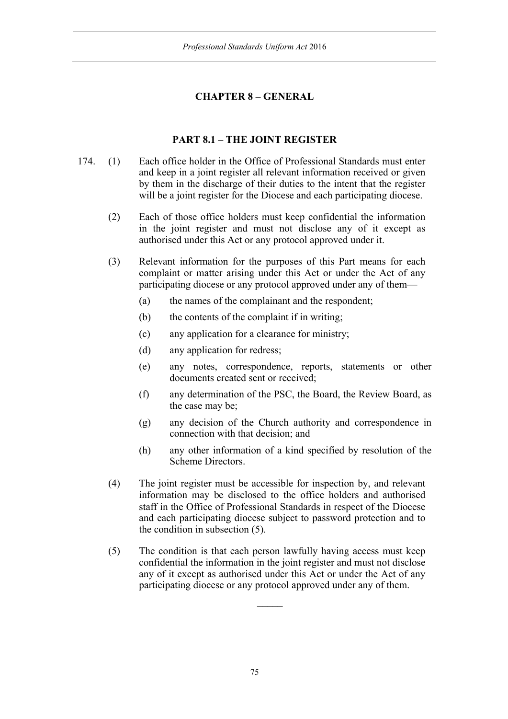# **CHAPTER 8 – GENERAL**

## **PART 8.1 – THE JOINT REGISTER**

- 174. (1) Each office holder in the Office of Professional Standards must enter and keep in a joint register all relevant information received or given by them in the discharge of their duties to the intent that the register will be a joint register for the Diocese and each participating diocese.
	- (2) Each of those office holders must keep confidential the information in the joint register and must not disclose any of it except as authorised under this Act or any protocol approved under it.
	- (3) Relevant information for the purposes of this Part means for each complaint or matter arising under this Act or under the Act of any participating diocese or any protocol approved under any of them—
		- (a) the names of the complainant and the respondent;
		- (b) the contents of the complaint if in writing;
		- (c) any application for a clearance for ministry;
		- (d) any application for redress;
		- (e) any notes, correspondence, reports, statements or other documents created sent or received;
		- (f) any determination of the PSC, the Board, the Review Board, as the case may be;
		- (g) any decision of the Church authority and correspondence in connection with that decision; and
		- (h) any other information of a kind specified by resolution of the Scheme Directors.
	- (4) The joint register must be accessible for inspection by, and relevant information may be disclosed to the office holders and authorised staff in the Office of Professional Standards in respect of the Diocese and each participating diocese subject to password protection and to the condition in subsection (5).
	- (5) The condition is that each person lawfully having access must keep confidential the information in the joint register and must not disclose any of it except as authorised under this Act or under the Act of any participating diocese or any protocol approved under any of them.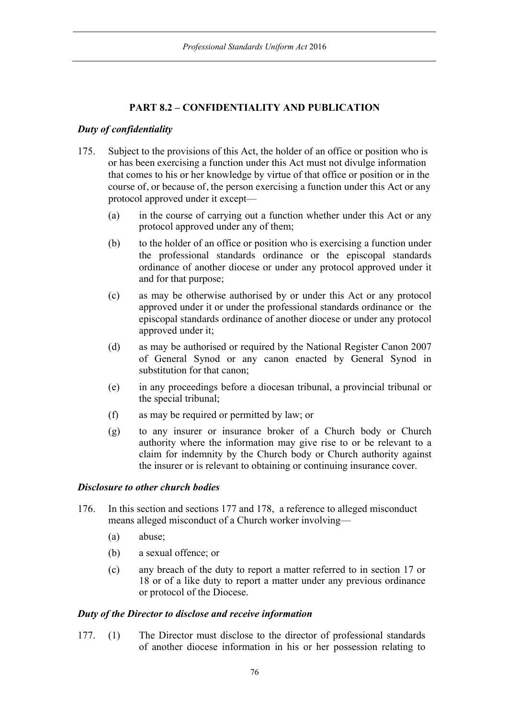# **PART 8.2 – CONFIDENTIALITY AND PUBLICATION**

### *Duty of confidentiality*

- 175. Subject to the provisions of this Act, the holder of an office or position who is or has been exercising a function under this Act must not divulge information that comes to his or her knowledge by virtue of that office or position or in the course of, or because of, the person exercising a function under this Act or any protocol approved under it except—
	- (a) in the course of carrying out a function whether under this Act or any protocol approved under any of them;
	- (b) to the holder of an office or position who is exercising a function under the professional standards ordinance or the episcopal standards ordinance of another diocese or under any protocol approved under it and for that purpose;
	- (c) as may be otherwise authorised by or under this Act or any protocol approved under it or under the professional standards ordinance or the episcopal standards ordinance of another diocese or under any protocol approved under it;
	- (d) as may be authorised or required by the National Register Canon 2007 of General Synod or any canon enacted by General Synod in substitution for that canon;
	- (e) in any proceedings before a diocesan tribunal, a provincial tribunal or the special tribunal;
	- (f) as may be required or permitted by law; or
	- (g) to any insurer or insurance broker of a Church body or Church authority where the information may give rise to or be relevant to a claim for indemnity by the Church body or Church authority against the insurer or is relevant to obtaining or continuing insurance cover.

### *Disclosure to other church bodies*

- 176. In this section and sections 177 and 178, a reference to alleged misconduct means alleged misconduct of a Church worker involving—
	- (a) abuse;
	- (b) a sexual offence; or
	- (c) any breach of the duty to report a matter referred to in section 17 or 18 or of a like duty to report a matter under any previous ordinance or protocol of the Diocese.

#### *Duty of the Director to disclose and receive information*

177. (1) The Director must disclose to the director of professional standards of another diocese information in his or her possession relating to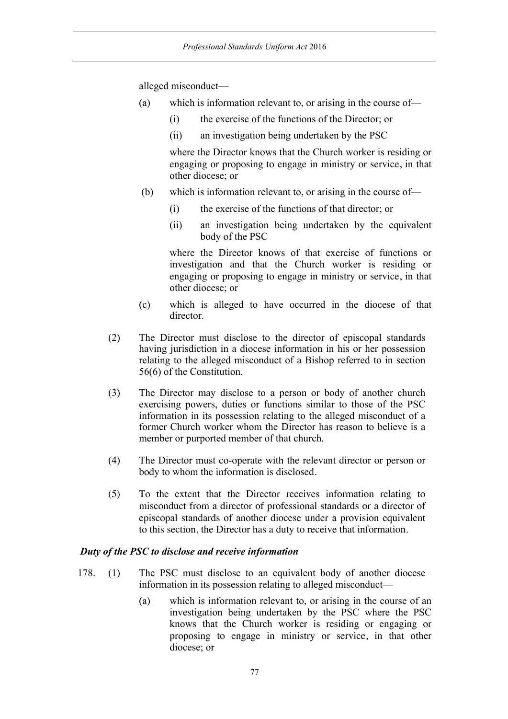alleged misconduct—

- (a) which is information relevant to, or arising in the course of—
	- (i) the exercise of the functions of the Director; or
	- (ii) an investigation being undertaken by the PSC

where the Director knows that the Church worker is residing or engaging or proposing to engage in ministry or service, in that other diocese; or

- (b) which is information relevant to, or arising in the course of—
	- (i) the exercise of the functions of that director; or
	- (ii) an investigation being undertaken by the equivalent body of the PSC

where the Director knows of that exercise of functions or investigation and that the Church worker is residing or engaging or proposing to engage in ministry or service, in that other diocese; or

- (c) which is alleged to have occurred in the diocese of that director.
- (2) The Director must disclose to the director of episcopal standards having jurisdiction in a diocese information in his or her possession relating to the alleged misconduct of a Bishop referred to in section 56(6) of the Constitution.
- (3) The Director may disclose to a person or body of another church exercising powers, duties or functions similar to those of the PSC information in its possession relating to the alleged misconduct of a former Church worker whom the Director has reason to believe is a member or purported member of that church.
- (4) The Director must co-operate with the relevant director or person or body to whom the information is disclosed.
- (5) To the extent that the Director receives information relating to misconduct from a director of professional standards or a director of episcopal standards of another diocese under a provision equivalent to this section, the Director has a duty to receive that information.

## *Duty of the PSC to disclose and receive information*

- 178. (1) The PSC must disclose to an equivalent body of another diocese information in its possession relating to alleged misconduct—
	- (a) which is information relevant to, or arising in the course of an investigation being undertaken by the PSC where the PSC knows that the Church worker is residing or engaging or proposing to engage in ministry or service, in that other diocese; or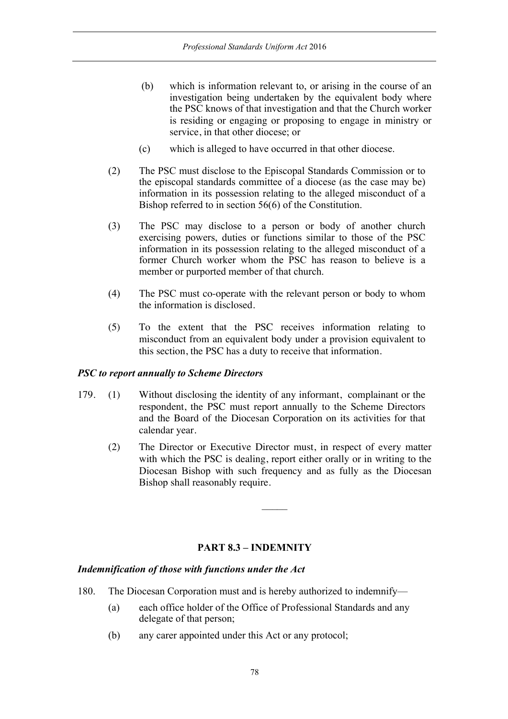- (b) which is information relevant to, or arising in the course of an investigation being undertaken by the equivalent body where the PSC knows of that investigation and that the Church worker is residing or engaging or proposing to engage in ministry or service, in that other diocese; or
- (c) which is alleged to have occurred in that other diocese.
- (2) The PSC must disclose to the Episcopal Standards Commission or to the episcopal standards committee of a diocese (as the case may be) information in its possession relating to the alleged misconduct of a Bishop referred to in section 56(6) of the Constitution.
- (3) The PSC may disclose to a person or body of another church exercising powers, duties or functions similar to those of the PSC information in its possession relating to the alleged misconduct of a former Church worker whom the PSC has reason to believe is a member or purported member of that church.
- (4) The PSC must co-operate with the relevant person or body to whom the information is disclosed.
- (5) To the extent that the PSC receives information relating to misconduct from an equivalent body under a provision equivalent to this section, the PSC has a duty to receive that information.

### *PSC to report annually to Scheme Directors*

- 179. (1) Without disclosing the identity of any informant, complainant or the respondent, the PSC must report annually to the Scheme Directors and the Board of the Diocesan Corporation on its activities for that calendar year.
	- (2) The Director or Executive Director must, in respect of every matter with which the PSC is dealing, report either orally or in writing to the Diocesan Bishop with such frequency and as fully as the Diocesan Bishop shall reasonably require.

## **PART 8.3 – INDEMNITY**

### *Indemnification of those with functions under the Act*

- 180. The Diocesan Corporation must and is hereby authorized to indemnify—
	- (a) each office holder of the Office of Professional Standards and any delegate of that person;
	- (b) any carer appointed under this Act or any protocol;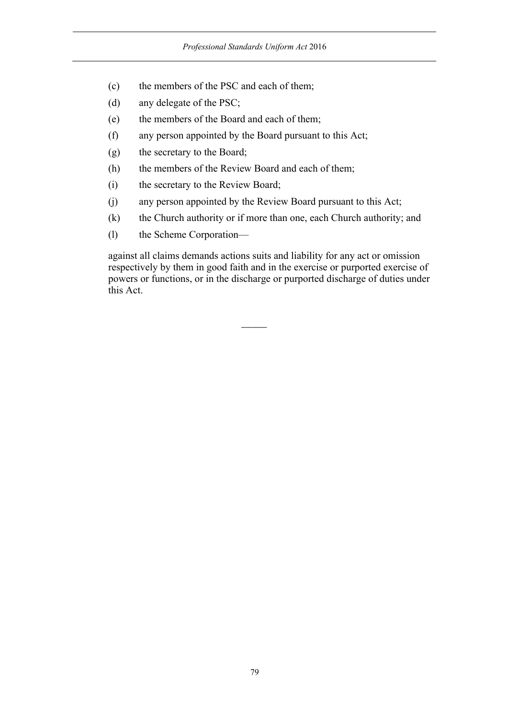- (c) the members of the PSC and each of them;
- (d) any delegate of the PSC;
- (e) the members of the Board and each of them;
- (f) any person appointed by the Board pursuant to this Act;
- (g) the secretary to the Board;
- (h) the members of the Review Board and each of them;
- (i) the secretary to the Review Board;
- (j) any person appointed by the Review Board pursuant to this Act;
- (k) the Church authority or if more than one, each Church authority; and
- (l) the Scheme Corporation—

against all claims demands actions suits and liability for any act or omission respectively by them in good faith and in the exercise or purported exercise of powers or functions, or in the discharge or purported discharge of duties under this Act.

 $\overline{\phantom{a}}$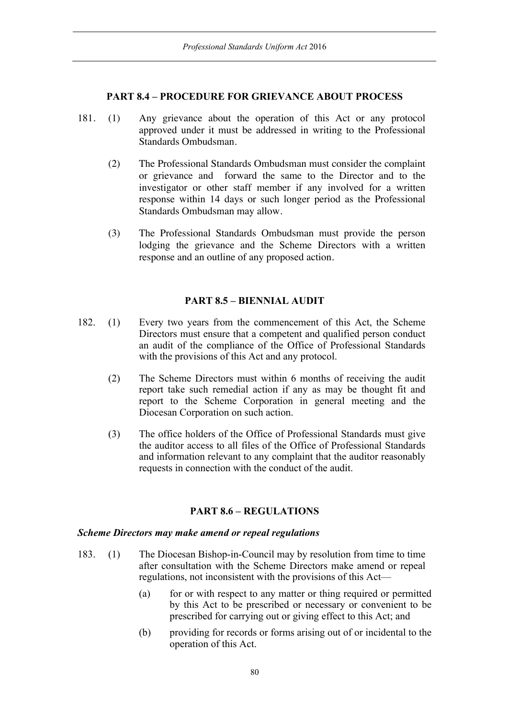### **PART 8.4 – PROCEDURE FOR GRIEVANCE ABOUT PROCESS**

- 181. (1) Any grievance about the operation of this Act or any protocol approved under it must be addressed in writing to the Professional Standards Ombudsman.
	- (2) The Professional Standards Ombudsman must consider the complaint or grievance and forward the same to the Director and to the investigator or other staff member if any involved for a written response within 14 days or such longer period as the Professional Standards Ombudsman may allow.
	- (3) The Professional Standards Ombudsman must provide the person lodging the grievance and the Scheme Directors with a written response and an outline of any proposed action.

## **PART 8.5 – BIENNIAL AUDIT**

- 182. (1) Every two years from the commencement of this Act, the Scheme Directors must ensure that a competent and qualified person conduct an audit of the compliance of the Office of Professional Standards with the provisions of this Act and any protocol.
	- (2) The Scheme Directors must within 6 months of receiving the audit report take such remedial action if any as may be thought fit and report to the Scheme Corporation in general meeting and the Diocesan Corporation on such action.
	- (3) The office holders of the Office of Professional Standards must give the auditor access to all files of the Office of Professional Standards and information relevant to any complaint that the auditor reasonably requests in connection with the conduct of the audit.

### **PART 8.6 – REGULATIONS**

#### *Scheme Directors may make amend or repeal regulations*

- 183. (1) The Diocesan Bishop-in-Council may by resolution from time to time after consultation with the Scheme Directors make amend or repeal regulations, not inconsistent with the provisions of this Act—
	- (a) for or with respect to any matter or thing required or permitted by this Act to be prescribed or necessary or convenient to be prescribed for carrying out or giving effect to this Act; and
	- (b) providing for records or forms arising out of or incidental to the operation of this Act.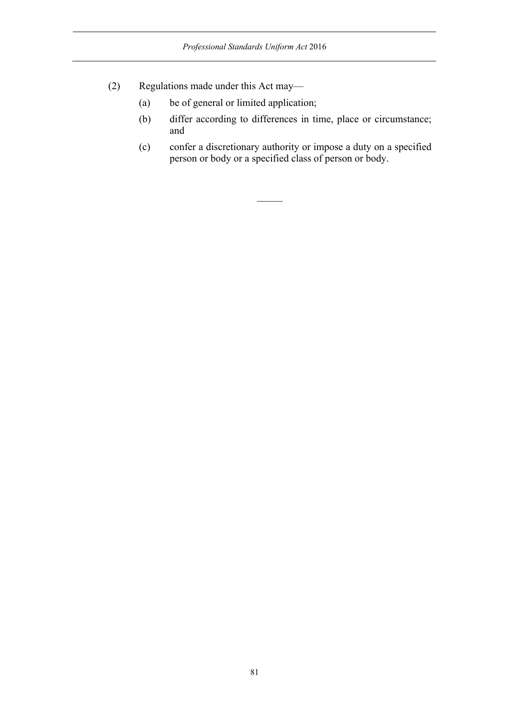- (2) Regulations made under this Act may—
	- (a) be of general or limited application;
	- (b) differ according to differences in time, place or circumstance; and
	- (c) confer a discretionary authority or impose a duty on a specified person or body or a specified class of person or body.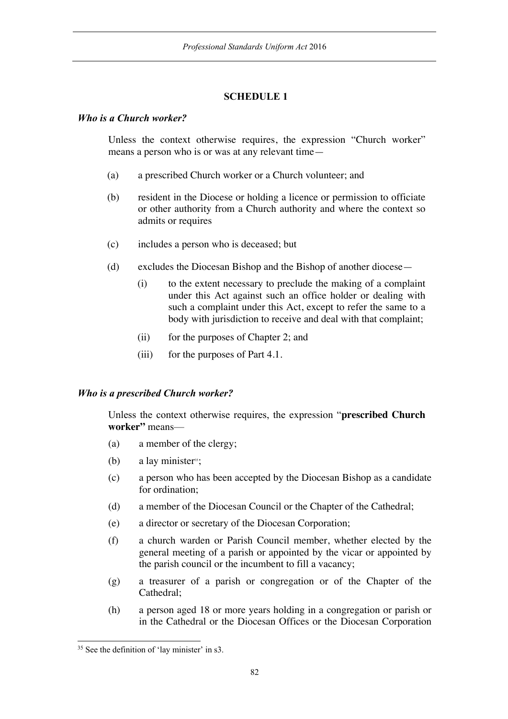# **SCHEDULE 1**

### *Who is a Church worker?*

Unless the context otherwise requires, the expression "Church worker" means a person who is or was at any relevant time—

- (a) a prescribed Church worker or a Church volunteer; and
- (b) resident in the Diocese or holding a licence or permission to officiate or other authority from a Church authority and where the context so admits or requires
- (c) includes a person who is deceased; but
- (d) excludes the Diocesan Bishop and the Bishop of another diocese—
	- (i) to the extent necessary to preclude the making of a complaint under this Act against such an office holder or dealing with such a complaint under this Act, except to refer the same to a body with jurisdiction to receive and deal with that complaint;
	- (ii) for the purposes of Chapter 2; and
	- (iii) for the purposes of Part 4.1.

### *Who is a prescribed Church worker?*

Unless the context otherwise requires, the expression "**prescribed Church worker"** means—

- (a) a member of the clergy;
- (b) a lay minister<sup>35</sup>;
- (c) a person who has been accepted by the Diocesan Bishop as a candidate for ordination;
- (d) a member of the Diocesan Council or the Chapter of the Cathedral;
- (e) a director or secretary of the Diocesan Corporation;
- (f) a church warden or Parish Council member, whether elected by the general meeting of a parish or appointed by the vicar or appointed by the parish council or the incumbent to fill a vacancy;
- (g) a treasurer of a parish or congregation or of the Chapter of the Cathedral;
- (h) a person aged 18 or more years holding in a congregation or parish or in the Cathedral or the Diocesan Offices or the Diocesan Corporation

<sup>&</sup>lt;sup>35</sup> See the definition of 'lay minister' in s3.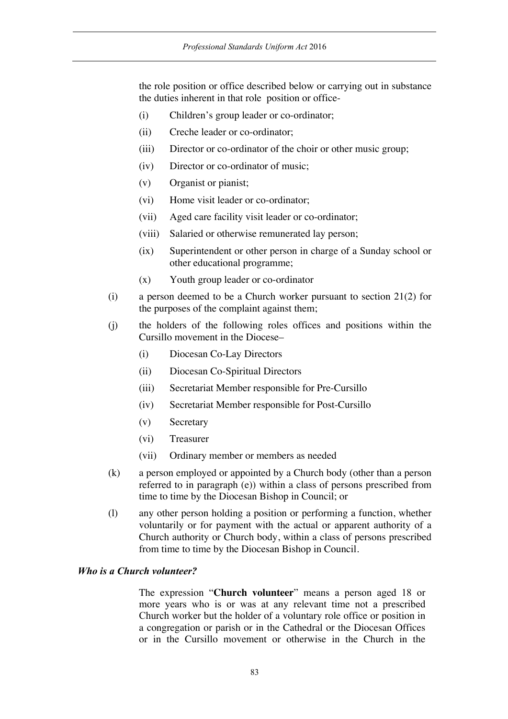the role position or office described below or carrying out in substance the duties inherent in that role position or office-

- (i) Children's group leader or co-ordinator;
- (ii) Creche leader or co-ordinator;
- (iii) Director or co-ordinator of the choir or other music group;
- (iv) Director or co-ordinator of music;
- (v) Organist or pianist;
- (vi) Home visit leader or co-ordinator;
- (vii) Aged care facility visit leader or co-ordinator;
- (viii) Salaried or otherwise remunerated lay person;
- (ix) Superintendent or other person in charge of a Sunday school or other educational programme;
- (x) Youth group leader or co-ordinator
- (i) a person deemed to be a Church worker pursuant to section 21(2) for the purposes of the complaint against them;
- (j) the holders of the following roles offices and positions within the Cursillo movement in the Diocese–
	- (i) Diocesan Co-Lay Directors
	- (ii) Diocesan Co-Spiritual Directors
	- (iii) Secretariat Member responsible for Pre-Cursillo
	- (iv) Secretariat Member responsible for Post-Cursillo
	- (v) Secretary
	- (vi) Treasurer
	- (vii) Ordinary member or members as needed
- (k) a person employed or appointed by a Church body (other than a person referred to in paragraph (e)) within a class of persons prescribed from time to time by the Diocesan Bishop in Council; or
- (l) any other person holding a position or performing a function, whether voluntarily or for payment with the actual or apparent authority of a Church authority or Church body, within a class of persons prescribed from time to time by the Diocesan Bishop in Council.

#### *Who is a Church volunteer?*

The expression "**Church volunteer**" means a person aged 18 or more years who is or was at any relevant time not a prescribed Church worker but the holder of a voluntary role office or position in a congregation or parish or in the Cathedral or the Diocesan Offices or in the Cursillo movement or otherwise in the Church in the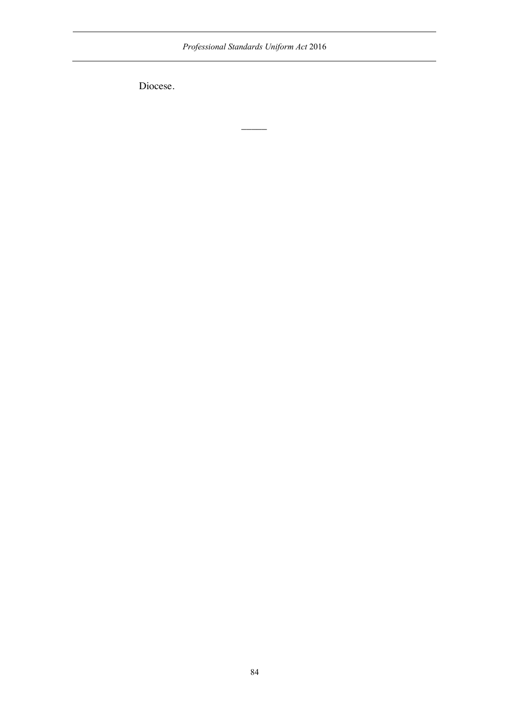*Professional Standards Uniform Act* 2016

 $\overline{\phantom{a}}$ 

Diocese.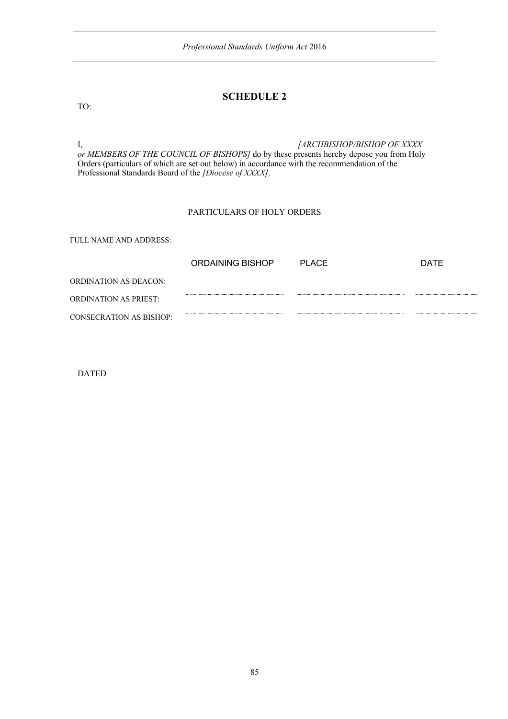### **SCHEDULE 2**

TO:

I, *[ARCHBISHOP/BISHOP OF XXXX or MEMBERS OF THE COUNCIL OF BISHOPS]* do by these presents hereby depose you from Holy Orders (particulars of which are set out below) in accordance with the recommendation of the Professional Standards Board of the *[Diocese of XXXX]*.

#### PARTICULARS OF HOLY ORDERS

FULL NAME AND ADDRESS:

|                                | ORDAINING BISHOP | PI ACF | DATE |
|--------------------------------|------------------|--------|------|
| ORDINATION AS DEACON:          |                  |        |      |
| <b>ORDINATION AS PRIEST:</b>   |                  |        |      |
| <b>CONSECRATION AS BISHOP:</b> |                  |        |      |
|                                |                  |        |      |

DATED